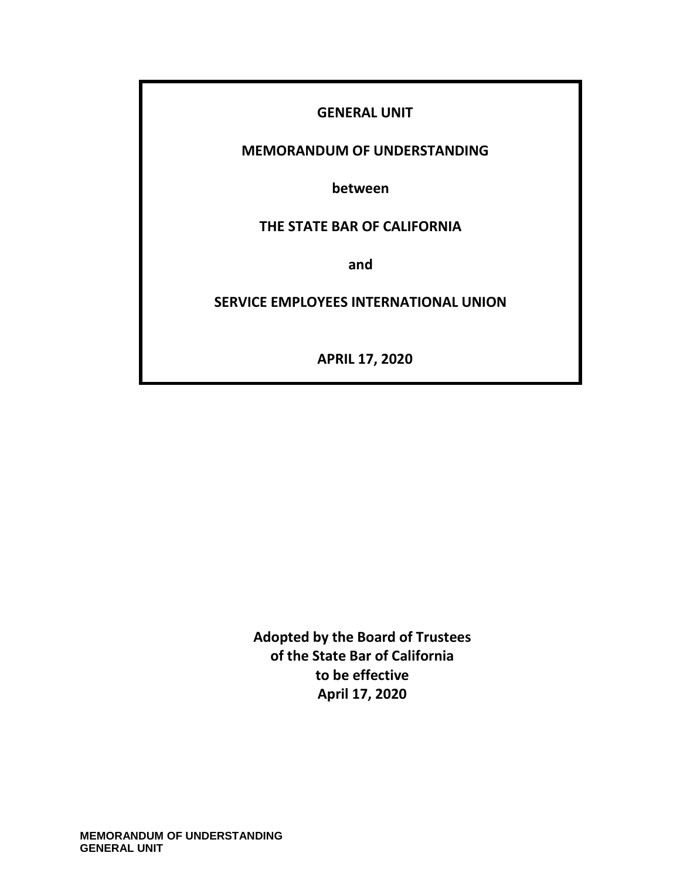### **GENERAL UNIT**

### **MEMORANDUM OF UNDERSTANDING**

**between**

### **THE STATE BAR OF CALIFORNIA**

**and**

### **SERVICE EMPLOYEES INTERNATIONAL UNION**

**APRIL 17, 2020**

**Adopted by the Board of Trustees of the State Bar of California to be effective April 17, 2020**

**MEMORANDUM OF UNDERSTANDING GENERAL UNIT**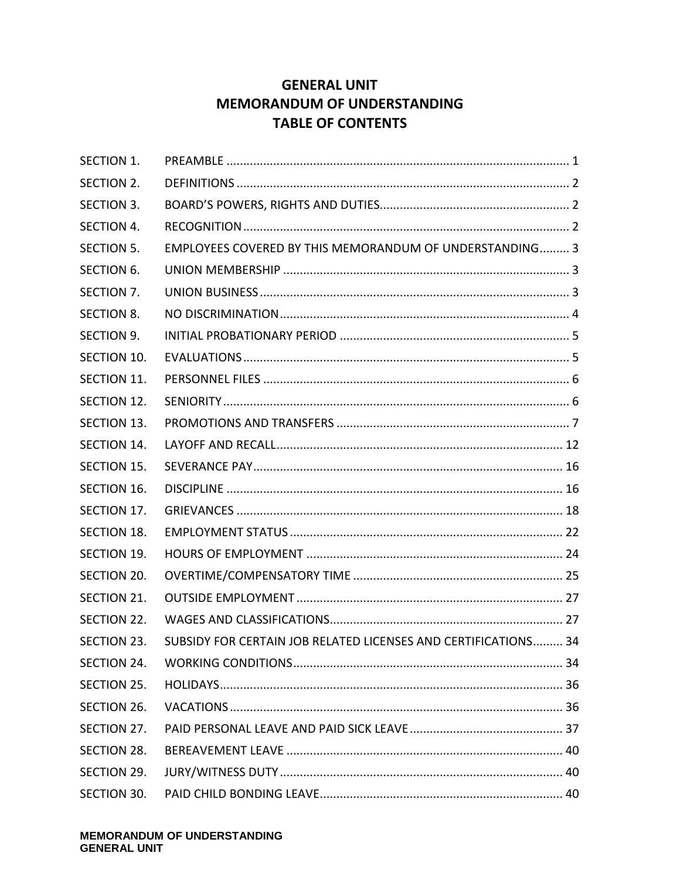# **GENERAL UNIT MEMORANDUM OF UNDERSTANDING TABLE OF CONTENTS**

| <b>SECTION 1.</b> |                                                                |  |
|-------------------|----------------------------------------------------------------|--|
| SECTION 2.        |                                                                |  |
| SECTION 3.        |                                                                |  |
| <b>SECTION 4.</b> |                                                                |  |
| SECTION 5.        | EMPLOYEES COVERED BY THIS MEMORANDUM OF UNDERSTANDING 3        |  |
| <b>SECTION 6.</b> |                                                                |  |
| SECTION 7.        |                                                                |  |
| <b>SECTION 8.</b> |                                                                |  |
| SECTION 9.        |                                                                |  |
| SECTION 10.       |                                                                |  |
| SECTION 11.       |                                                                |  |
| SECTION 12.       |                                                                |  |
| SECTION 13.       |                                                                |  |
| SECTION 14.       |                                                                |  |
| SECTION 15.       |                                                                |  |
| SECTION 16.       |                                                                |  |
| SECTION 17.       |                                                                |  |
| SECTION 18.       |                                                                |  |
| SECTION 19.       |                                                                |  |
| SECTION 20.       |                                                                |  |
| SECTION 21.       |                                                                |  |
| SECTION 22.       |                                                                |  |
| SECTION 23.       | SUBSIDY FOR CERTAIN JOB RELATED LICENSES AND CERTIFICATIONS 34 |  |
| SECTION 24.       |                                                                |  |
| SECTION 25.       |                                                                |  |
| SECTION 26.       |                                                                |  |
| SECTION 27.       |                                                                |  |
| SECTION 28.       |                                                                |  |
| SECTION 29.       |                                                                |  |
| SECTION 30.       |                                                                |  |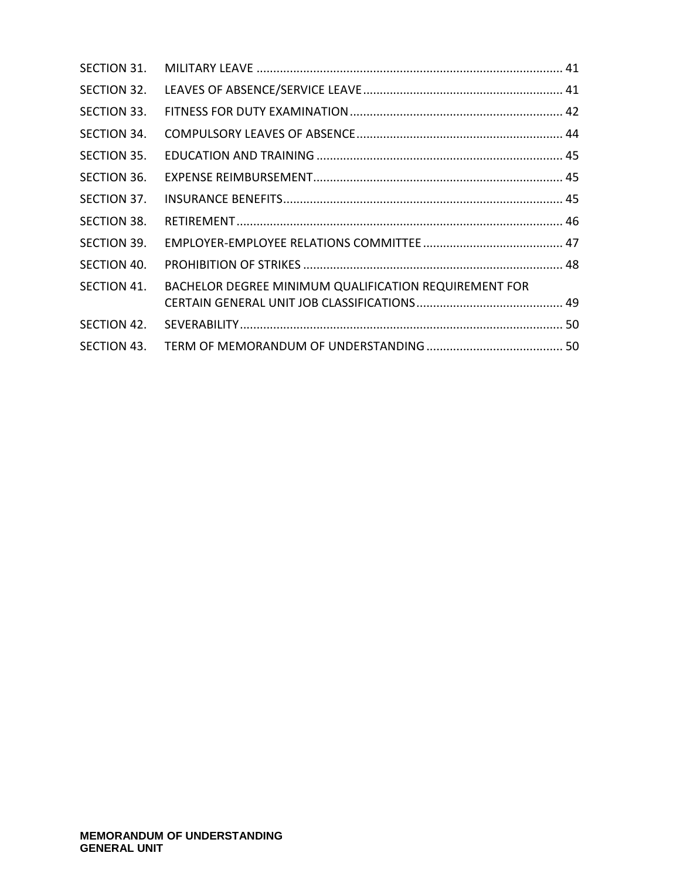| SECTION 31. |                                                       |  |
|-------------|-------------------------------------------------------|--|
| SECTION 32. |                                                       |  |
| SECTION 33. |                                                       |  |
| SECTION 34. |                                                       |  |
| SECTION 35. |                                                       |  |
| SECTION 36. |                                                       |  |
| SECTION 37. |                                                       |  |
| SECTION 38. |                                                       |  |
| SECTION 39. |                                                       |  |
| SECTION 40. |                                                       |  |
| SECTION 41. | BACHELOR DEGREE MINIMUM QUALIFICATION REQUIREMENT FOR |  |
|             |                                                       |  |
| SECTION 42. |                                                       |  |
| SECTION 43. |                                                       |  |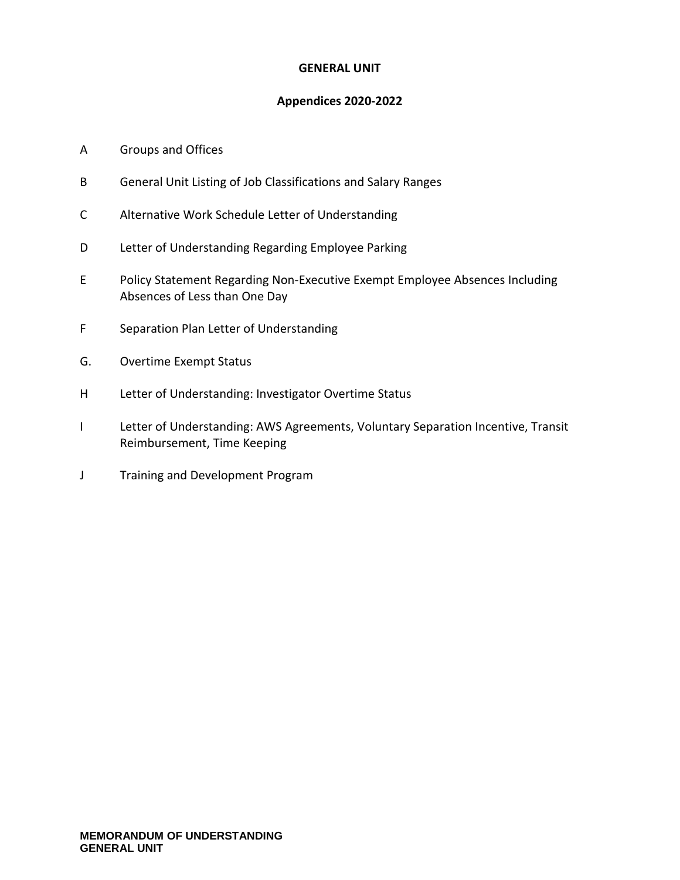#### **GENERAL UNIT**

#### **Appendices 2020-2022**

#### A Groups and Offices

- B General Unit Listing of Job Classifications and Salary Ranges
- C Alternative Work Schedule Letter of Understanding
- D Letter of Understanding Regarding Employee Parking
- E Policy Statement Regarding Non-Executive Exempt Employee Absences Including Absences of Less than One Day
- F Separation Plan Letter of Understanding
- G. Overtime Exempt Status
- H Letter of Understanding: Investigator Overtime Status
- I Letter of Understanding: AWS Agreements, Voluntary Separation Incentive, Transit Reimbursement, Time Keeping
- J Training and Development Program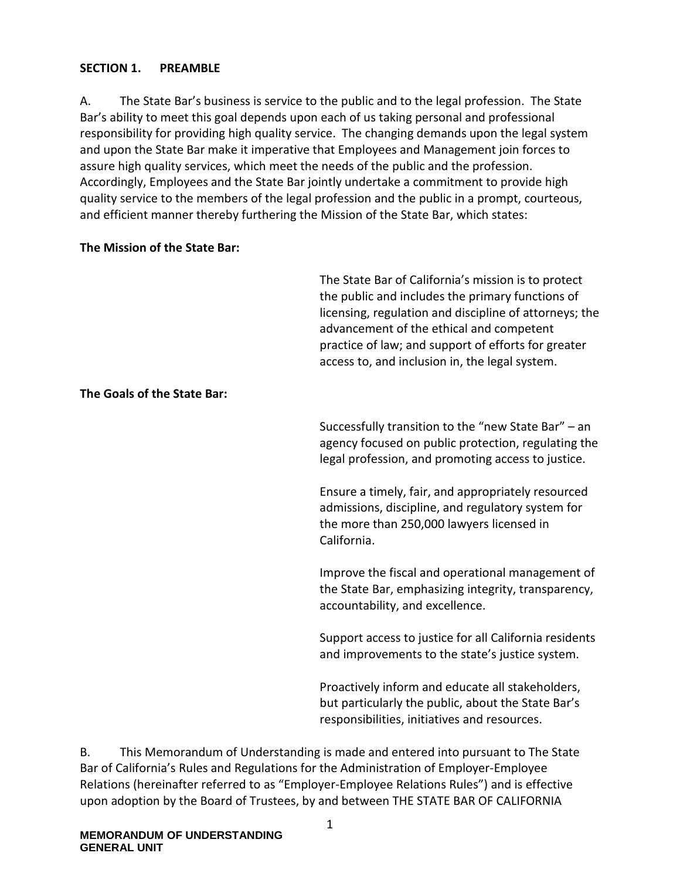#### <span id="page-4-0"></span>**SECTION 1. PREAMBLE**

A. The State Bar's business is service to the public and to the legal profession. The State Bar's ability to meet this goal depends upon each of us taking personal and professional responsibility for providing high quality service. The changing demands upon the legal system and upon the State Bar make it imperative that Employees and Management join forces to assure high quality services, which meet the needs of the public and the profession. Accordingly, Employees and the State Bar jointly undertake a commitment to provide high quality service to the members of the legal profession and the public in a prompt, courteous, and efficient manner thereby furthering the Mission of the State Bar, which states:

#### **The Mission of the State Bar:**

The State Bar of California's mission is to protect the public and includes the primary functions of licensing, regulation and discipline of attorneys; the advancement of the ethical and competent practice of law; and support of efforts for greater access to, and inclusion in, the legal system.

#### **The Goals of the State Bar:**

Successfully transition to the "new State Bar" – an agency focused on public protection, regulating the legal profession, and promoting access to justice.

Ensure a timely, fair, and appropriately resourced admissions, discipline, and regulatory system for the more than 250,000 lawyers licensed in California.

Improve the fiscal and operational management of the State Bar, emphasizing integrity, transparency, accountability, and excellence.

Support access to justice for all California residents and improvements to the state's justice system.

Proactively inform and educate all stakeholders, but particularly the public, about the State Bar's responsibilities, initiatives and resources.

B. This Memorandum of Understanding is made and entered into pursuant to The State Bar of California's Rules and Regulations for the Administration of Employer-Employee Relations (hereinafter referred to as "Employer-Employee Relations Rules") and is effective upon adoption by the Board of Trustees, by and between THE STATE BAR OF CALIFORNIA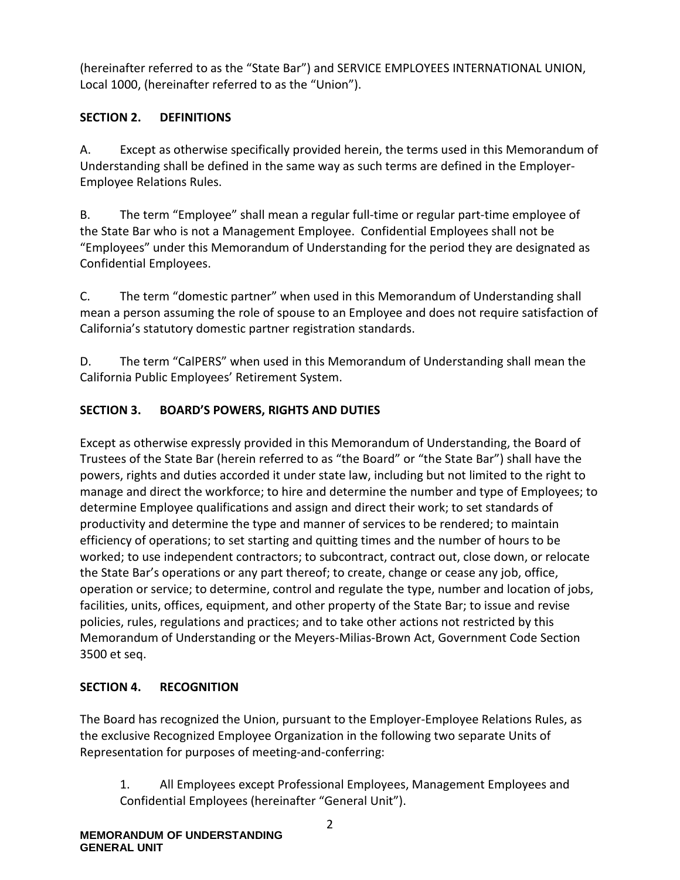(hereinafter referred to as the "State Bar") and SERVICE EMPLOYEES INTERNATIONAL UNION, Local 1000, (hereinafter referred to as the "Union").

# <span id="page-5-0"></span>**SECTION 2. DEFINITIONS**

A. Except as otherwise specifically provided herein, the terms used in this Memorandum of Understanding shall be defined in the same way as such terms are defined in the Employer-Employee Relations Rules.

B. The term "Employee" shall mean a regular full-time or regular part-time employee of the State Bar who is not a Management Employee. Confidential Employees shall not be "Employees" under this Memorandum of Understanding for the period they are designated as Confidential Employees.

C. The term "domestic partner" when used in this Memorandum of Understanding shall mean a person assuming the role of spouse to an Employee and does not require satisfaction of California's statutory domestic partner registration standards.

D. The term "CalPERS" when used in this Memorandum of Understanding shall mean the California Public Employees' Retirement System.

# <span id="page-5-1"></span>**SECTION 3. BOARD'S POWERS, RIGHTS AND DUTIES**

Except as otherwise expressly provided in this Memorandum of Understanding, the Board of Trustees of the State Bar (herein referred to as "the Board" or "the State Bar") shall have the powers, rights and duties accorded it under state law, including but not limited to the right to manage and direct the workforce; to hire and determine the number and type of Employees; to determine Employee qualifications and assign and direct their work; to set standards of productivity and determine the type and manner of services to be rendered; to maintain efficiency of operations; to set starting and quitting times and the number of hours to be worked; to use independent contractors; to subcontract, contract out, close down, or relocate the State Bar's operations or any part thereof; to create, change or cease any job, office, operation or service; to determine, control and regulate the type, number and location of jobs, facilities, units, offices, equipment, and other property of the State Bar; to issue and revise policies, rules, regulations and practices; and to take other actions not restricted by this Memorandum of Understanding or the Meyers-Milias-Brown Act, Government Code Section 3500 et seq.

# <span id="page-5-2"></span>**SECTION 4. RECOGNITION**

The Board has recognized the Union, pursuant to the Employer-Employee Relations Rules, as the exclusive Recognized Employee Organization in the following two separate Units of Representation for purposes of meeting-and-conferring:

1. All Employees except Professional Employees, Management Employees and Confidential Employees (hereinafter "General Unit").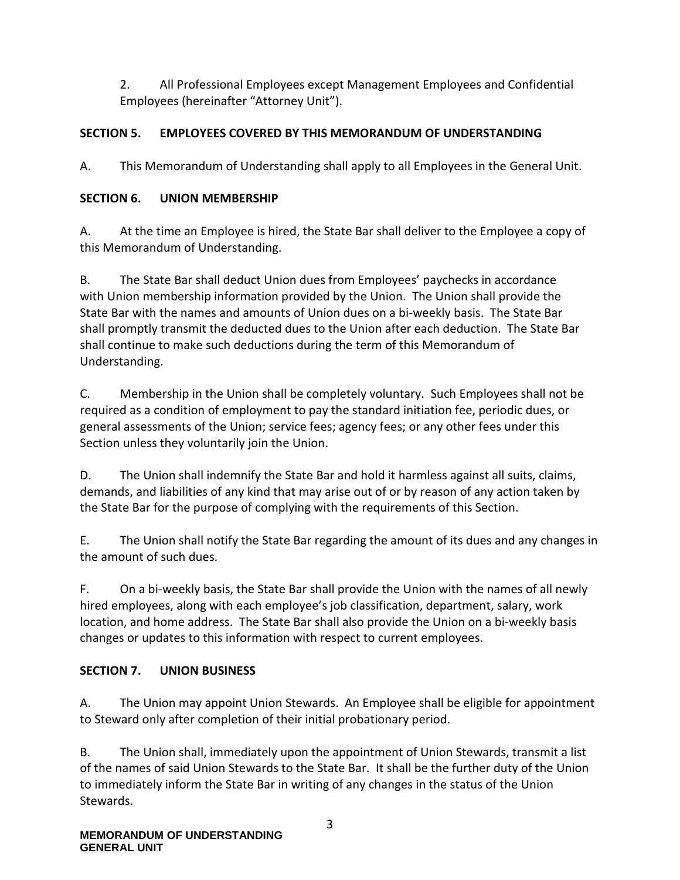2. All Professional Employees except Management Employees and Confidential Employees (hereinafter "Attorney Unit").

### <span id="page-6-0"></span>**SECTION 5. EMPLOYEES COVERED BY THIS MEMORANDUM OF UNDERSTANDING**

A. This Memorandum of Understanding shall apply to all Employees in the General Unit.

### <span id="page-6-1"></span>**SECTION 6. UNION MEMBERSHIP**

A. At the time an Employee is hired, the State Bar shall deliver to the Employee a copy of this Memorandum of Understanding.

B. The State Bar shall deduct Union dues from Employees' paychecks in accordance with Union membership information provided by the Union. The Union shall provide the State Bar with the names and amounts of Union dues on a bi-weekly basis. The State Bar shall promptly transmit the deducted dues to the Union after each deduction. The State Bar shall continue to make such deductions during the term of this Memorandum of Understanding.

C. Membership in the Union shall be completely voluntary. Such Employees shall not be required as a condition of employment to pay the standard initiation fee, periodic dues, or general assessments of the Union; service fees; agency fees; or any other fees under this Section unless they voluntarily join the Union.

D. The Union shall indemnify the State Bar and hold it harmless against all suits, claims, demands, and liabilities of any kind that may arise out of or by reason of any action taken by the State Bar for the purpose of complying with the requirements of this Section.

E. The Union shall notify the State Bar regarding the amount of its dues and any changes in the amount of such dues.

F. On a bi-weekly basis, the State Bar shall provide the Union with the names of all newly hired employees, along with each employee's job classification, department, salary, work location, and home address. The State Bar shall also provide the Union on a bi-weekly basis changes or updates to this information with respect to current employees.

### <span id="page-6-2"></span>**SECTION 7. UNION BUSINESS**

A. The Union may appoint Union Stewards. An Employee shall be eligible for appointment to Steward only after completion of their initial probationary period.

B. The Union shall, immediately upon the appointment of Union Stewards, transmit a list of the names of said Union Stewards to the State Bar. It shall be the further duty of the Union to immediately inform the State Bar in writing of any changes in the status of the Union Stewards.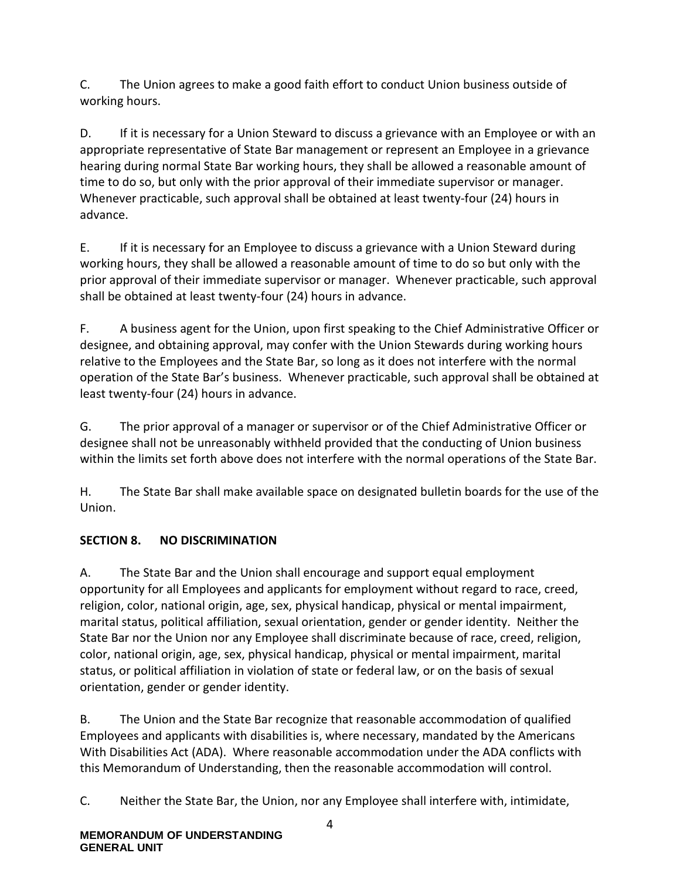C. The Union agrees to make a good faith effort to conduct Union business outside of working hours.

D. If it is necessary for a Union Steward to discuss a grievance with an Employee or with an appropriate representative of State Bar management or represent an Employee in a grievance hearing during normal State Bar working hours, they shall be allowed a reasonable amount of time to do so, but only with the prior approval of their immediate supervisor or manager. Whenever practicable, such approval shall be obtained at least twenty-four (24) hours in advance.

E. If it is necessary for an Employee to discuss a grievance with a Union Steward during working hours, they shall be allowed a reasonable amount of time to do so but only with the prior approval of their immediate supervisor or manager. Whenever practicable, such approval shall be obtained at least twenty-four (24) hours in advance.

F. A business agent for the Union, upon first speaking to the Chief Administrative Officer or designee, and obtaining approval, may confer with the Union Stewards during working hours relative to the Employees and the State Bar, so long as it does not interfere with the normal operation of the State Bar's business. Whenever practicable, such approval shall be obtained at least twenty-four (24) hours in advance.

G. The prior approval of a manager or supervisor or of the Chief Administrative Officer or designee shall not be unreasonably withheld provided that the conducting of Union business within the limits set forth above does not interfere with the normal operations of the State Bar.

H. The State Bar shall make available space on designated bulletin boards for the use of the Union.

# <span id="page-7-0"></span>**SECTION 8. NO DISCRIMINATION**

A. The State Bar and the Union shall encourage and support equal employment opportunity for all Employees and applicants for employment without regard to race, creed, religion, color, national origin, age, sex, physical handicap, physical or mental impairment, marital status, political affiliation, sexual orientation, gender or gender identity. Neither the State Bar nor the Union nor any Employee shall discriminate because of race, creed, religion, color, national origin, age, sex, physical handicap, physical or mental impairment, marital status, or political affiliation in violation of state or federal law, or on the basis of sexual orientation, gender or gender identity.

B. The Union and the State Bar recognize that reasonable accommodation of qualified Employees and applicants with disabilities is, where necessary, mandated by the Americans With Disabilities Act (ADA). Where reasonable accommodation under the ADA conflicts with this Memorandum of Understanding, then the reasonable accommodation will control.

C. Neither the State Bar, the Union, nor any Employee shall interfere with, intimidate,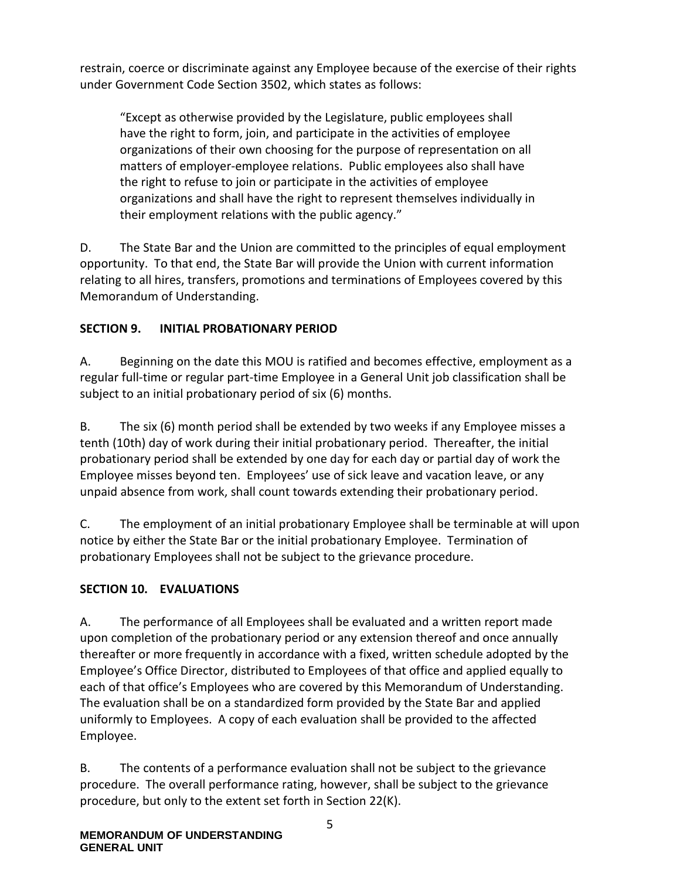restrain, coerce or discriminate against any Employee because of the exercise of their rights under Government Code Section 3502, which states as follows:

"Except as otherwise provided by the Legislature, public employees shall have the right to form, join, and participate in the activities of employee organizations of their own choosing for the purpose of representation on all matters of employer-employee relations. Public employees also shall have the right to refuse to join or participate in the activities of employee organizations and shall have the right to represent themselves individually in their employment relations with the public agency."

D. The State Bar and the Union are committed to the principles of equal employment opportunity. To that end, the State Bar will provide the Union with current information relating to all hires, transfers, promotions and terminations of Employees covered by this Memorandum of Understanding.

# <span id="page-8-0"></span>**SECTION 9. INITIAL PROBATIONARY PERIOD**

A. Beginning on the date this MOU is ratified and becomes effective, employment as a regular full-time or regular part-time Employee in a General Unit job classification shall be subject to an initial probationary period of six (6) months.

B. The six (6) month period shall be extended by two weeks if any Employee misses a tenth (10th) day of work during their initial probationary period. Thereafter, the initial probationary period shall be extended by one day for each day or partial day of work the Employee misses beyond ten. Employees' use of sick leave and vacation leave, or any unpaid absence from work, shall count towards extending their probationary period.

C. The employment of an initial probationary Employee shall be terminable at will upon notice by either the State Bar or the initial probationary Employee. Termination of probationary Employees shall not be subject to the grievance procedure.

### <span id="page-8-1"></span>**SECTION 10. EVALUATIONS**

A. The performance of all Employees shall be evaluated and a written report made upon completion of the probationary period or any extension thereof and once annually thereafter or more frequently in accordance with a fixed, written schedule adopted by the Employee's Office Director, distributed to Employees of that office and applied equally to each of that office's Employees who are covered by this Memorandum of Understanding. The evaluation shall be on a standardized form provided by the State Bar and applied uniformly to Employees. A copy of each evaluation shall be provided to the affected Employee.

B. The contents of a performance evaluation shall not be subject to the grievance procedure. The overall performance rating, however, shall be subject to the grievance procedure, but only to the extent set forth in Section 22(K).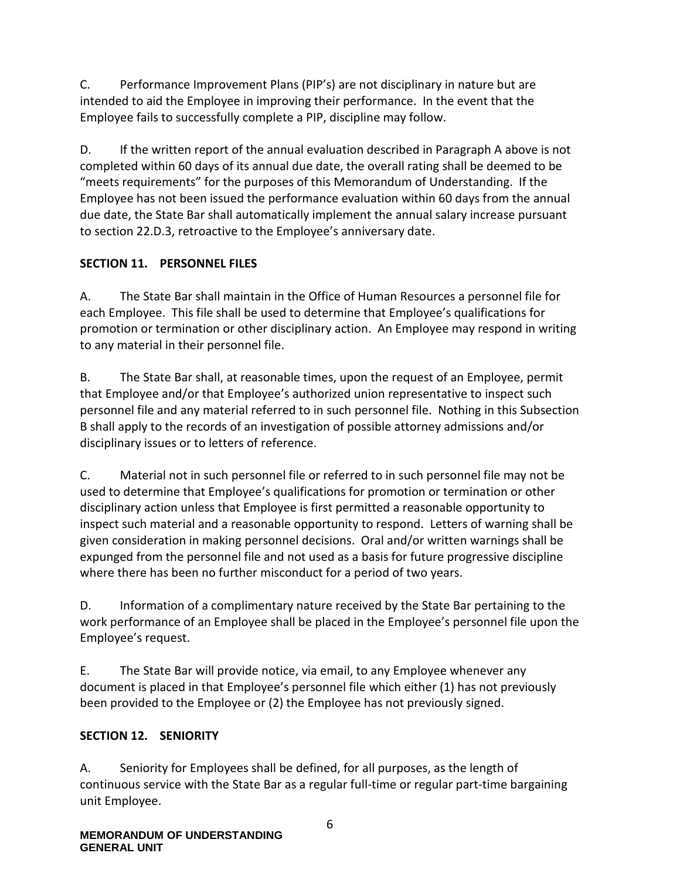C. Performance Improvement Plans (PIP's) are not disciplinary in nature but are intended to aid the Employee in improving their performance. In the event that the Employee fails to successfully complete a PIP, discipline may follow.

D. If the written report of the annual evaluation described in Paragraph A above is not completed within 60 days of its annual due date, the overall rating shall be deemed to be "meets requirements" for the purposes of this Memorandum of Understanding. If the Employee has not been issued the performance evaluation within 60 days from the annual due date, the State Bar shall automatically implement the annual salary increase pursuant to section 22.D.3, retroactive to the Employee's anniversary date.

### <span id="page-9-0"></span>**SECTION 11. PERSONNEL FILES**

A. The State Bar shall maintain in the Office of Human Resources a personnel file for each Employee. This file shall be used to determine that Employee's qualifications for promotion or termination or other disciplinary action. An Employee may respond in writing to any material in their personnel file.

B. The State Bar shall, at reasonable times, upon the request of an Employee, permit that Employee and/or that Employee's authorized union representative to inspect such personnel file and any material referred to in such personnel file. Nothing in this Subsection B shall apply to the records of an investigation of possible attorney admissions and/or disciplinary issues or to letters of reference.

C. Material not in such personnel file or referred to in such personnel file may not be used to determine that Employee's qualifications for promotion or termination or other disciplinary action unless that Employee is first permitted a reasonable opportunity to inspect such material and a reasonable opportunity to respond. Letters of warning shall be given consideration in making personnel decisions. Oral and/or written warnings shall be expunged from the personnel file and not used as a basis for future progressive discipline where there has been no further misconduct for a period of two years.

D. Information of a complimentary nature received by the State Bar pertaining to the work performance of an Employee shall be placed in the Employee's personnel file upon the Employee's request.

E. The State Bar will provide notice, via email, to any Employee whenever any document is placed in that Employee's personnel file which either (1) has not previously been provided to the Employee or (2) the Employee has not previously signed.

#### <span id="page-9-1"></span>**SECTION 12. SENIORITY**

A. Seniority for Employees shall be defined, for all purposes, as the length of continuous service with the State Bar as a regular full-time or regular part-time bargaining unit Employee.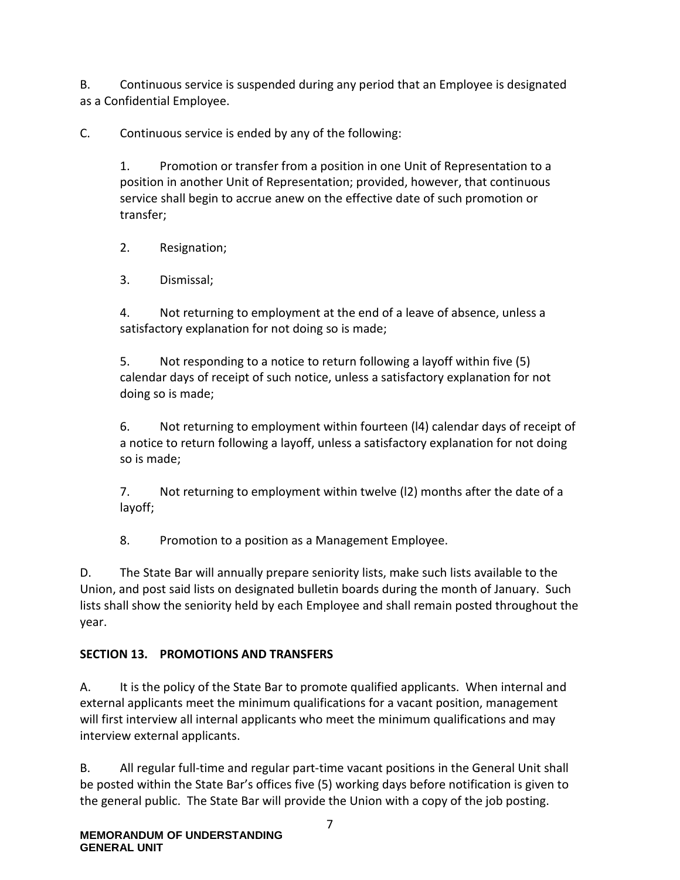B. Continuous service is suspended during any period that an Employee is designated as a Confidential Employee.

C. Continuous service is ended by any of the following:

1. Promotion or transfer from a position in one Unit of Representation to a position in another Unit of Representation; provided, however, that continuous service shall begin to accrue anew on the effective date of such promotion or transfer;

2. Resignation;

3. Dismissal;

4. Not returning to employment at the end of a leave of absence, unless a satisfactory explanation for not doing so is made;

5. Not responding to a notice to return following a layoff within five (5) calendar days of receipt of such notice, unless a satisfactory explanation for not doing so is made;

6. Not returning to employment within fourteen (l4) calendar days of receipt of a notice to return following a layoff, unless a satisfactory explanation for not doing so is made;

7. Not returning to employment within twelve (l2) months after the date of a layoff;

8. Promotion to a position as a Management Employee.

D. The State Bar will annually prepare seniority lists, make such lists available to the Union, and post said lists on designated bulletin boards during the month of January. Such lists shall show the seniority held by each Employee and shall remain posted throughout the year.

# <span id="page-10-0"></span>**SECTION 13. PROMOTIONS AND TRANSFERS**

A. It is the policy of the State Bar to promote qualified applicants. When internal and external applicants meet the minimum qualifications for a vacant position, management will first interview all internal applicants who meet the minimum qualifications and may interview external applicants.

B. All regular full-time and regular part-time vacant positions in the General Unit shall be posted within the State Bar's offices five (5) working days before notification is given to the general public. The State Bar will provide the Union with a copy of the job posting.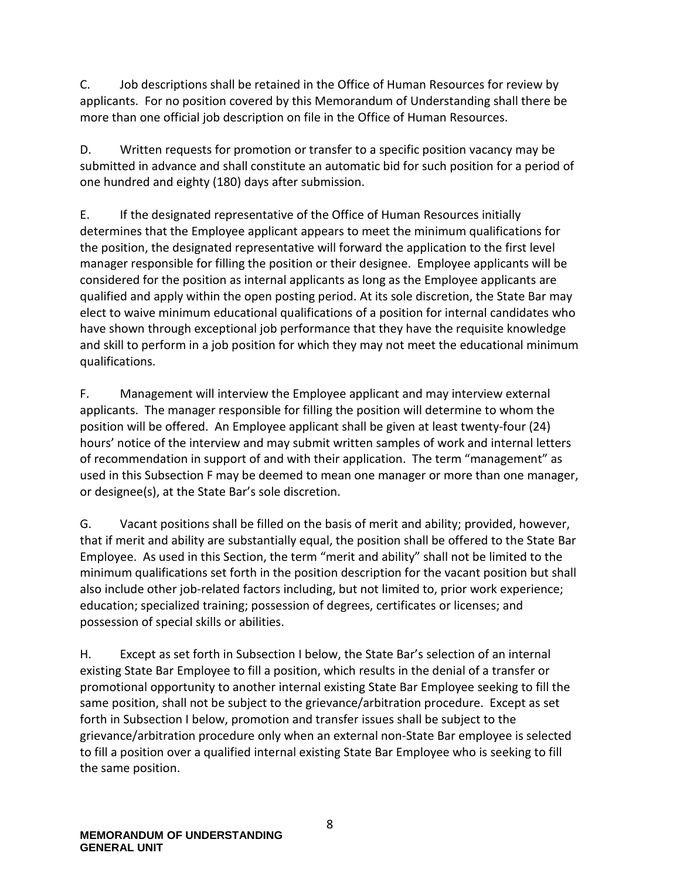C. Job descriptions shall be retained in the Office of Human Resources for review by applicants. For no position covered by this Memorandum of Understanding shall there be more than one official job description on file in the Office of Human Resources.

D. Written requests for promotion or transfer to a specific position vacancy may be submitted in advance and shall constitute an automatic bid for such position for a period of one hundred and eighty (180) days after submission.

E. If the designated representative of the Office of Human Resources initially determines that the Employee applicant appears to meet the minimum qualifications for the position, the designated representative will forward the application to the first level manager responsible for filling the position or their designee. Employee applicants will be considered for the position as internal applicants as long as the Employee applicants are qualified and apply within the open posting period. At its sole discretion, the State Bar may elect to waive minimum educational qualifications of a position for internal candidates who have shown through exceptional job performance that they have the requisite knowledge and skill to perform in a job position for which they may not meet the educational minimum qualifications.

F. Management will interview the Employee applicant and may interview external applicants. The manager responsible for filling the position will determine to whom the position will be offered. An Employee applicant shall be given at least twenty-four (24) hours' notice of the interview and may submit written samples of work and internal letters of recommendation in support of and with their application. The term "management" as used in this Subsection F may be deemed to mean one manager or more than one manager, or designee(s), at the State Bar's sole discretion.

G. Vacant positions shall be filled on the basis of merit and ability; provided, however, that if merit and ability are substantially equal, the position shall be offered to the State Bar Employee. As used in this Section, the term "merit and ability" shall not be limited to the minimum qualifications set forth in the position description for the vacant position but shall also include other job-related factors including, but not limited to, prior work experience; education; specialized training; possession of degrees, certificates or licenses; and possession of special skills or abilities.

H. Except as set forth in Subsection I below, the State Bar's selection of an internal existing State Bar Employee to fill a position, which results in the denial of a transfer or promotional opportunity to another internal existing State Bar Employee seeking to fill the same position, shall not be subject to the grievance/arbitration procedure. Except as set forth in Subsection I below, promotion and transfer issues shall be subject to the grievance/arbitration procedure only when an external non-State Bar employee is selected to fill a position over a qualified internal existing State Bar Employee who is seeking to fill the same position.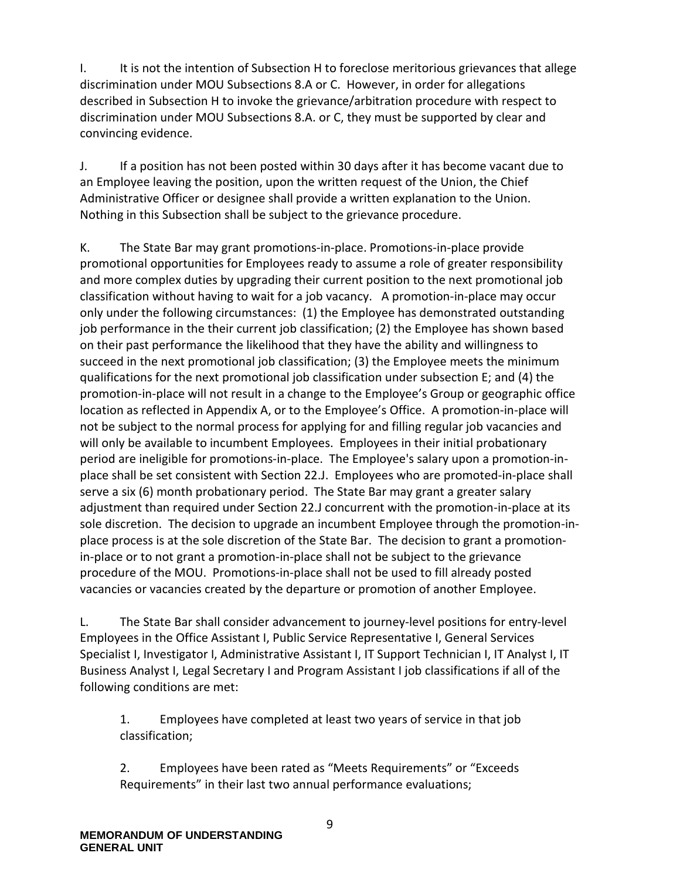I. It is not the intention of Subsection H to foreclose meritorious grievances that allege discrimination under MOU Subsections 8.A or C. However, in order for allegations described in Subsection H to invoke the grievance/arbitration procedure with respect to discrimination under MOU Subsections 8.A. or C, they must be supported by clear and convincing evidence.

J. If a position has not been posted within 30 days after it has become vacant due to an Employee leaving the position, upon the written request of the Union, the Chief Administrative Officer or designee shall provide a written explanation to the Union. Nothing in this Subsection shall be subject to the grievance procedure.

K. The State Bar may grant promotions-in-place. Promotions-in-place provide promotional opportunities for Employees ready to assume a role of greater responsibility and more complex duties by upgrading their current position to the next promotional job classification without having to wait for a job vacancy. A promotion-in-place may occur only under the following circumstances: (1) the Employee has demonstrated outstanding job performance in the their current job classification; (2) the Employee has shown based on their past performance the likelihood that they have the ability and willingness to succeed in the next promotional job classification; (3) the Employee meets the minimum qualifications for the next promotional job classification under subsection E; and (4) the promotion-in-place will not result in a change to the Employee's Group or geographic office location as reflected in Appendix A, or to the Employee's Office. A promotion-in-place will not be subject to the normal process for applying for and filling regular job vacancies and will only be available to incumbent Employees. Employees in their initial probationary period are ineligible for promotions-in-place. The Employee's salary upon a promotion-inplace shall be set consistent with Section 22.J. Employees who are promoted-in-place shall serve a six (6) month probationary period. The State Bar may grant a greater salary adjustment than required under Section 22.J concurrent with the promotion-in-place at its sole discretion. The decision to upgrade an incumbent Employee through the promotion-inplace process is at the sole discretion of the State Bar. The decision to grant a promotionin-place or to not grant a promotion-in-place shall not be subject to the grievance procedure of the MOU. Promotions-in-place shall not be used to fill already posted vacancies or vacancies created by the departure or promotion of another Employee.

L. The State Bar shall consider advancement to journey-level positions for entry-level Employees in the Office Assistant I, Public Service Representative I, General Services Specialist I, Investigator I, Administrative Assistant I, IT Support Technician I, IT Analyst I, IT Business Analyst I, Legal Secretary I and Program Assistant I job classifications if all of the following conditions are met:

1. Employees have completed at least two years of service in that job classification;

2. Employees have been rated as "Meets Requirements" or "Exceeds Requirements" in their last two annual performance evaluations;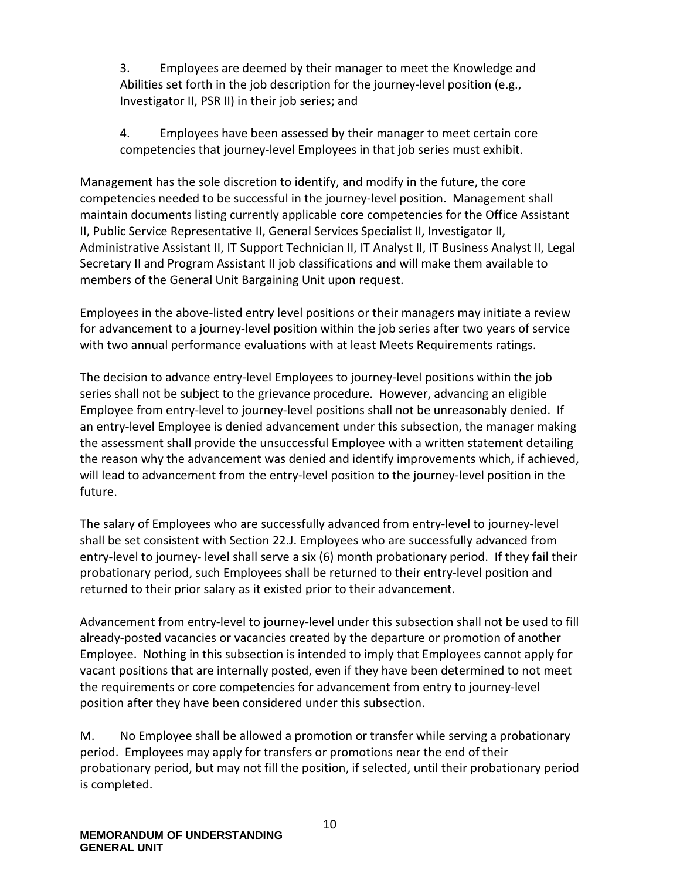3. Employees are deemed by their manager to meet the Knowledge and Abilities set forth in the job description for the journey-level position (e.g., Investigator II, PSR II) in their job series; and

4. Employees have been assessed by their manager to meet certain core competencies that journey-level Employees in that job series must exhibit.

Management has the sole discretion to identify, and modify in the future, the core competencies needed to be successful in the journey-level position. Management shall maintain documents listing currently applicable core competencies for the Office Assistant II, Public Service Representative II, General Services Specialist II, Investigator II, Administrative Assistant II, IT Support Technician II, IT Analyst II, IT Business Analyst II, Legal Secretary II and Program Assistant II job classifications and will make them available to members of the General Unit Bargaining Unit upon request.

Employees in the above-listed entry level positions or their managers may initiate a review for advancement to a journey-level position within the job series after two years of service with two annual performance evaluations with at least Meets Requirements ratings.

The decision to advance entry-level Employees to journey-level positions within the job series shall not be subject to the grievance procedure. However, advancing an eligible Employee from entry-level to journey-level positions shall not be unreasonably denied. If an entry-level Employee is denied advancement under this subsection, the manager making the assessment shall provide the unsuccessful Employee with a written statement detailing the reason why the advancement was denied and identify improvements which, if achieved, will lead to advancement from the entry-level position to the journey-level position in the future.

The salary of Employees who are successfully advanced from entry-level to journey-level shall be set consistent with Section 22.J. Employees who are successfully advanced from entry-level to journey- level shall serve a six (6) month probationary period. If they fail their probationary period, such Employees shall be returned to their entry-level position and returned to their prior salary as it existed prior to their advancement.

Advancement from entry-level to journey-level under this subsection shall not be used to fill already-posted vacancies or vacancies created by the departure or promotion of another Employee. Nothing in this subsection is intended to imply that Employees cannot apply for vacant positions that are internally posted, even if they have been determined to not meet the requirements or core competencies for advancement from entry to journey-level position after they have been considered under this subsection.

M. No Employee shall be allowed a promotion or transfer while serving a probationary period. Employees may apply for transfers or promotions near the end of their probationary period, but may not fill the position, if selected, until their probationary period is completed.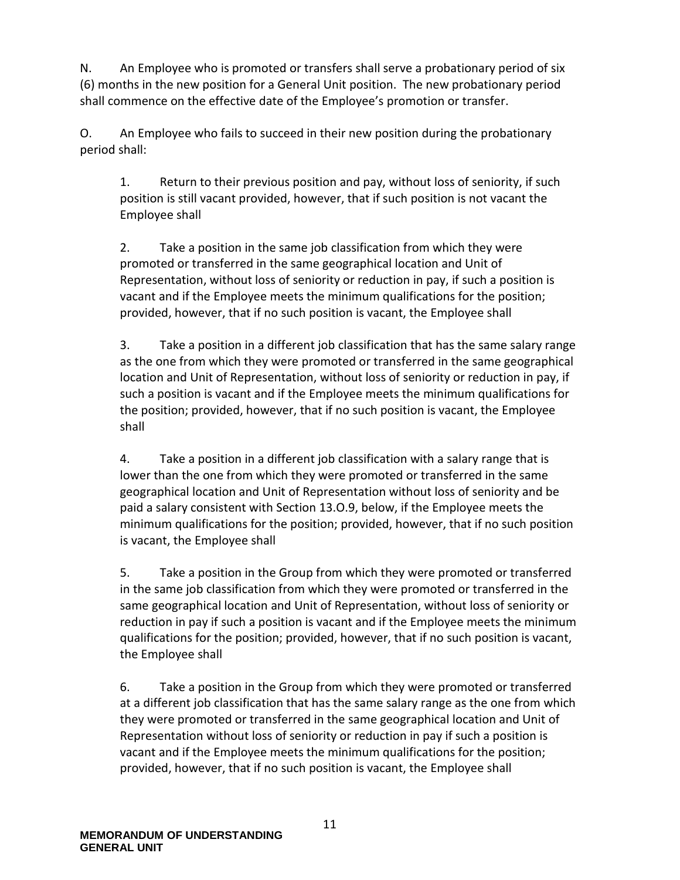N. An Employee who is promoted or transfers shall serve a probationary period of six (6) months in the new position for a General Unit position. The new probationary period shall commence on the effective date of the Employee's promotion or transfer.

O. An Employee who fails to succeed in their new position during the probationary period shall:

1. Return to their previous position and pay, without loss of seniority, if such position is still vacant provided, however, that if such position is not vacant the Employee shall

2. Take a position in the same job classification from which they were promoted or transferred in the same geographical location and Unit of Representation, without loss of seniority or reduction in pay, if such a position is vacant and if the Employee meets the minimum qualifications for the position; provided, however, that if no such position is vacant, the Employee shall

3. Take a position in a different job classification that has the same salary range as the one from which they were promoted or transferred in the same geographical location and Unit of Representation, without loss of seniority or reduction in pay, if such a position is vacant and if the Employee meets the minimum qualifications for the position; provided, however, that if no such position is vacant, the Employee shall

4. Take a position in a different job classification with a salary range that is lower than the one from which they were promoted or transferred in the same geographical location and Unit of Representation without loss of seniority and be paid a salary consistent with Section 13.O.9, below, if the Employee meets the minimum qualifications for the position; provided, however, that if no such position is vacant, the Employee shall

5. Take a position in the Group from which they were promoted or transferred in the same job classification from which they were promoted or transferred in the same geographical location and Unit of Representation, without loss of seniority or reduction in pay if such a position is vacant and if the Employee meets the minimum qualifications for the position; provided, however, that if no such position is vacant, the Employee shall

6. Take a position in the Group from which they were promoted or transferred at a different job classification that has the same salary range as the one from which they were promoted or transferred in the same geographical location and Unit of Representation without loss of seniority or reduction in pay if such a position is vacant and if the Employee meets the minimum qualifications for the position; provided, however, that if no such position is vacant, the Employee shall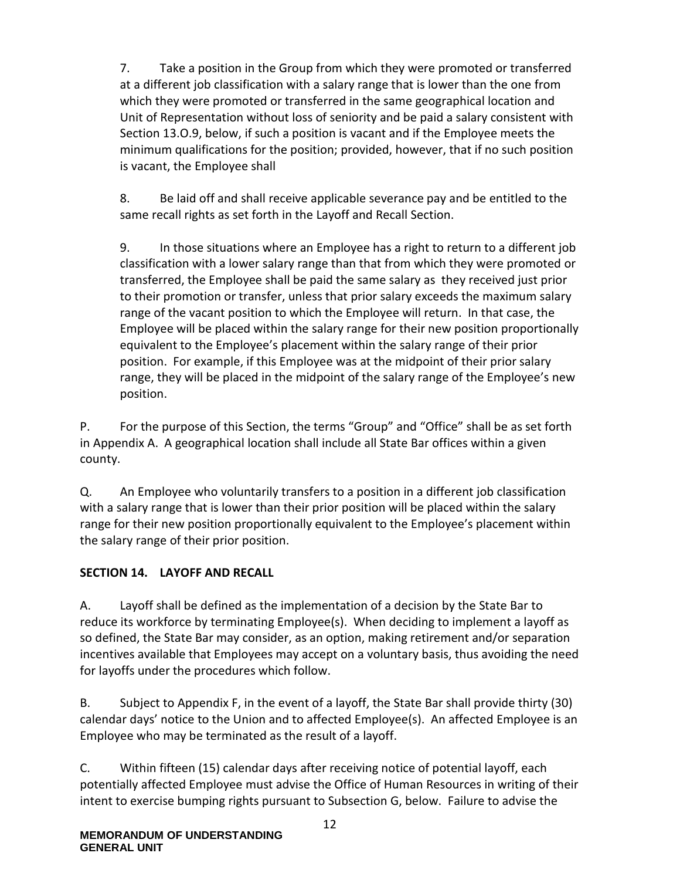7. Take a position in the Group from which they were promoted or transferred at a different job classification with a salary range that is lower than the one from which they were promoted or transferred in the same geographical location and Unit of Representation without loss of seniority and be paid a salary consistent with Section 13.O.9, below, if such a position is vacant and if the Employee meets the minimum qualifications for the position; provided, however, that if no such position is vacant, the Employee shall

8. Be laid off and shall receive applicable severance pay and be entitled to the same recall rights as set forth in the Layoff and Recall Section.

9. In those situations where an Employee has a right to return to a different job classification with a lower salary range than that from which they were promoted or transferred, the Employee shall be paid the same salary as they received just prior to their promotion or transfer, unless that prior salary exceeds the maximum salary range of the vacant position to which the Employee will return. In that case, the Employee will be placed within the salary range for their new position proportionally equivalent to the Employee's placement within the salary range of their prior position. For example, if this Employee was at the midpoint of their prior salary range, they will be placed in the midpoint of the salary range of the Employee's new position.

P. For the purpose of this Section, the terms "Group" and "Office" shall be as set forth in Appendix A. A geographical location shall include all State Bar offices within a given county.

Q. An Employee who voluntarily transfers to a position in a different job classification with a salary range that is lower than their prior position will be placed within the salary range for their new position proportionally equivalent to the Employee's placement within the salary range of their prior position.

### <span id="page-15-0"></span>**SECTION 14. LAYOFF AND RECALL**

A. Layoff shall be defined as the implementation of a decision by the State Bar to reduce its workforce by terminating Employee(s). When deciding to implement a layoff as so defined, the State Bar may consider, as an option, making retirement and/or separation incentives available that Employees may accept on a voluntary basis, thus avoiding the need for layoffs under the procedures which follow.

B. Subject to Appendix F, in the event of a layoff, the State Bar shall provide thirty (30) calendar days' notice to the Union and to affected Employee(s). An affected Employee is an Employee who may be terminated as the result of a layoff.

C. Within fifteen (15) calendar days after receiving notice of potential layoff, each potentially affected Employee must advise the Office of Human Resources in writing of their intent to exercise bumping rights pursuant to Subsection G, below. Failure to advise the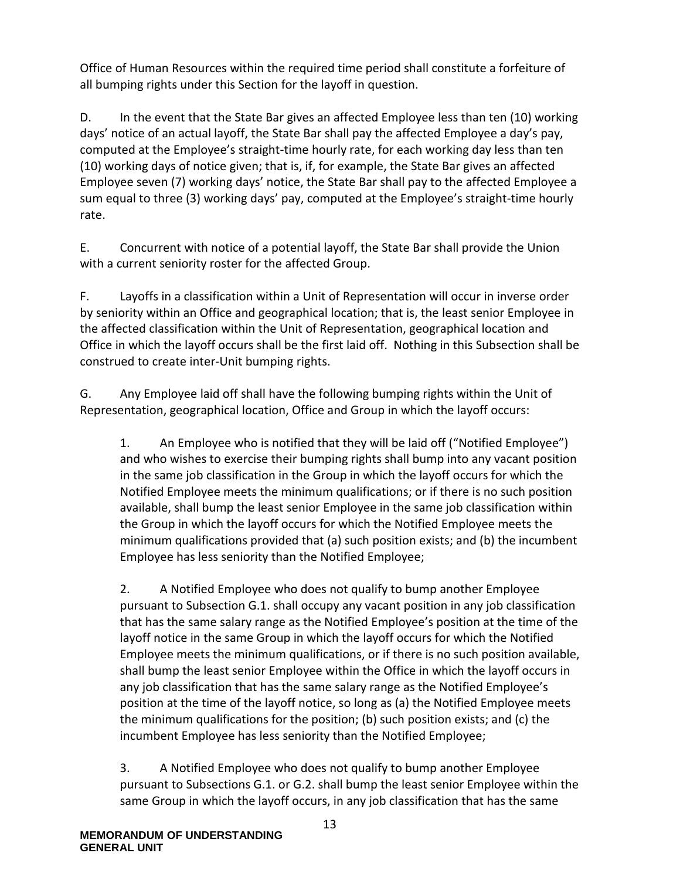Office of Human Resources within the required time period shall constitute a forfeiture of all bumping rights under this Section for the layoff in question.

D. In the event that the State Bar gives an affected Employee less than ten (10) working days' notice of an actual layoff, the State Bar shall pay the affected Employee a day's pay, computed at the Employee's straight-time hourly rate, for each working day less than ten (10) working days of notice given; that is, if, for example, the State Bar gives an affected Employee seven (7) working days' notice, the State Bar shall pay to the affected Employee a sum equal to three (3) working days' pay, computed at the Employee's straight-time hourly rate.

E. Concurrent with notice of a potential layoff, the State Bar shall provide the Union with a current seniority roster for the affected Group.

F. Layoffs in a classification within a Unit of Representation will occur in inverse order by seniority within an Office and geographical location; that is, the least senior Employee in the affected classification within the Unit of Representation, geographical location and Office in which the layoff occurs shall be the first laid off. Nothing in this Subsection shall be construed to create inter-Unit bumping rights.

G. Any Employee laid off shall have the following bumping rights within the Unit of Representation, geographical location, Office and Group in which the layoff occurs:

1. An Employee who is notified that they will be laid off ("Notified Employee") and who wishes to exercise their bumping rights shall bump into any vacant position in the same job classification in the Group in which the layoff occurs for which the Notified Employee meets the minimum qualifications; or if there is no such position available, shall bump the least senior Employee in the same job classification within the Group in which the layoff occurs for which the Notified Employee meets the minimum qualifications provided that (a) such position exists; and (b) the incumbent Employee has less seniority than the Notified Employee;

2. A Notified Employee who does not qualify to bump another Employee pursuant to Subsection G.1. shall occupy any vacant position in any job classification that has the same salary range as the Notified Employee's position at the time of the layoff notice in the same Group in which the layoff occurs for which the Notified Employee meets the minimum qualifications, or if there is no such position available, shall bump the least senior Employee within the Office in which the layoff occurs in any job classification that has the same salary range as the Notified Employee's position at the time of the layoff notice, so long as (a) the Notified Employee meets the minimum qualifications for the position; (b) such position exists; and (c) the incumbent Employee has less seniority than the Notified Employee;

3. A Notified Employee who does not qualify to bump another Employee pursuant to Subsections G.1. or G.2. shall bump the least senior Employee within the same Group in which the layoff occurs, in any job classification that has the same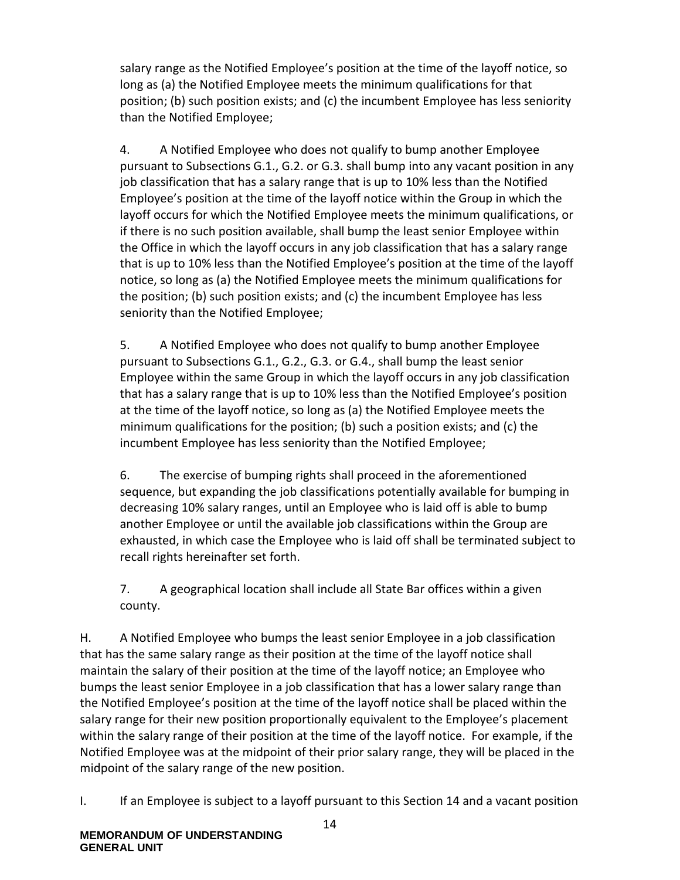salary range as the Notified Employee's position at the time of the layoff notice, so long as (a) the Notified Employee meets the minimum qualifications for that position; (b) such position exists; and (c) the incumbent Employee has less seniority than the Notified Employee;

4. A Notified Employee who does not qualify to bump another Employee pursuant to Subsections G.1., G.2. or G.3. shall bump into any vacant position in any job classification that has a salary range that is up to 10% less than the Notified Employee's position at the time of the layoff notice within the Group in which the layoff occurs for which the Notified Employee meets the minimum qualifications, or if there is no such position available, shall bump the least senior Employee within the Office in which the layoff occurs in any job classification that has a salary range that is up to 10% less than the Notified Employee's position at the time of the layoff notice, so long as (a) the Notified Employee meets the minimum qualifications for the position; (b) such position exists; and (c) the incumbent Employee has less seniority than the Notified Employee;

5. A Notified Employee who does not qualify to bump another Employee pursuant to Subsections G.1., G.2., G.3. or G.4., shall bump the least senior Employee within the same Group in which the layoff occurs in any job classification that has a salary range that is up to 10% less than the Notified Employee's position at the time of the layoff notice, so long as (a) the Notified Employee meets the minimum qualifications for the position; (b) such a position exists; and (c) the incumbent Employee has less seniority than the Notified Employee;

6. The exercise of bumping rights shall proceed in the aforementioned sequence, but expanding the job classifications potentially available for bumping in decreasing 10% salary ranges, until an Employee who is laid off is able to bump another Employee or until the available job classifications within the Group are exhausted, in which case the Employee who is laid off shall be terminated subject to recall rights hereinafter set forth.

7. A geographical location shall include all State Bar offices within a given county.

H. A Notified Employee who bumps the least senior Employee in a job classification that has the same salary range as their position at the time of the layoff notice shall maintain the salary of their position at the time of the layoff notice; an Employee who bumps the least senior Employee in a job classification that has a lower salary range than the Notified Employee's position at the time of the layoff notice shall be placed within the salary range for their new position proportionally equivalent to the Employee's placement within the salary range of their position at the time of the layoff notice. For example, if the Notified Employee was at the midpoint of their prior salary range, they will be placed in the midpoint of the salary range of the new position.

I. If an Employee is subject to a layoff pursuant to this Section 14 and a vacant position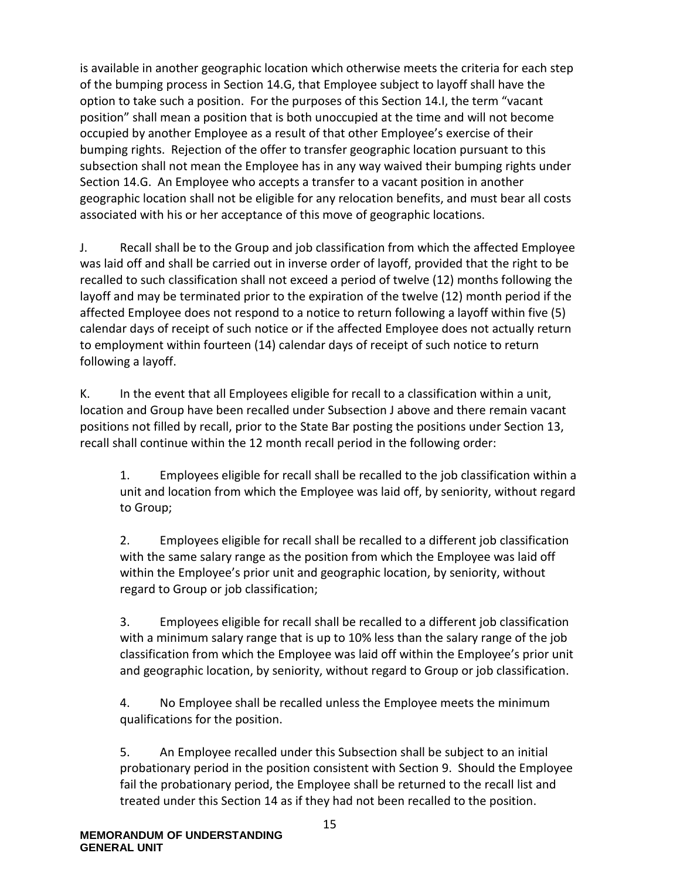is available in another geographic location which otherwise meets the criteria for each step of the bumping process in Section 14.G, that Employee subject to layoff shall have the option to take such a position. For the purposes of this Section 14.I, the term "vacant position" shall mean a position that is both unoccupied at the time and will not become occupied by another Employee as a result of that other Employee's exercise of their bumping rights. Rejection of the offer to transfer geographic location pursuant to this subsection shall not mean the Employee has in any way waived their bumping rights under Section 14.G. An Employee who accepts a transfer to a vacant position in another geographic location shall not be eligible for any relocation benefits, and must bear all costs associated with his or her acceptance of this move of geographic locations.

J. Recall shall be to the Group and job classification from which the affected Employee was laid off and shall be carried out in inverse order of layoff, provided that the right to be recalled to such classification shall not exceed a period of twelve (12) months following the layoff and may be terminated prior to the expiration of the twelve (12) month period if the affected Employee does not respond to a notice to return following a layoff within five (5) calendar days of receipt of such notice or if the affected Employee does not actually return to employment within fourteen (14) calendar days of receipt of such notice to return following a layoff.

K. In the event that all Employees eligible for recall to a classification within a unit, location and Group have been recalled under Subsection J above and there remain vacant positions not filled by recall, prior to the State Bar posting the positions under Section 13, recall shall continue within the 12 month recall period in the following order:

1. Employees eligible for recall shall be recalled to the job classification within a unit and location from which the Employee was laid off, by seniority, without regard to Group;

2. Employees eligible for recall shall be recalled to a different job classification with the same salary range as the position from which the Employee was laid off within the Employee's prior unit and geographic location, by seniority, without regard to Group or job classification;

3. Employees eligible for recall shall be recalled to a different job classification with a minimum salary range that is up to 10% less than the salary range of the job classification from which the Employee was laid off within the Employee's prior unit and geographic location, by seniority, without regard to Group or job classification.

4. No Employee shall be recalled unless the Employee meets the minimum qualifications for the position.

5. An Employee recalled under this Subsection shall be subject to an initial probationary period in the position consistent with Section 9. Should the Employee fail the probationary period, the Employee shall be returned to the recall list and treated under this Section 14 as if they had not been recalled to the position.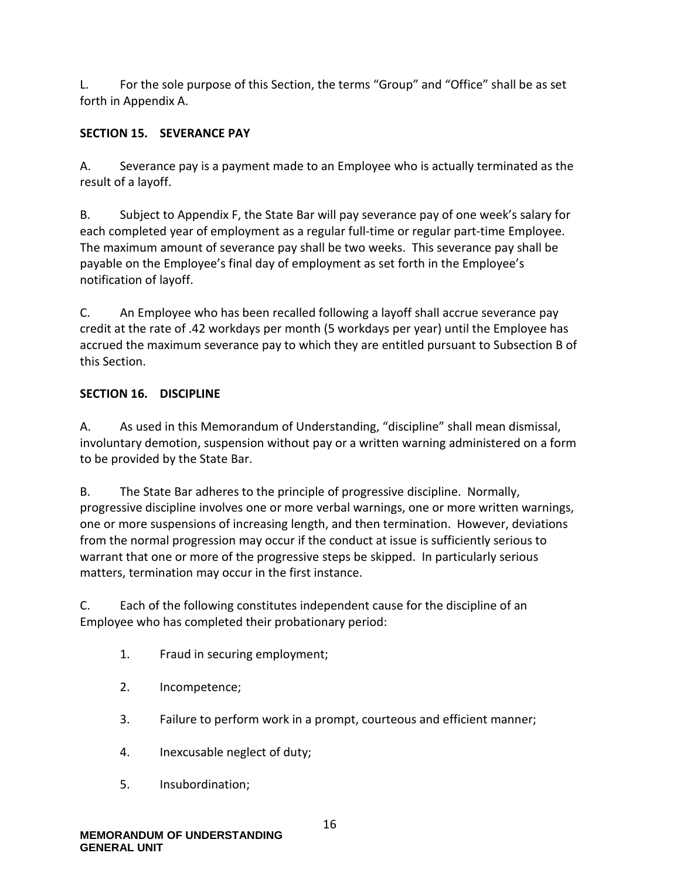L. For the sole purpose of this Section, the terms "Group" and "Office" shall be as set forth in Appendix A.

#### <span id="page-19-0"></span>**SECTION 15. SEVERANCE PAY**

A. Severance pay is a payment made to an Employee who is actually terminated as the result of a layoff.

B. Subject to Appendix F, the State Bar will pay severance pay of one week's salary for each completed year of employment as a regular full-time or regular part-time Employee. The maximum amount of severance pay shall be two weeks. This severance pay shall be payable on the Employee's final day of employment as set forth in the Employee's notification of layoff.

C. An Employee who has been recalled following a layoff shall accrue severance pay credit at the rate of .42 workdays per month (5 workdays per year) until the Employee has accrued the maximum severance pay to which they are entitled pursuant to Subsection B of this Section.

### <span id="page-19-1"></span>**SECTION 16. DISCIPLINE**

A. As used in this Memorandum of Understanding, "discipline" shall mean dismissal, involuntary demotion, suspension without pay or a written warning administered on a form to be provided by the State Bar.

B. The State Bar adheres to the principle of progressive discipline. Normally, progressive discipline involves one or more verbal warnings, one or more written warnings, one or more suspensions of increasing length, and then termination. However, deviations from the normal progression may occur if the conduct at issue is sufficiently serious to warrant that one or more of the progressive steps be skipped. In particularly serious matters, termination may occur in the first instance.

C. Each of the following constitutes independent cause for the discipline of an Employee who has completed their probationary period:

- 1. Fraud in securing employment;
- 2. Incompetence;
- 3. Failure to perform work in a prompt, courteous and efficient manner;
- 4. Inexcusable neglect of duty;
- 5. Insubordination;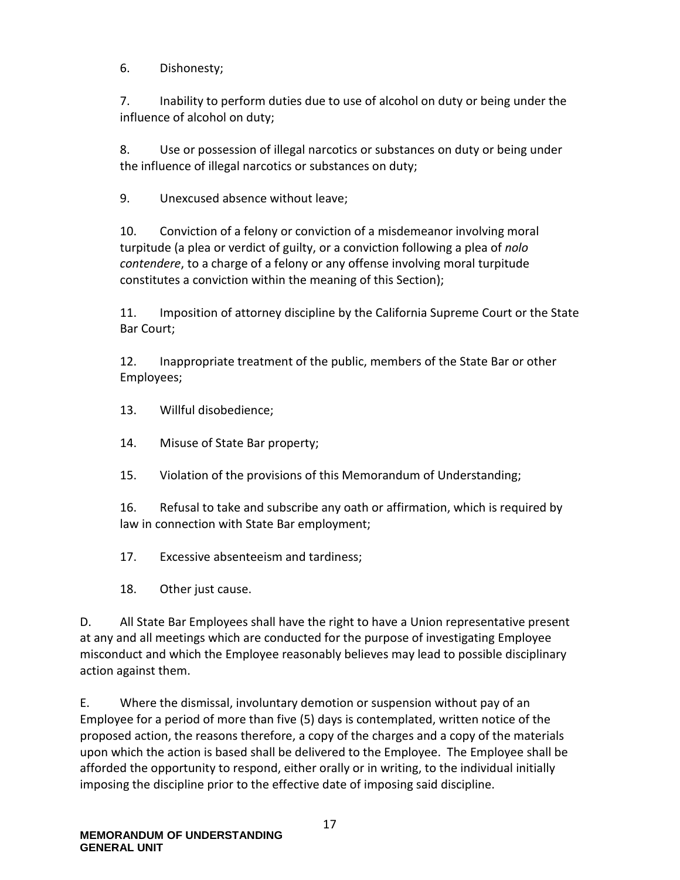6. Dishonesty;

7. Inability to perform duties due to use of alcohol on duty or being under the influence of alcohol on duty;

8. Use or possession of illegal narcotics or substances on duty or being under the influence of illegal narcotics or substances on duty;

9. Unexcused absence without leave;

10. Conviction of a felony or conviction of a misdemeanor involving moral turpitude (a plea or verdict of guilty, or a conviction following a plea of *nolo contendere*, to a charge of a felony or any offense involving moral turpitude constitutes a conviction within the meaning of this Section);

11. Imposition of attorney discipline by the California Supreme Court or the State Bar Court;

12. Inappropriate treatment of the public, members of the State Bar or other Employees;

13. Willful disobedience;

14. Misuse of State Bar property;

15. Violation of the provisions of this Memorandum of Understanding;

16. Refusal to take and subscribe any oath or affirmation, which is required by law in connection with State Bar employment;

17. Excessive absenteeism and tardiness;

18. Other just cause.

D. All State Bar Employees shall have the right to have a Union representative present at any and all meetings which are conducted for the purpose of investigating Employee misconduct and which the Employee reasonably believes may lead to possible disciplinary action against them.

E. Where the dismissal, involuntary demotion or suspension without pay of an Employee for a period of more than five (5) days is contemplated, written notice of the proposed action, the reasons therefore, a copy of the charges and a copy of the materials upon which the action is based shall be delivered to the Employee. The Employee shall be afforded the opportunity to respond, either orally or in writing, to the individual initially imposing the discipline prior to the effective date of imposing said discipline.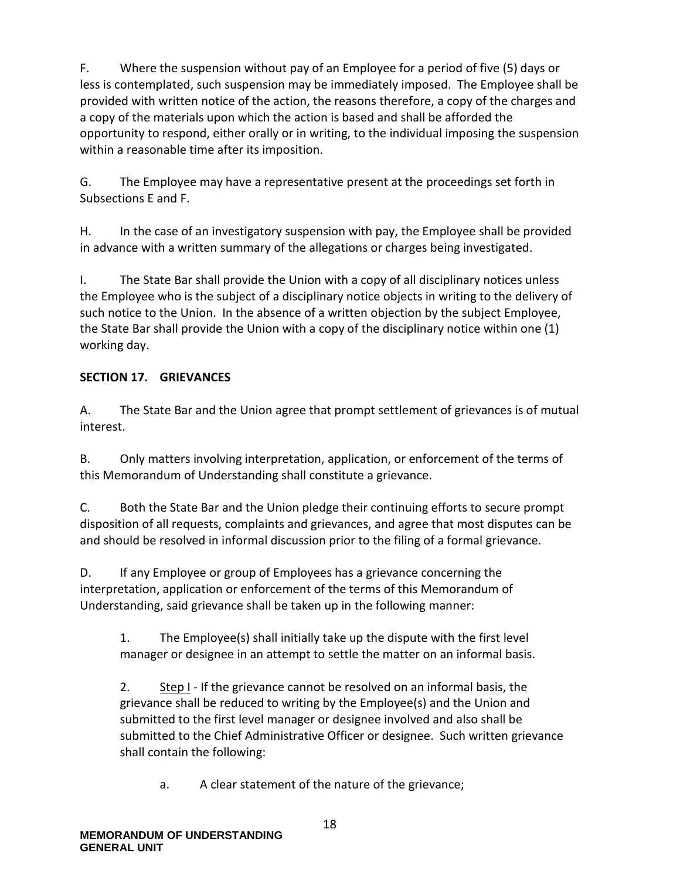F. Where the suspension without pay of an Employee for a period of five (5) days or less is contemplated, such suspension may be immediately imposed. The Employee shall be provided with written notice of the action, the reasons therefore, a copy of the charges and a copy of the materials upon which the action is based and shall be afforded the opportunity to respond, either orally or in writing, to the individual imposing the suspension within a reasonable time after its imposition.

G. The Employee may have a representative present at the proceedings set forth in Subsections E and F.

H. In the case of an investigatory suspension with pay, the Employee shall be provided in advance with a written summary of the allegations or charges being investigated.

I. The State Bar shall provide the Union with a copy of all disciplinary notices unless the Employee who is the subject of a disciplinary notice objects in writing to the delivery of such notice to the Union. In the absence of a written objection by the subject Employee, the State Bar shall provide the Union with a copy of the disciplinary notice within one (1) working day.

### <span id="page-21-0"></span>**SECTION 17. GRIEVANCES**

A. The State Bar and the Union agree that prompt settlement of grievances is of mutual interest.

B. Only matters involving interpretation, application, or enforcement of the terms of this Memorandum of Understanding shall constitute a grievance.

C. Both the State Bar and the Union pledge their continuing efforts to secure prompt disposition of all requests, complaints and grievances, and agree that most disputes can be and should be resolved in informal discussion prior to the filing of a formal grievance.

D. If any Employee or group of Employees has a grievance concerning the interpretation, application or enforcement of the terms of this Memorandum of Understanding, said grievance shall be taken up in the following manner:

1. The Employee(s) shall initially take up the dispute with the first level manager or designee in an attempt to settle the matter on an informal basis.

2. Step I - If the grievance cannot be resolved on an informal basis, the grievance shall be reduced to writing by the Employee(s) and the Union and submitted to the first level manager or designee involved and also shall be submitted to the Chief Administrative Officer or designee. Such written grievance shall contain the following:

a. A clear statement of the nature of the grievance;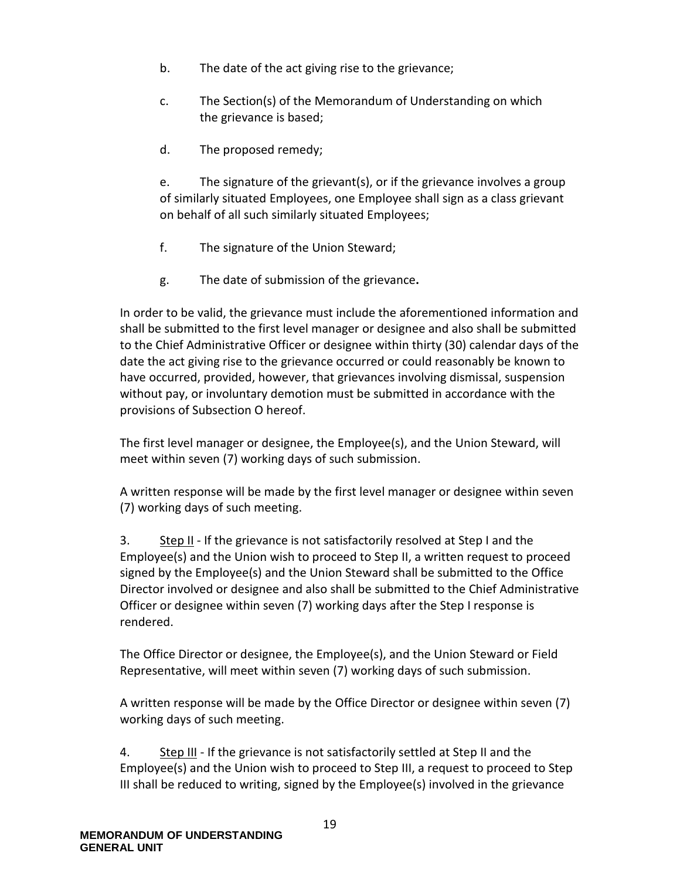- b. The date of the act giving rise to the grievance;
- c. The Section(s) of the Memorandum of Understanding on which the grievance is based;
- d. The proposed remedy;

e. The signature of the grievant(s), or if the grievance involves a group of similarly situated Employees, one Employee shall sign as a class grievant on behalf of all such similarly situated Employees;

- f. The signature of the Union Steward;
- g. The date of submission of the grievance**.**

In order to be valid, the grievance must include the aforementioned information and shall be submitted to the first level manager or designee and also shall be submitted to the Chief Administrative Officer or designee within thirty (30) calendar days of the date the act giving rise to the grievance occurred or could reasonably be known to have occurred, provided, however, that grievances involving dismissal, suspension without pay, or involuntary demotion must be submitted in accordance with the provisions of Subsection O hereof.

The first level manager or designee, the Employee(s), and the Union Steward, will meet within seven (7) working days of such submission.

A written response will be made by the first level manager or designee within seven (7) working days of such meeting.

3. Step II - If the grievance is not satisfactorily resolved at Step I and the Employee(s) and the Union wish to proceed to Step II, a written request to proceed signed by the Employee(s) and the Union Steward shall be submitted to the Office Director involved or designee and also shall be submitted to the Chief Administrative Officer or designee within seven (7) working days after the Step I response is rendered.

The Office Director or designee, the Employee(s), and the Union Steward or Field Representative, will meet within seven (7) working days of such submission.

A written response will be made by the Office Director or designee within seven (7) working days of such meeting.

4. Step III - If the grievance is not satisfactorily settled at Step II and the Employee(s) and the Union wish to proceed to Step III, a request to proceed to Step III shall be reduced to writing, signed by the Employee(s) involved in the grievance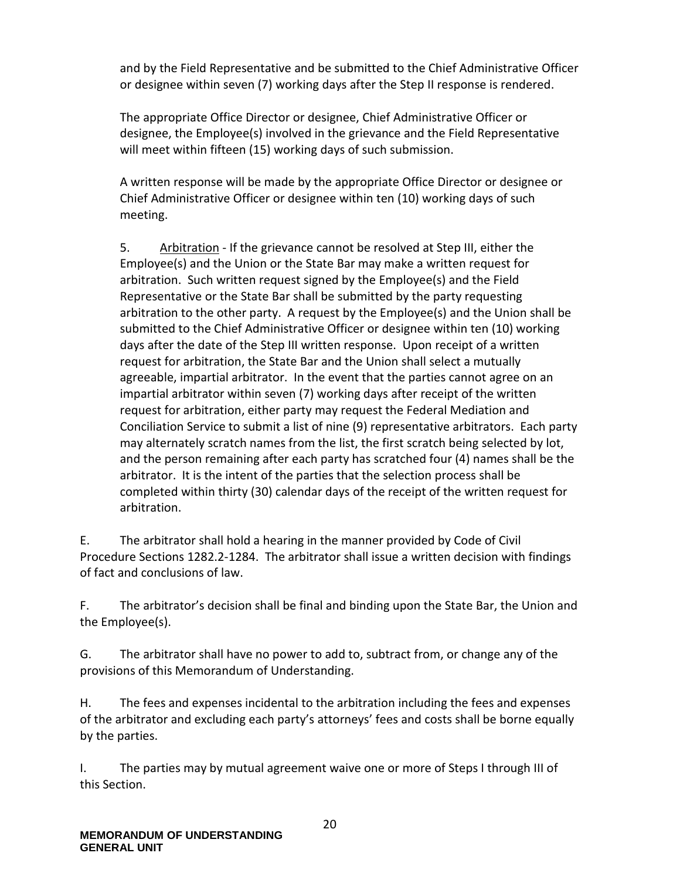and by the Field Representative and be submitted to the Chief Administrative Officer or designee within seven (7) working days after the Step II response is rendered.

The appropriate Office Director or designee, Chief Administrative Officer or designee, the Employee(s) involved in the grievance and the Field Representative will meet within fifteen (15) working days of such submission.

A written response will be made by the appropriate Office Director or designee or Chief Administrative Officer or designee within ten (10) working days of such meeting.

5. Arbitration - If the grievance cannot be resolved at Step III, either the Employee(s) and the Union or the State Bar may make a written request for arbitration. Such written request signed by the Employee(s) and the Field Representative or the State Bar shall be submitted by the party requesting arbitration to the other party. A request by the Employee(s) and the Union shall be submitted to the Chief Administrative Officer or designee within ten (10) working days after the date of the Step III written response. Upon receipt of a written request for arbitration, the State Bar and the Union shall select a mutually agreeable, impartial arbitrator. In the event that the parties cannot agree on an impartial arbitrator within seven (7) working days after receipt of the written request for arbitration, either party may request the Federal Mediation and Conciliation Service to submit a list of nine (9) representative arbitrators. Each party may alternately scratch names from the list, the first scratch being selected by lot, and the person remaining after each party has scratched four (4) names shall be the arbitrator. It is the intent of the parties that the selection process shall be completed within thirty (30) calendar days of the receipt of the written request for arbitration.

E. The arbitrator shall hold a hearing in the manner provided by Code of Civil Procedure Sections 1282.2-1284. The arbitrator shall issue a written decision with findings of fact and conclusions of law.

F. The arbitrator's decision shall be final and binding upon the State Bar, the Union and the Employee(s).

G. The arbitrator shall have no power to add to, subtract from, or change any of the provisions of this Memorandum of Understanding.

H. The fees and expenses incidental to the arbitration including the fees and expenses of the arbitrator and excluding each party's attorneys' fees and costs shall be borne equally by the parties.

I. The parties may by mutual agreement waive one or more of Steps I through III of this Section.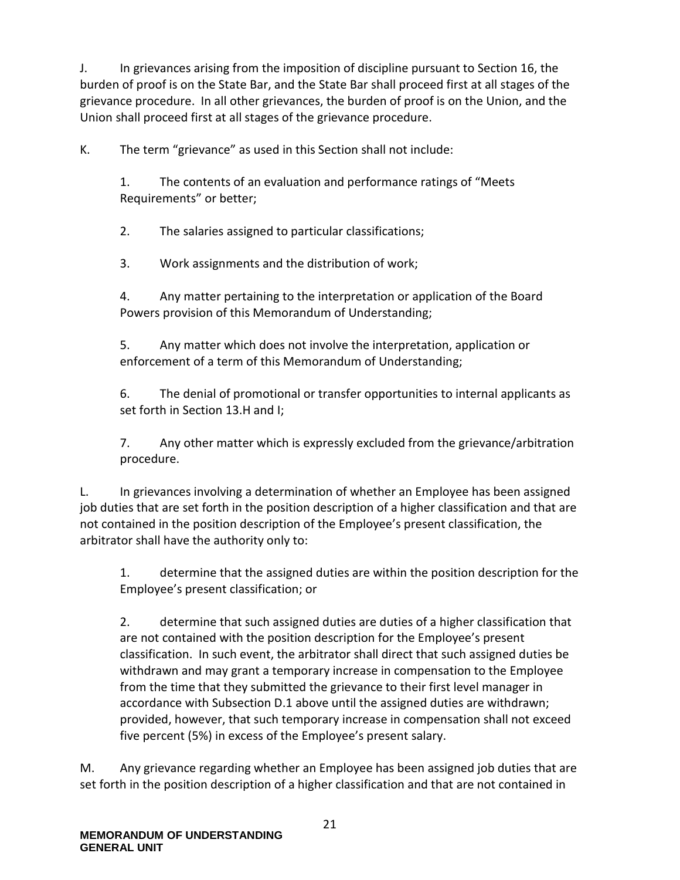J. In grievances arising from the imposition of discipline pursuant to Section 16, the burden of proof is on the State Bar, and the State Bar shall proceed first at all stages of the grievance procedure. In all other grievances, the burden of proof is on the Union, and the Union shall proceed first at all stages of the grievance procedure.

K. The term "grievance" as used in this Section shall not include:

1. The contents of an evaluation and performance ratings of "Meets Requirements" or better;

2. The salaries assigned to particular classifications;

3. Work assignments and the distribution of work;

4. Any matter pertaining to the interpretation or application of the Board Powers provision of this Memorandum of Understanding;

5. Any matter which does not involve the interpretation, application or enforcement of a term of this Memorandum of Understanding;

6. The denial of promotional or transfer opportunities to internal applicants as set forth in Section 13.H and I;

7. Any other matter which is expressly excluded from the grievance/arbitration procedure.

L. In grievances involving a determination of whether an Employee has been assigned job duties that are set forth in the position description of a higher classification and that are not contained in the position description of the Employee's present classification, the arbitrator shall have the authority only to:

1. determine that the assigned duties are within the position description for the Employee's present classification; or

2. determine that such assigned duties are duties of a higher classification that are not contained with the position description for the Employee's present classification. In such event, the arbitrator shall direct that such assigned duties be withdrawn and may grant a temporary increase in compensation to the Employee from the time that they submitted the grievance to their first level manager in accordance with Subsection D.1 above until the assigned duties are withdrawn; provided, however, that such temporary increase in compensation shall not exceed five percent (5%) in excess of the Employee's present salary.

M. Any grievance regarding whether an Employee has been assigned job duties that are set forth in the position description of a higher classification and that are not contained in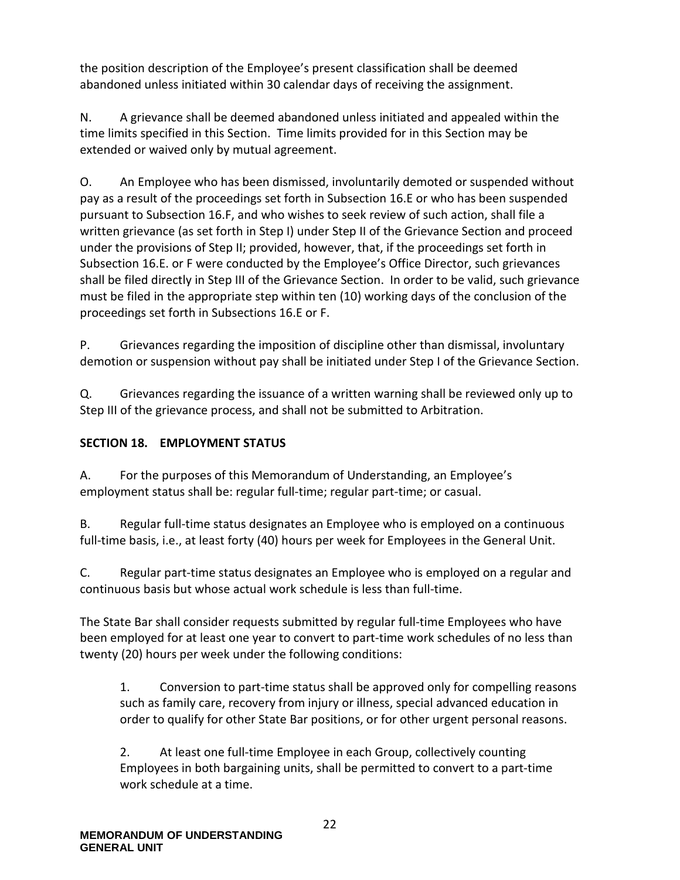the position description of the Employee's present classification shall be deemed abandoned unless initiated within 30 calendar days of receiving the assignment.

N. A grievance shall be deemed abandoned unless initiated and appealed within the time limits specified in this Section. Time limits provided for in this Section may be extended or waived only by mutual agreement.

O. An Employee who has been dismissed, involuntarily demoted or suspended without pay as a result of the proceedings set forth in Subsection 16.E or who has been suspended pursuant to Subsection 16.F, and who wishes to seek review of such action, shall file a written grievance (as set forth in Step I) under Step II of the Grievance Section and proceed under the provisions of Step II; provided, however, that, if the proceedings set forth in Subsection 16.E. or F were conducted by the Employee's Office Director, such grievances shall be filed directly in Step III of the Grievance Section. In order to be valid, such grievance must be filed in the appropriate step within ten (10) working days of the conclusion of the proceedings set forth in Subsections 16.E or F.

P. Grievances regarding the imposition of discipline other than dismissal, involuntary demotion or suspension without pay shall be initiated under Step I of the Grievance Section.

Q. Grievances regarding the issuance of a written warning shall be reviewed only up to Step III of the grievance process, and shall not be submitted to Arbitration.

# <span id="page-25-0"></span>**SECTION 18. EMPLOYMENT STATUS**

A. For the purposes of this Memorandum of Understanding, an Employee's employment status shall be: regular full-time; regular part-time; or casual.

B. Regular full-time status designates an Employee who is employed on a continuous full-time basis, i.e., at least forty (40) hours per week for Employees in the General Unit.

C. Regular part-time status designates an Employee who is employed on a regular and continuous basis but whose actual work schedule is less than full-time.

The State Bar shall consider requests submitted by regular full-time Employees who have been employed for at least one year to convert to part-time work schedules of no less than twenty (20) hours per week under the following conditions:

1. Conversion to part-time status shall be approved only for compelling reasons such as family care, recovery from injury or illness, special advanced education in order to qualify for other State Bar positions, or for other urgent personal reasons.

2. At least one full-time Employee in each Group, collectively counting Employees in both bargaining units, shall be permitted to convert to a part-time work schedule at a time.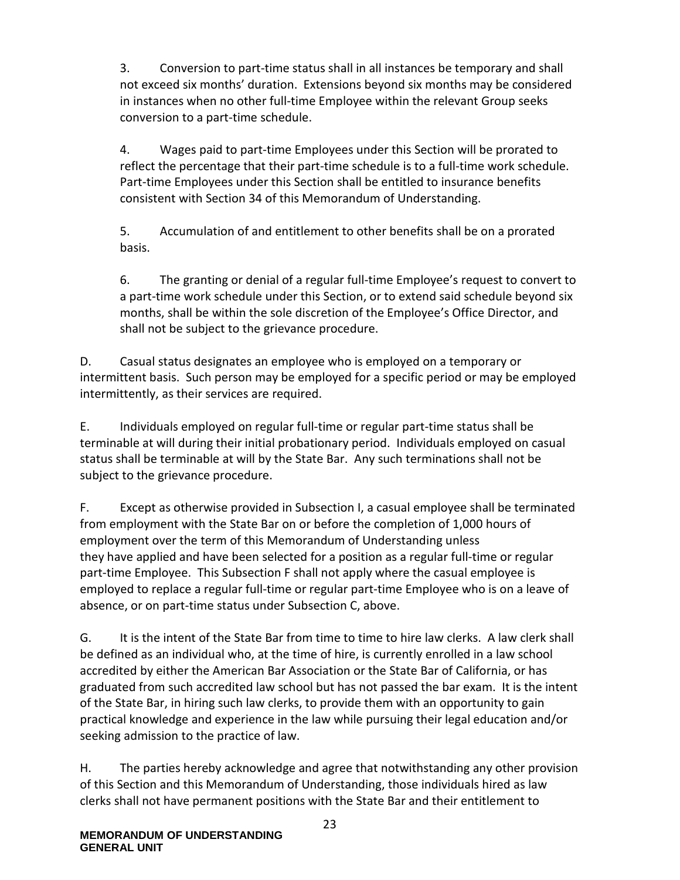3. Conversion to part-time status shall in all instances be temporary and shall not exceed six months' duration. Extensions beyond six months may be considered in instances when no other full-time Employee within the relevant Group seeks conversion to a part-time schedule.

4. Wages paid to part-time Employees under this Section will be prorated to reflect the percentage that their part-time schedule is to a full-time work schedule. Part-time Employees under this Section shall be entitled to insurance benefits consistent with Section 34 of this Memorandum of Understanding.

5. Accumulation of and entitlement to other benefits shall be on a prorated basis.

6. The granting or denial of a regular full-time Employee's request to convert to a part-time work schedule under this Section, or to extend said schedule beyond six months, shall be within the sole discretion of the Employee's Office Director, and shall not be subject to the grievance procedure.

D. Casual status designates an employee who is employed on a temporary or intermittent basis. Such person may be employed for a specific period or may be employed intermittently, as their services are required.

E. Individuals employed on regular full-time or regular part-time status shall be terminable at will during their initial probationary period. Individuals employed on casual status shall be terminable at will by the State Bar. Any such terminations shall not be subject to the grievance procedure.

F. Except as otherwise provided in Subsection I, a casual employee shall be terminated from employment with the State Bar on or before the completion of 1,000 hours of employment over the term of this Memorandum of Understanding unless they have applied and have been selected for a position as a regular full-time or regular part-time Employee. This Subsection F shall not apply where the casual employee is employed to replace a regular full-time or regular part-time Employee who is on a leave of absence, or on part-time status under Subsection C, above.

G. It is the intent of the State Bar from time to time to hire law clerks. A law clerk shall be defined as an individual who, at the time of hire, is currently enrolled in a law school accredited by either the American Bar Association or the State Bar of California, or has graduated from such accredited law school but has not passed the bar exam. It is the intent of the State Bar, in hiring such law clerks, to provide them with an opportunity to gain practical knowledge and experience in the law while pursuing their legal education and/or seeking admission to the practice of law.

H. The parties hereby acknowledge and agree that notwithstanding any other provision of this Section and this Memorandum of Understanding, those individuals hired as law clerks shall not have permanent positions with the State Bar and their entitlement to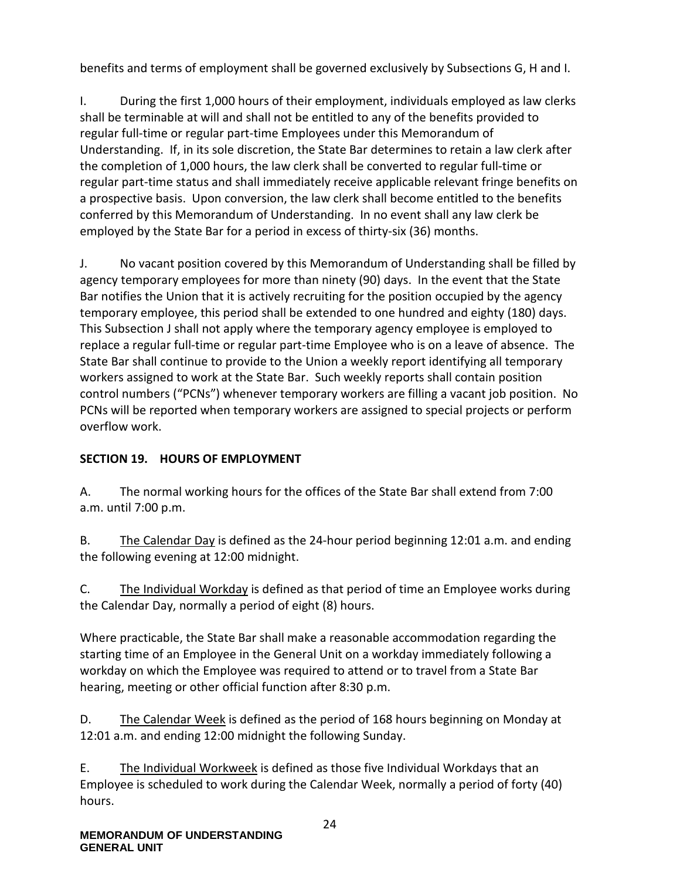benefits and terms of employment shall be governed exclusively by Subsections G, H and I.

I. During the first 1,000 hours of their employment, individuals employed as law clerks shall be terminable at will and shall not be entitled to any of the benefits provided to regular full-time or regular part-time Employees under this Memorandum of Understanding. If, in its sole discretion, the State Bar determines to retain a law clerk after the completion of 1,000 hours, the law clerk shall be converted to regular full-time or regular part-time status and shall immediately receive applicable relevant fringe benefits on a prospective basis. Upon conversion, the law clerk shall become entitled to the benefits conferred by this Memorandum of Understanding. In no event shall any law clerk be employed by the State Bar for a period in excess of thirty-six (36) months.

J. No vacant position covered by this Memorandum of Understanding shall be filled by agency temporary employees for more than ninety (90) days. In the event that the State Bar notifies the Union that it is actively recruiting for the position occupied by the agency temporary employee, this period shall be extended to one hundred and eighty (180) days. This Subsection J shall not apply where the temporary agency employee is employed to replace a regular full-time or regular part-time Employee who is on a leave of absence. The State Bar shall continue to provide to the Union a weekly report identifying all temporary workers assigned to work at the State Bar. Such weekly reports shall contain position control numbers ("PCNs") whenever temporary workers are filling a vacant job position. No PCNs will be reported when temporary workers are assigned to special projects or perform overflow work.

# <span id="page-27-0"></span>**SECTION 19. HOURS OF EMPLOYMENT**

A. The normal working hours for the offices of the State Bar shall extend from 7:00 a.m. until 7:00 p.m.

B. The Calendar Day is defined as the 24-hour period beginning 12:01 a.m. and ending the following evening at 12:00 midnight.

C. The Individual Workday is defined as that period of time an Employee works during the Calendar Day, normally a period of eight (8) hours.

Where practicable, the State Bar shall make a reasonable accommodation regarding the starting time of an Employee in the General Unit on a workday immediately following a workday on which the Employee was required to attend or to travel from a State Bar hearing, meeting or other official function after 8:30 p.m.

D. The Calendar Week is defined as the period of 168 hours beginning on Monday at 12:01 a.m. and ending 12:00 midnight the following Sunday.

E. The Individual Workweek is defined as those five Individual Workdays that an Employee is scheduled to work during the Calendar Week, normally a period of forty (40) hours.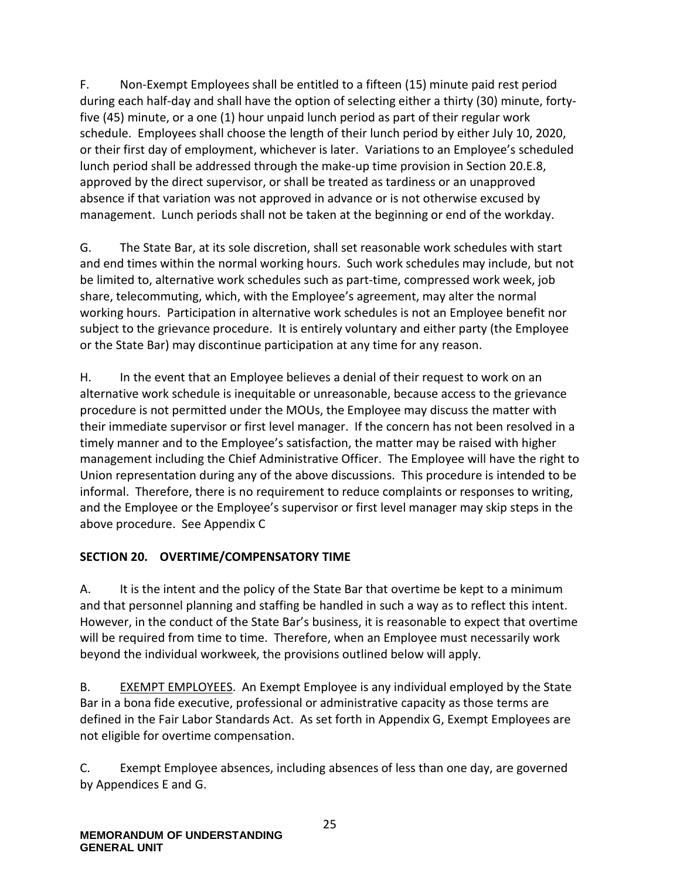F. Non-Exempt Employees shall be entitled to a fifteen (15) minute paid rest period during each half-day and shall have the option of selecting either a thirty (30) minute, fortyfive (45) minute, or a one (1) hour unpaid lunch period as part of their regular work schedule. Employees shall choose the length of their lunch period by either July 10, 2020, or their first day of employment, whichever is later. Variations to an Employee's scheduled lunch period shall be addressed through the make-up time provision in Section 20.E.8, approved by the direct supervisor, or shall be treated as tardiness or an unapproved absence if that variation was not approved in advance or is not otherwise excused by management. Lunch periods shall not be taken at the beginning or end of the workday.

G. The State Bar, at its sole discretion, shall set reasonable work schedules with start and end times within the normal working hours. Such work schedules may include, but not be limited to, alternative work schedules such as part-time, compressed work week, job share, telecommuting, which, with the Employee's agreement, may alter the normal working hours. Participation in alternative work schedules is not an Employee benefit nor subject to the grievance procedure. It is entirely voluntary and either party (the Employee or the State Bar) may discontinue participation at any time for any reason.

H. In the event that an Employee believes a denial of their request to work on an alternative work schedule is inequitable or unreasonable, because access to the grievance procedure is not permitted under the MOUs, the Employee may discuss the matter with their immediate supervisor or first level manager. If the concern has not been resolved in a timely manner and to the Employee's satisfaction, the matter may be raised with higher management including the Chief Administrative Officer. The Employee will have the right to Union representation during any of the above discussions. This procedure is intended to be informal. Therefore, there is no requirement to reduce complaints or responses to writing, and the Employee or the Employee's supervisor or first level manager may skip steps in the above procedure. See Appendix C

### <span id="page-28-0"></span>**SECTION 20. OVERTIME/COMPENSATORY TIME**

A. It is the intent and the policy of the State Bar that overtime be kept to a minimum and that personnel planning and staffing be handled in such a way as to reflect this intent. However, in the conduct of the State Bar's business, it is reasonable to expect that overtime will be required from time to time. Therefore, when an Employee must necessarily work beyond the individual workweek, the provisions outlined below will apply.

B. EXEMPT EMPLOYEES. An Exempt Employee is any individual employed by the State Bar in a bona fide executive, professional or administrative capacity as those terms are defined in the Fair Labor Standards Act. As set forth in Appendix G, Exempt Employees are not eligible for overtime compensation.

C. Exempt Employee absences, including absences of less than one day, are governed by Appendices E and G.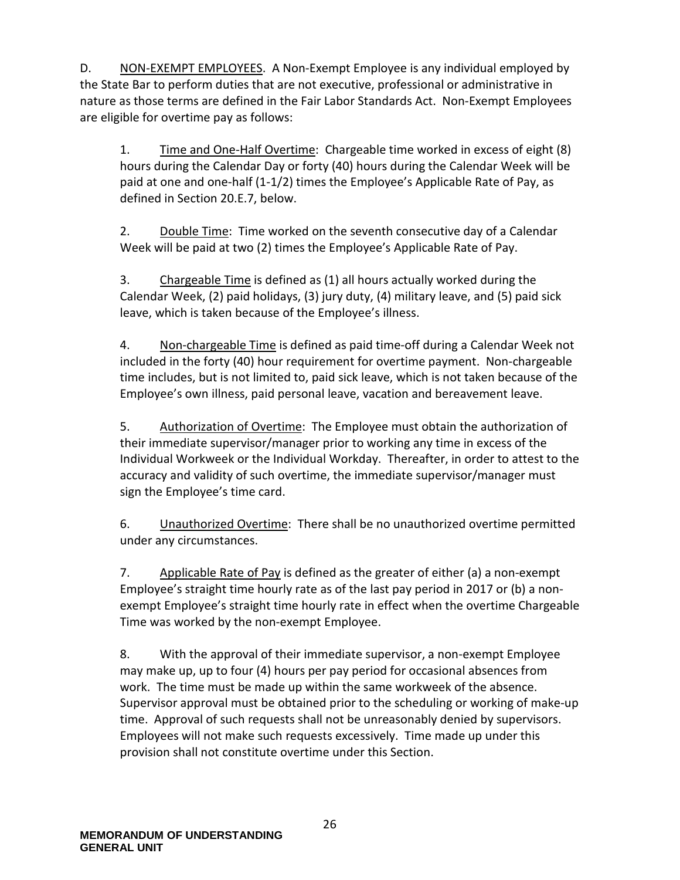D. NON-EXEMPT EMPLOYEES. A Non-Exempt Employee is any individual employed by the State Bar to perform duties that are not executive, professional or administrative in nature as those terms are defined in the Fair Labor Standards Act. Non-Exempt Employees are eligible for overtime pay as follows:

1. Time and One-Half Overtime: Chargeable time worked in excess of eight (8) hours during the Calendar Day or forty (40) hours during the Calendar Week will be paid at one and one-half (1-1/2) times the Employee's Applicable Rate of Pay, as defined in Section 20.E.7, below.

2. Double Time: Time worked on the seventh consecutive day of a Calendar Week will be paid at two (2) times the Employee's Applicable Rate of Pay.

3. Chargeable Time is defined as (1) all hours actually worked during the Calendar Week, (2) paid holidays, (3) jury duty, (4) military leave, and (5) paid sick leave, which is taken because of the Employee's illness.

4. Non-chargeable Time is defined as paid time-off during a Calendar Week not included in the forty (40) hour requirement for overtime payment. Non-chargeable time includes, but is not limited to, paid sick leave, which is not taken because of the Employee's own illness, paid personal leave, vacation and bereavement leave.

5. Authorization of Overtime: The Employee must obtain the authorization of their immediate supervisor/manager prior to working any time in excess of the Individual Workweek or the Individual Workday. Thereafter, in order to attest to the accuracy and validity of such overtime, the immediate supervisor/manager must sign the Employee's time card.

6. Unauthorized Overtime: There shall be no unauthorized overtime permitted under any circumstances.

7. Applicable Rate of Pay is defined as the greater of either (a) a non-exempt Employee's straight time hourly rate as of the last pay period in 2017 or (b) a nonexempt Employee's straight time hourly rate in effect when the overtime Chargeable Time was worked by the non-exempt Employee.

8. With the approval of their immediate supervisor, a non-exempt Employee may make up, up to four (4) hours per pay period for occasional absences from work. The time must be made up within the same workweek of the absence. Supervisor approval must be obtained prior to the scheduling or working of make-up time. Approval of such requests shall not be unreasonably denied by supervisors. Employees will not make such requests excessively. Time made up under this provision shall not constitute overtime under this Section.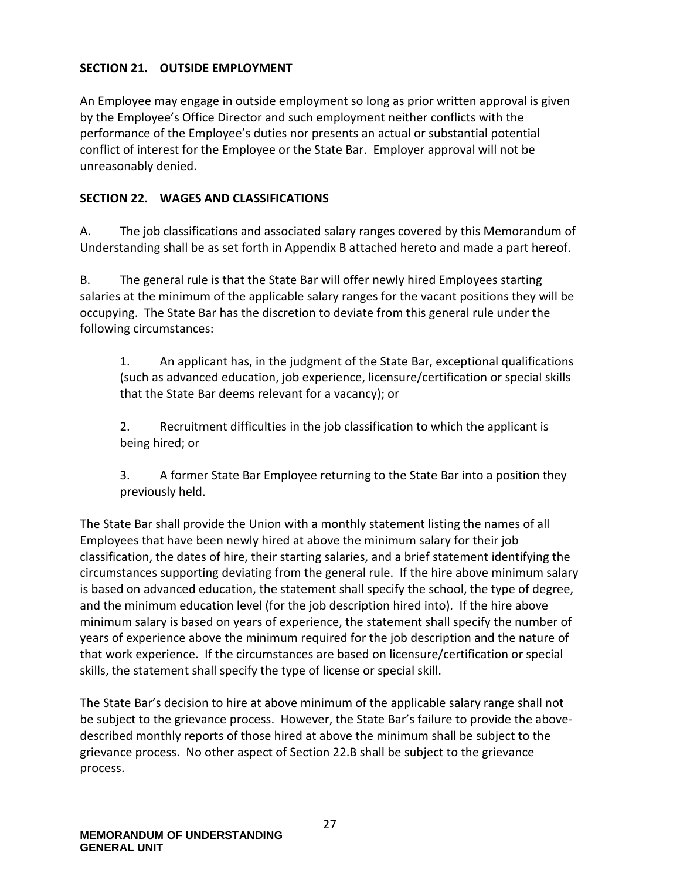### <span id="page-30-0"></span>**SECTION 21. OUTSIDE EMPLOYMENT**

An Employee may engage in outside employment so long as prior written approval is given by the Employee's Office Director and such employment neither conflicts with the performance of the Employee's duties nor presents an actual or substantial potential conflict of interest for the Employee or the State Bar. Employer approval will not be unreasonably denied.

### <span id="page-30-1"></span>**SECTION 22. WAGES AND CLASSIFICATIONS**

A. The job classifications and associated salary ranges covered by this Memorandum of Understanding shall be as set forth in Appendix B attached hereto and made a part hereof.

B. The general rule is that the State Bar will offer newly hired Employees starting salaries at the minimum of the applicable salary ranges for the vacant positions they will be occupying. The State Bar has the discretion to deviate from this general rule under the following circumstances:

1. An applicant has, in the judgment of the State Bar, exceptional qualifications (such as advanced education, job experience, licensure/certification or special skills that the State Bar deems relevant for a vacancy); or

2. Recruitment difficulties in the job classification to which the applicant is being hired; or

3. A former State Bar Employee returning to the State Bar into a position they previously held.

The State Bar shall provide the Union with a monthly statement listing the names of all Employees that have been newly hired at above the minimum salary for their job classification, the dates of hire, their starting salaries, and a brief statement identifying the circumstances supporting deviating from the general rule. If the hire above minimum salary is based on advanced education, the statement shall specify the school, the type of degree, and the minimum education level (for the job description hired into). If the hire above minimum salary is based on years of experience, the statement shall specify the number of years of experience above the minimum required for the job description and the nature of that work experience. If the circumstances are based on licensure/certification or special skills, the statement shall specify the type of license or special skill.

The State Bar's decision to hire at above minimum of the applicable salary range shall not be subject to the grievance process. However, the State Bar's failure to provide the abovedescribed monthly reports of those hired at above the minimum shall be subject to the grievance process. No other aspect of Section 22.B shall be subject to the grievance process.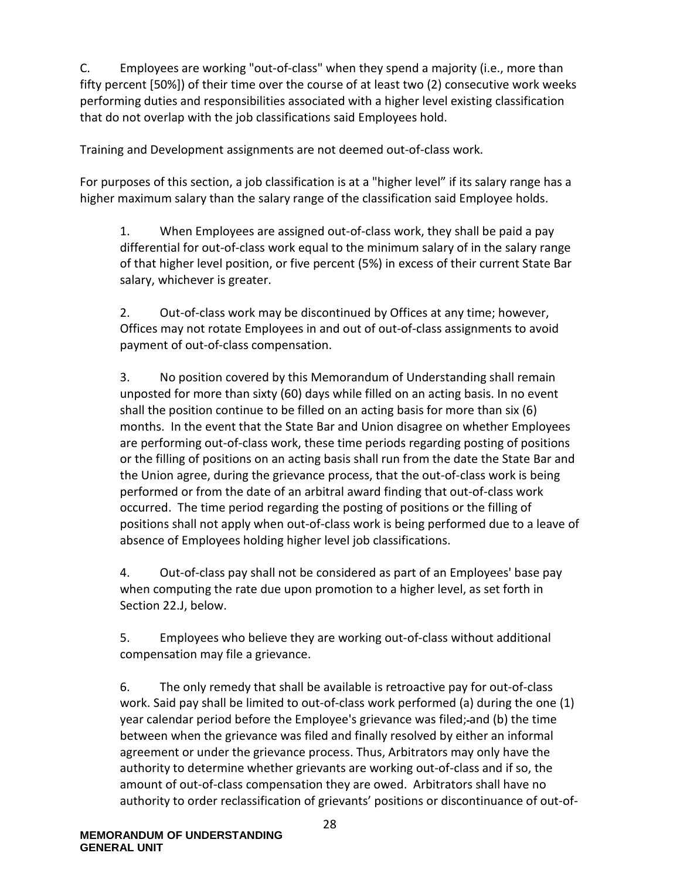C. Employees are working "out-of-class" when they spend a majority (i.e., more than fifty percent [50%]) of their time over the course of at least two (2) consecutive work weeks performing duties and responsibilities associated with a higher level existing classification that do not overlap with the job classifications said Employees hold.

Training and Development assignments are not deemed out-of-class work.

For purposes of this section, a job classification is at a "higher level" if its salary range has a higher maximum salary than the salary range of the classification said Employee holds.

1. When Employees are assigned out-of-class work, they shall be paid a pay differential for out-of-class work equal to the minimum salary of in the salary range of that higher level position, or five percent (5%) in excess of their current State Bar salary, whichever is greater.

2. Out-of-class work may be discontinued by Offices at any time; however, Offices may not rotate Employees in and out of out-of-class assignments to avoid payment of out-of-class compensation.

3. No position covered by this Memorandum of Understanding shall remain unposted for more than sixty (60) days while filled on an acting basis. In no event shall the position continue to be filled on an acting basis for more than six (6) months. In the event that the State Bar and Union disagree on whether Employees are performing out-of-class work, these time periods regarding posting of positions or the filling of positions on an acting basis shall run from the date the State Bar and the Union agree, during the grievance process, that the out-of-class work is being performed or from the date of an arbitral award finding that out-of-class work occurred. The time period regarding the posting of positions or the filling of positions shall not apply when out-of-class work is being performed due to a leave of absence of Employees holding higher level job classifications.

4. Out-of-class pay shall not be considered as part of an Employees' base pay when computing the rate due upon promotion to a higher level, as set forth in Section 22.J, below.

5. Employees who believe they are working out-of-class without additional compensation may file a grievance.

6. The only remedy that shall be available is retroactive pay for out-of-class work. Said pay shall be limited to out-of-class work performed (a) during the one (1) year calendar period before the Employee's grievance was filed; and (b) the time between when the grievance was filed and finally resolved by either an informal agreement or under the grievance process. Thus, Arbitrators may only have the authority to determine whether grievants are working out-of-class and if so, the amount of out-of-class compensation they are owed. Arbitrators shall have no authority to order reclassification of grievants' positions or discontinuance of out-of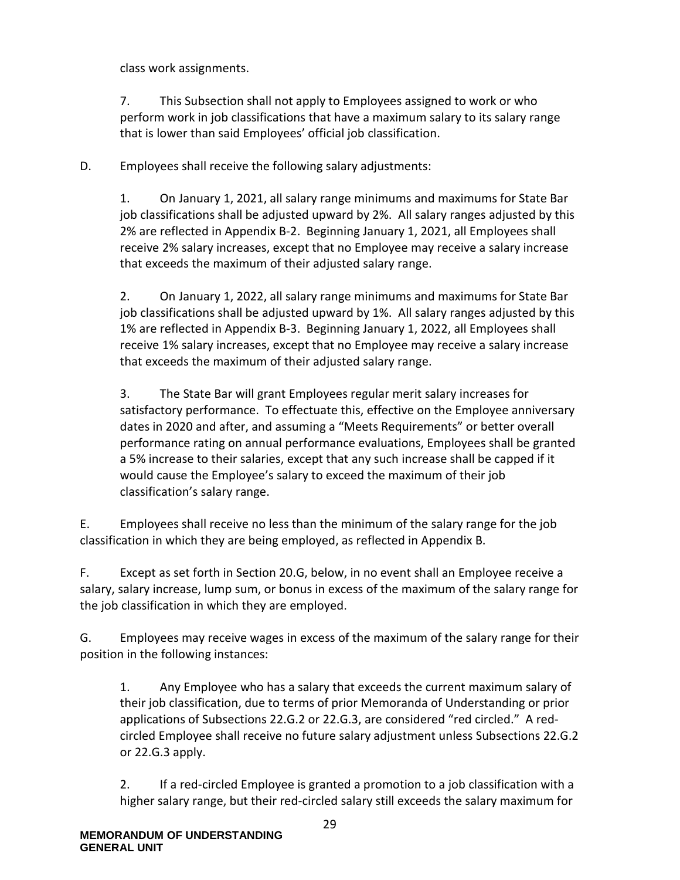class work assignments.

7. This Subsection shall not apply to Employees assigned to work or who perform work in job classifications that have a maximum salary to its salary range that is lower than said Employees' official job classification.

D. Employees shall receive the following salary adjustments:

1. On January 1, 2021, all salary range minimums and maximums for State Bar job classifications shall be adjusted upward by 2%. All salary ranges adjusted by this 2% are reflected in Appendix B-2. Beginning January 1, 2021, all Employees shall receive 2% salary increases, except that no Employee may receive a salary increase that exceeds the maximum of their adjusted salary range.

2. On January 1, 2022, all salary range minimums and maximums for State Bar job classifications shall be adjusted upward by 1%. All salary ranges adjusted by this 1% are reflected in Appendix B-3. Beginning January 1, 2022, all Employees shall receive 1% salary increases, except that no Employee may receive a salary increase that exceeds the maximum of their adjusted salary range.

3. The State Bar will grant Employees regular merit salary increases for satisfactory performance. To effectuate this, effective on the Employee anniversary dates in 2020 and after, and assuming a "Meets Requirements" or better overall performance rating on annual performance evaluations, Employees shall be granted a 5% increase to their salaries, except that any such increase shall be capped if it would cause the Employee's salary to exceed the maximum of their job classification's salary range.

E. Employees shall receive no less than the minimum of the salary range for the job classification in which they are being employed, as reflected in Appendix B.

F. Except as set forth in Section 20.G, below, in no event shall an Employee receive a salary, salary increase, lump sum, or bonus in excess of the maximum of the salary range for the job classification in which they are employed.

G. Employees may receive wages in excess of the maximum of the salary range for their position in the following instances:

1. Any Employee who has a salary that exceeds the current maximum salary of their job classification, due to terms of prior Memoranda of Understanding or prior applications of Subsections 22.G.2 or 22.G.3, are considered "red circled." A redcircled Employee shall receive no future salary adjustment unless Subsections 22.G.2 or 22.G.3 apply.

2. If a red-circled Employee is granted a promotion to a job classification with a higher salary range, but their red-circled salary still exceeds the salary maximum for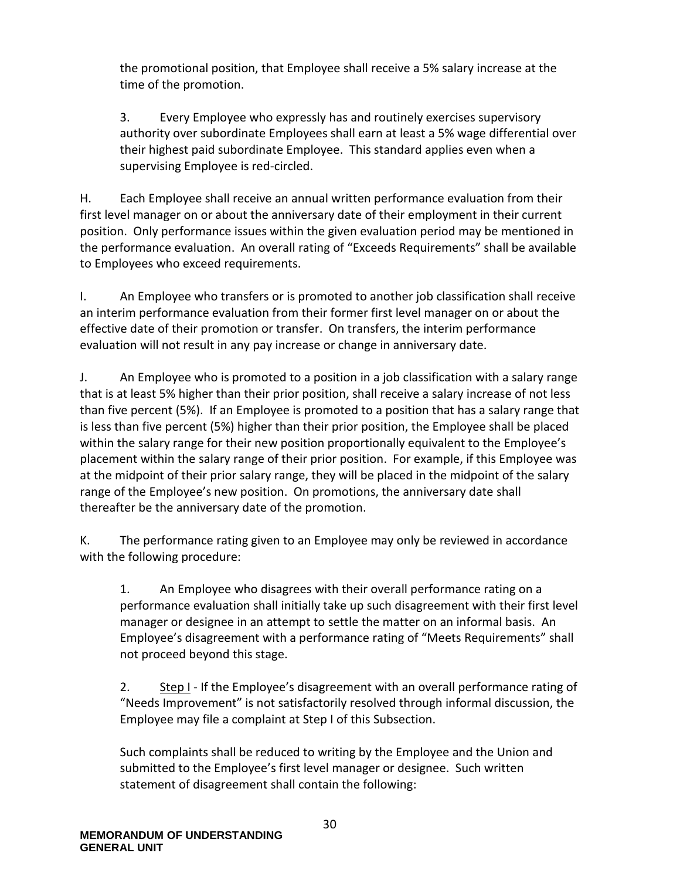the promotional position, that Employee shall receive a 5% salary increase at the time of the promotion.

3. Every Employee who expressly has and routinely exercises supervisory authority over subordinate Employees shall earn at least a 5% wage differential over their highest paid subordinate Employee. This standard applies even when a supervising Employee is red-circled.

H. Each Employee shall receive an annual written performance evaluation from their first level manager on or about the anniversary date of their employment in their current position. Only performance issues within the given evaluation period may be mentioned in the performance evaluation. An overall rating of "Exceeds Requirements" shall be available to Employees who exceed requirements.

I. An Employee who transfers or is promoted to another job classification shall receive an interim performance evaluation from their former first level manager on or about the effective date of their promotion or transfer. On transfers, the interim performance evaluation will not result in any pay increase or change in anniversary date.

J. An Employee who is promoted to a position in a job classification with a salary range that is at least 5% higher than their prior position, shall receive a salary increase of not less than five percent (5%). If an Employee is promoted to a position that has a salary range that is less than five percent (5%) higher than their prior position, the Employee shall be placed within the salary range for their new position proportionally equivalent to the Employee's placement within the salary range of their prior position. For example, if this Employee was at the midpoint of their prior salary range, they will be placed in the midpoint of the salary range of the Employee's new position. On promotions, the anniversary date shall thereafter be the anniversary date of the promotion.

K. The performance rating given to an Employee may only be reviewed in accordance with the following procedure:

1. An Employee who disagrees with their overall performance rating on a performance evaluation shall initially take up such disagreement with their first level manager or designee in an attempt to settle the matter on an informal basis. An Employee's disagreement with a performance rating of "Meets Requirements" shall not proceed beyond this stage.

2. Step I - If the Employee's disagreement with an overall performance rating of "Needs Improvement" is not satisfactorily resolved through informal discussion, the Employee may file a complaint at Step I of this Subsection.

Such complaints shall be reduced to writing by the Employee and the Union and submitted to the Employee's first level manager or designee. Such written statement of disagreement shall contain the following: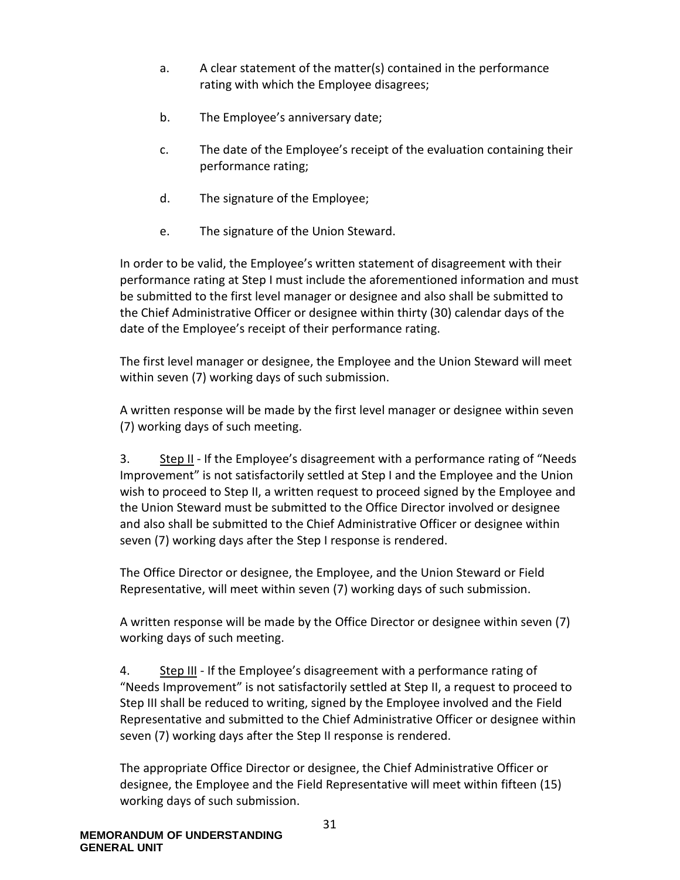- a. A clear statement of the matter(s) contained in the performance rating with which the Employee disagrees;
- b. The Employee's anniversary date;
- c. The date of the Employee's receipt of the evaluation containing their performance rating;
- d. The signature of the Employee;
- e. The signature of the Union Steward.

In order to be valid, the Employee's written statement of disagreement with their performance rating at Step I must include the aforementioned information and must be submitted to the first level manager or designee and also shall be submitted to the Chief Administrative Officer or designee within thirty (30) calendar days of the date of the Employee's receipt of their performance rating.

The first level manager or designee, the Employee and the Union Steward will meet within seven (7) working days of such submission.

A written response will be made by the first level manager or designee within seven (7) working days of such meeting.

3. Step II - If the Employee's disagreement with a performance rating of "Needs Improvement" is not satisfactorily settled at Step I and the Employee and the Union wish to proceed to Step II, a written request to proceed signed by the Employee and the Union Steward must be submitted to the Office Director involved or designee and also shall be submitted to the Chief Administrative Officer or designee within seven (7) working days after the Step I response is rendered.

The Office Director or designee, the Employee, and the Union Steward or Field Representative, will meet within seven (7) working days of such submission.

A written response will be made by the Office Director or designee within seven (7) working days of such meeting.

4. Step III - If the Employee's disagreement with a performance rating of "Needs Improvement" is not satisfactorily settled at Step II, a request to proceed to Step III shall be reduced to writing, signed by the Employee involved and the Field Representative and submitted to the Chief Administrative Officer or designee within seven (7) working days after the Step II response is rendered.

The appropriate Office Director or designee, the Chief Administrative Officer or designee, the Employee and the Field Representative will meet within fifteen (15) working days of such submission.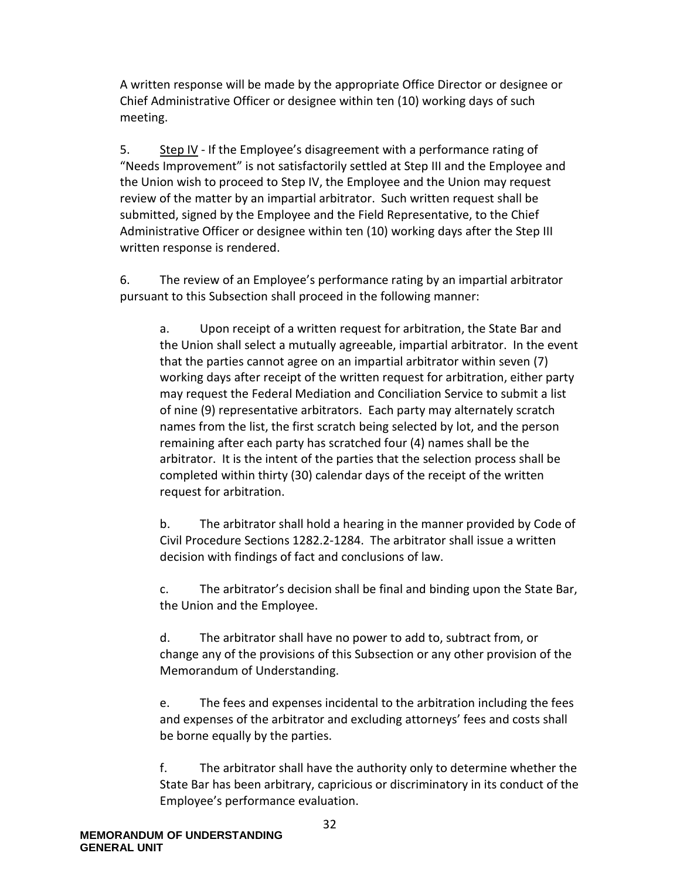A written response will be made by the appropriate Office Director or designee or Chief Administrative Officer or designee within ten (10) working days of such meeting.

5. Step IV - If the Employee's disagreement with a performance rating of "Needs Improvement" is not satisfactorily settled at Step III and the Employee and the Union wish to proceed to Step IV, the Employee and the Union may request review of the matter by an impartial arbitrator. Such written request shall be submitted, signed by the Employee and the Field Representative, to the Chief Administrative Officer or designee within ten (10) working days after the Step III written response is rendered.

6. The review of an Employee's performance rating by an impartial arbitrator pursuant to this Subsection shall proceed in the following manner:

a. Upon receipt of a written request for arbitration, the State Bar and the Union shall select a mutually agreeable, impartial arbitrator. In the event that the parties cannot agree on an impartial arbitrator within seven (7) working days after receipt of the written request for arbitration, either party may request the Federal Mediation and Conciliation Service to submit a list of nine (9) representative arbitrators. Each party may alternately scratch names from the list, the first scratch being selected by lot, and the person remaining after each party has scratched four (4) names shall be the arbitrator. It is the intent of the parties that the selection process shall be completed within thirty (30) calendar days of the receipt of the written request for arbitration.

b. The arbitrator shall hold a hearing in the manner provided by Code of Civil Procedure Sections 1282.2-1284. The arbitrator shall issue a written decision with findings of fact and conclusions of law.

c. The arbitrator's decision shall be final and binding upon the State Bar, the Union and the Employee.

d. The arbitrator shall have no power to add to, subtract from, or change any of the provisions of this Subsection or any other provision of the Memorandum of Understanding.

e. The fees and expenses incidental to the arbitration including the fees and expenses of the arbitrator and excluding attorneys' fees and costs shall be borne equally by the parties.

f. The arbitrator shall have the authority only to determine whether the State Bar has been arbitrary, capricious or discriminatory in its conduct of the Employee's performance evaluation.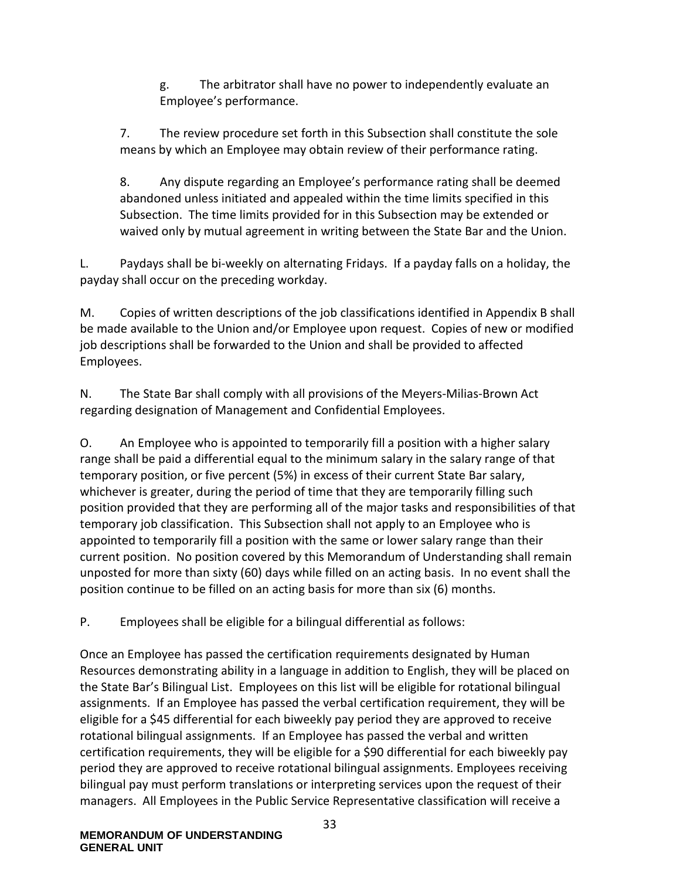g. The arbitrator shall have no power to independently evaluate an Employee's performance.

7. The review procedure set forth in this Subsection shall constitute the sole means by which an Employee may obtain review of their performance rating.

8. Any dispute regarding an Employee's performance rating shall be deemed abandoned unless initiated and appealed within the time limits specified in this Subsection. The time limits provided for in this Subsection may be extended or waived only by mutual agreement in writing between the State Bar and the Union.

L. Paydays shall be bi-weekly on alternating Fridays. If a payday falls on a holiday, the payday shall occur on the preceding workday.

M. Copies of written descriptions of the job classifications identified in Appendix B shall be made available to the Union and/or Employee upon request. Copies of new or modified job descriptions shall be forwarded to the Union and shall be provided to affected Employees.

N. The State Bar shall comply with all provisions of the Meyers-Milias-Brown Act regarding designation of Management and Confidential Employees.

O. An Employee who is appointed to temporarily fill a position with a higher salary range shall be paid a differential equal to the minimum salary in the salary range of that temporary position, or five percent (5%) in excess of their current State Bar salary, whichever is greater, during the period of time that they are temporarily filling such position provided that they are performing all of the major tasks and responsibilities of that temporary job classification. This Subsection shall not apply to an Employee who is appointed to temporarily fill a position with the same or lower salary range than their current position. No position covered by this Memorandum of Understanding shall remain unposted for more than sixty (60) days while filled on an acting basis. In no event shall the position continue to be filled on an acting basis for more than six (6) months.

P. Employees shall be eligible for a bilingual differential as follows:

Once an Employee has passed the certification requirements designated by Human Resources demonstrating ability in a language in addition to English, they will be placed on the State Bar's Bilingual List. Employees on this list will be eligible for rotational bilingual assignments. If an Employee has passed the verbal certification requirement, they will be eligible for a \$45 differential for each biweekly pay period they are approved to receive rotational bilingual assignments. If an Employee has passed the verbal and written certification requirements, they will be eligible for a \$90 differential for each biweekly pay period they are approved to receive rotational bilingual assignments. Employees receiving bilingual pay must perform translations or interpreting services upon the request of their managers. All Employees in the Public Service Representative classification will receive a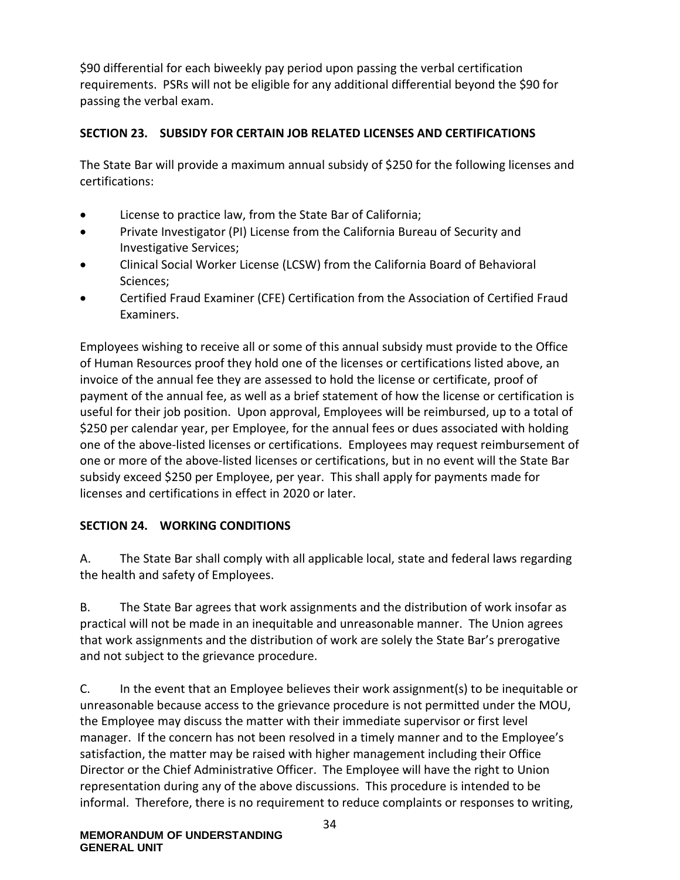\$90 differential for each biweekly pay period upon passing the verbal certification requirements. PSRs will not be eligible for any additional differential beyond the \$90 for passing the verbal exam.

## **SECTION 23. SUBSIDY FOR CERTAIN JOB RELATED LICENSES AND CERTIFICATIONS**

The State Bar will provide a maximum annual subsidy of \$250 for the following licenses and certifications:

- License to practice law, from the State Bar of California;
- Private Investigator (PI) License from the California Bureau of Security and Investigative Services;
- Clinical Social Worker License (LCSW) from the California Board of Behavioral Sciences;
- Certified Fraud Examiner (CFE) Certification from the Association of Certified Fraud Examiners.

Employees wishing to receive all or some of this annual subsidy must provide to the Office of Human Resources proof they hold one of the licenses or certifications listed above, an invoice of the annual fee they are assessed to hold the license or certificate, proof of payment of the annual fee, as well as a brief statement of how the license or certification is useful for their job position. Upon approval, Employees will be reimbursed, up to a total of \$250 per calendar year, per Employee, for the annual fees or dues associated with holding one of the above-listed licenses or certifications. Employees may request reimbursement of one or more of the above-listed licenses or certifications, but in no event will the State Bar subsidy exceed \$250 per Employee, per year. This shall apply for payments made for licenses and certifications in effect in 2020 or later.

## **SECTION 24. WORKING CONDITIONS**

A. The State Bar shall comply with all applicable local, state and federal laws regarding the health and safety of Employees.

B. The State Bar agrees that work assignments and the distribution of work insofar as practical will not be made in an inequitable and unreasonable manner. The Union agrees that work assignments and the distribution of work are solely the State Bar's prerogative and not subject to the grievance procedure.

C. In the event that an Employee believes their work assignment(s) to be inequitable or unreasonable because access to the grievance procedure is not permitted under the MOU, the Employee may discuss the matter with their immediate supervisor or first level manager. If the concern has not been resolved in a timely manner and to the Employee's satisfaction, the matter may be raised with higher management including their Office Director or the Chief Administrative Officer. The Employee will have the right to Union representation during any of the above discussions. This procedure is intended to be informal. Therefore, there is no requirement to reduce complaints or responses to writing,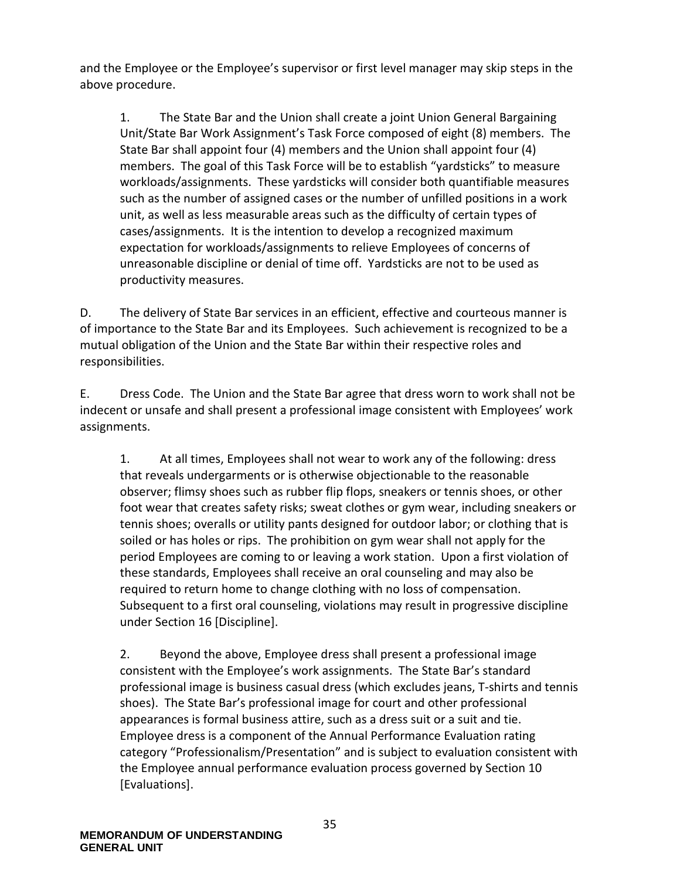and the Employee or the Employee's supervisor or first level manager may skip steps in the above procedure.

1. The State Bar and the Union shall create a joint Union General Bargaining Unit/State Bar Work Assignment's Task Force composed of eight (8) members. The State Bar shall appoint four (4) members and the Union shall appoint four (4) members. The goal of this Task Force will be to establish "yardsticks" to measure workloads/assignments. These yardsticks will consider both quantifiable measures such as the number of assigned cases or the number of unfilled positions in a work unit, as well as less measurable areas such as the difficulty of certain types of cases/assignments. It is the intention to develop a recognized maximum expectation for workloads/assignments to relieve Employees of concerns of unreasonable discipline or denial of time off. Yardsticks are not to be used as productivity measures.

D. The delivery of State Bar services in an efficient, effective and courteous manner is of importance to the State Bar and its Employees. Such achievement is recognized to be a mutual obligation of the Union and the State Bar within their respective roles and responsibilities.

E. Dress Code. The Union and the State Bar agree that dress worn to work shall not be indecent or unsafe and shall present a professional image consistent with Employees' work assignments.

1. At all times, Employees shall not wear to work any of the following: dress that reveals undergarments or is otherwise objectionable to the reasonable observer; flimsy shoes such as rubber flip flops, sneakers or tennis shoes, or other foot wear that creates safety risks; sweat clothes or gym wear, including sneakers or tennis shoes; overalls or utility pants designed for outdoor labor; or clothing that is soiled or has holes or rips. The prohibition on gym wear shall not apply for the period Employees are coming to or leaving a work station. Upon a first violation of these standards, Employees shall receive an oral counseling and may also be required to return home to change clothing with no loss of compensation. Subsequent to a first oral counseling, violations may result in progressive discipline under Section 16 [Discipline].

2. Beyond the above, Employee dress shall present a professional image consistent with the Employee's work assignments. The State Bar's standard professional image is business casual dress (which excludes jeans, T-shirts and tennis shoes). The State Bar's professional image for court and other professional appearances is formal business attire, such as a dress suit or a suit and tie. Employee dress is a component of the Annual Performance Evaluation rating category "Professionalism/Presentation" and is subject to evaluation consistent with the Employee annual performance evaluation process governed by Section 10 [Evaluations].

35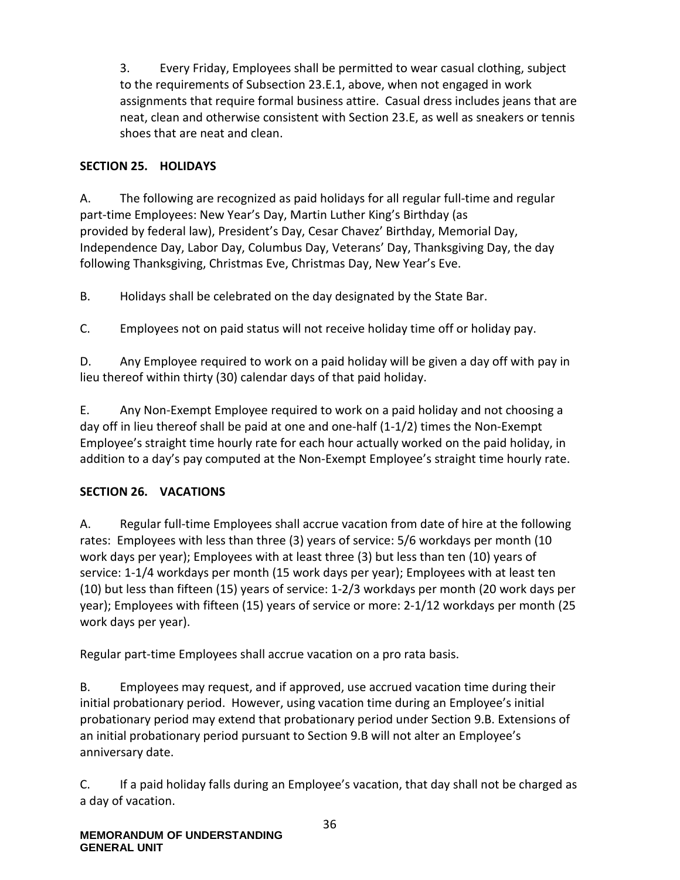3. Every Friday, Employees shall be permitted to wear casual clothing, subject to the requirements of Subsection 23.E.1, above, when not engaged in work assignments that require formal business attire. Casual dress includes jeans that are neat, clean and otherwise consistent with Section 23.E, as well as sneakers or tennis shoes that are neat and clean.

## **SECTION 25. HOLIDAYS**

A. The following are recognized as paid holidays for all regular full-time and regular part-time Employees: New Year's Day, Martin Luther King's Birthday (as provided by federal law), President's Day, Cesar Chavez' Birthday, Memorial Day, Independence Day, Labor Day, Columbus Day, Veterans' Day, Thanksgiving Day, the day following Thanksgiving, Christmas Eve, Christmas Day, New Year's Eve.

B. Holidays shall be celebrated on the day designated by the State Bar.

C. Employees not on paid status will not receive holiday time off or holiday pay.

D. Any Employee required to work on a paid holiday will be given a day off with pay in lieu thereof within thirty (30) calendar days of that paid holiday.

E. Any Non-Exempt Employee required to work on a paid holiday and not choosing a day off in lieu thereof shall be paid at one and one-half (1-1/2) times the Non-Exempt Employee's straight time hourly rate for each hour actually worked on the paid holiday, in addition to a day's pay computed at the Non-Exempt Employee's straight time hourly rate.

# **SECTION 26. VACATIONS**

A. Regular full-time Employees shall accrue vacation from date of hire at the following rates: Employees with less than three (3) years of service: 5/6 workdays per month (10 work days per year); Employees with at least three (3) but less than ten (10) years of service: 1-1/4 workdays per month (15 work days per year); Employees with at least ten (10) but less than fifteen (15) years of service: 1-2/3 workdays per month (20 work days per year); Employees with fifteen (15) years of service or more: 2-1/12 workdays per month (25 work days per year).

Regular part-time Employees shall accrue vacation on a pro rata basis.

B. Employees may request, and if approved, use accrued vacation time during their initial probationary period. However, using vacation time during an Employee's initial probationary period may extend that probationary period under Section 9.B. Extensions of an initial probationary period pursuant to Section 9.B will not alter an Employee's anniversary date.

C. If a paid holiday falls during an Employee's vacation, that day shall not be charged as a day of vacation.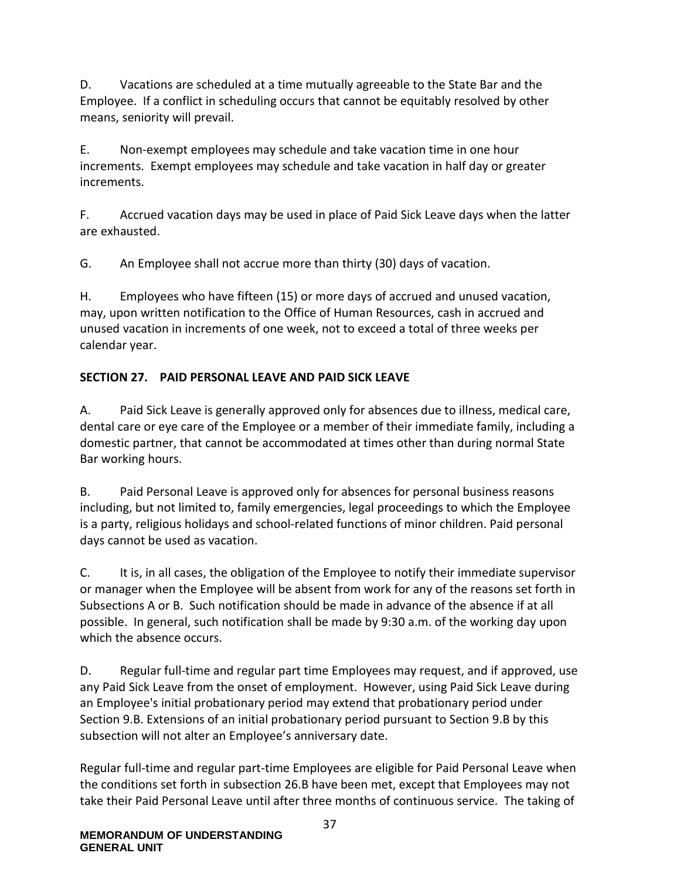D. Vacations are scheduled at a time mutually agreeable to the State Bar and the Employee. If a conflict in scheduling occurs that cannot be equitably resolved by other means, seniority will prevail.

E. Non-exempt employees may schedule and take vacation time in one hour increments. Exempt employees may schedule and take vacation in half day or greater increments.

F. Accrued vacation days may be used in place of Paid Sick Leave days when the latter are exhausted.

G. An Employee shall not accrue more than thirty (30) days of vacation.

H. Employees who have fifteen (15) or more days of accrued and unused vacation, may, upon written notification to the Office of Human Resources, cash in accrued and unused vacation in increments of one week, not to exceed a total of three weeks per calendar year.

## **SECTION 27. PAID PERSONAL LEAVE AND PAID SICK LEAVE**

A. Paid Sick Leave is generally approved only for absences due to illness, medical care, dental care or eye care of the Employee or a member of their immediate family, including a domestic partner, that cannot be accommodated at times other than during normal State Bar working hours.

B. Paid Personal Leave is approved only for absences for personal business reasons including, but not limited to, family emergencies, legal proceedings to which the Employee is a party, religious holidays and school-related functions of minor children. Paid personal days cannot be used as vacation.

C. It is, in all cases, the obligation of the Employee to notify their immediate supervisor or manager when the Employee will be absent from work for any of the reasons set forth in Subsections A or B. Such notification should be made in advance of the absence if at all possible. In general, such notification shall be made by 9:30 a.m. of the working day upon which the absence occurs.

D. Regular full-time and regular part time Employees may request, and if approved, use any Paid Sick Leave from the onset of employment. However, using Paid Sick Leave during an Employee's initial probationary period may extend that probationary period under Section 9.B. Extensions of an initial probationary period pursuant to Section 9.B by this subsection will not alter an Employee's anniversary date.

Regular full-time and regular part-time Employees are eligible for Paid Personal Leave when the conditions set forth in subsection 26.B have been met, except that Employees may not take their Paid Personal Leave until after three months of continuous service. The taking of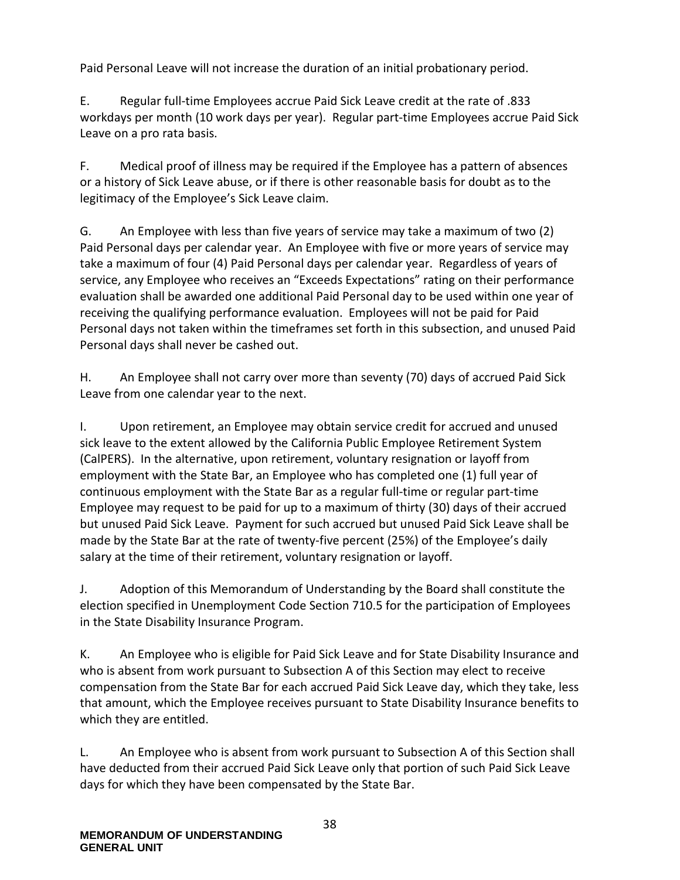Paid Personal Leave will not increase the duration of an initial probationary period.

E. Regular full-time Employees accrue Paid Sick Leave credit at the rate of .833 workdays per month (10 work days per year). Regular part-time Employees accrue Paid Sick Leave on a pro rata basis.

F. Medical proof of illness may be required if the Employee has a pattern of absences or a history of Sick Leave abuse, or if there is other reasonable basis for doubt as to the legitimacy of the Employee's Sick Leave claim.

G. An Employee with less than five years of service may take a maximum of two (2) Paid Personal days per calendar year. An Employee with five or more years of service may take a maximum of four (4) Paid Personal days per calendar year. Regardless of years of service, any Employee who receives an "Exceeds Expectations" rating on their performance evaluation shall be awarded one additional Paid Personal day to be used within one year of receiving the qualifying performance evaluation. Employees will not be paid for Paid Personal days not taken within the timeframes set forth in this subsection, and unused Paid Personal days shall never be cashed out.

H. An Employee shall not carry over more than seventy (70) days of accrued Paid Sick Leave from one calendar year to the next.

I. Upon retirement, an Employee may obtain service credit for accrued and unused sick leave to the extent allowed by the California Public Employee Retirement System (CalPERS). In the alternative, upon retirement, voluntary resignation or layoff from employment with the State Bar, an Employee who has completed one (1) full year of continuous employment with the State Bar as a regular full-time or regular part-time Employee may request to be paid for up to a maximum of thirty (30) days of their accrued but unused Paid Sick Leave. Payment for such accrued but unused Paid Sick Leave shall be made by the State Bar at the rate of twenty-five percent (25%) of the Employee's daily salary at the time of their retirement, voluntary resignation or layoff.

J. Adoption of this Memorandum of Understanding by the Board shall constitute the election specified in Unemployment Code Section 710.5 for the participation of Employees in the State Disability Insurance Program.

K. An Employee who is eligible for Paid Sick Leave and for State Disability Insurance and who is absent from work pursuant to Subsection A of this Section may elect to receive compensation from the State Bar for each accrued Paid Sick Leave day, which they take, less that amount, which the Employee receives pursuant to State Disability Insurance benefits to which they are entitled.

L. An Employee who is absent from work pursuant to Subsection A of this Section shall have deducted from their accrued Paid Sick Leave only that portion of such Paid Sick Leave days for which they have been compensated by the State Bar.

38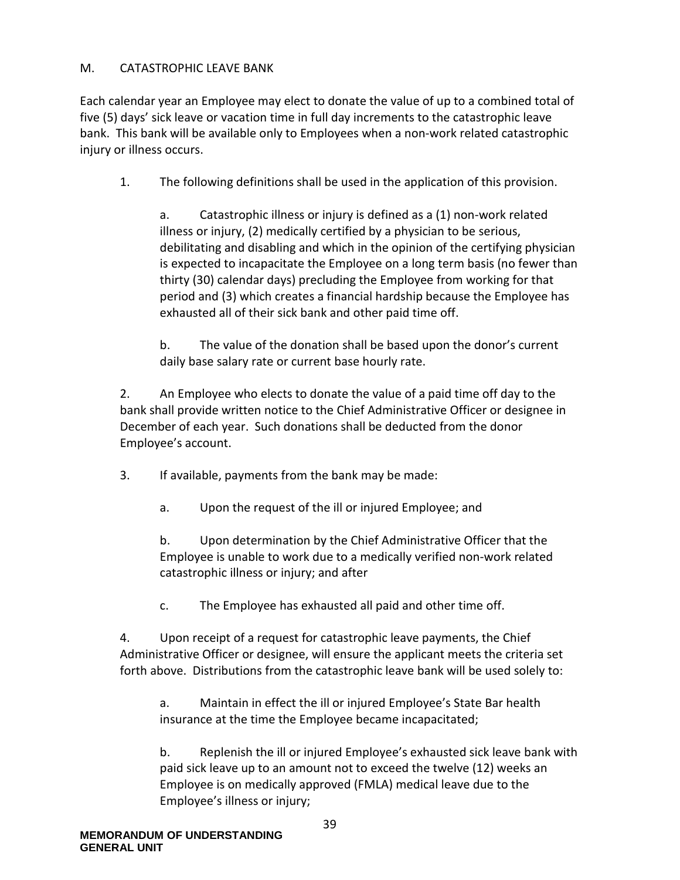## M. CATASTROPHIC LEAVE BANK

Each calendar year an Employee may elect to donate the value of up to a combined total of five (5) days' sick leave or vacation time in full day increments to the catastrophic leave bank. This bank will be available only to Employees when a non-work related catastrophic injury or illness occurs.

1. The following definitions shall be used in the application of this provision.

a. Catastrophic illness or injury is defined as a (1) non-work related illness or injury, (2) medically certified by a physician to be serious, debilitating and disabling and which in the opinion of the certifying physician is expected to incapacitate the Employee on a long term basis (no fewer than thirty (30) calendar days) precluding the Employee from working for that period and (3) which creates a financial hardship because the Employee has exhausted all of their sick bank and other paid time off.

b. The value of the donation shall be based upon the donor's current daily base salary rate or current base hourly rate.

2. An Employee who elects to donate the value of a paid time off day to the bank shall provide written notice to the Chief Administrative Officer or designee in December of each year. Such donations shall be deducted from the donor Employee's account.

- 3. If available, payments from the bank may be made:
	- a. Upon the request of the ill or injured Employee; and

b. Upon determination by the Chief Administrative Officer that the Employee is unable to work due to a medically verified non-work related catastrophic illness or injury; and after

c. The Employee has exhausted all paid and other time off.

4. Upon receipt of a request for catastrophic leave payments, the Chief Administrative Officer or designee, will ensure the applicant meets the criteria set forth above. Distributions from the catastrophic leave bank will be used solely to:

a. Maintain in effect the ill or injured Employee's State Bar health insurance at the time the Employee became incapacitated;

b. Replenish the ill or injured Employee's exhausted sick leave bank with paid sick leave up to an amount not to exceed the twelve (12) weeks an Employee is on medically approved (FMLA) medical leave due to the Employee's illness or injury;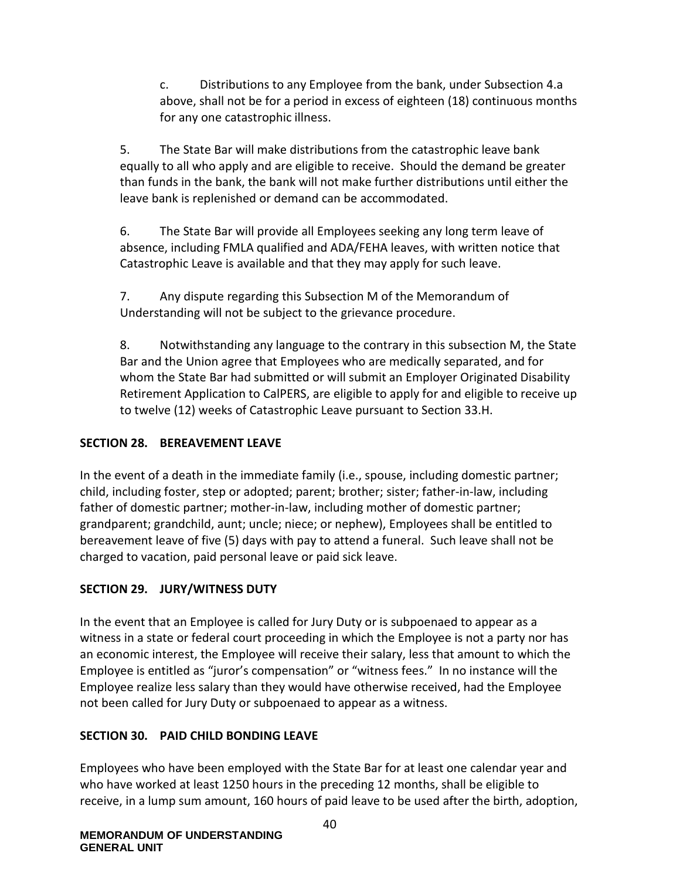c. Distributions to any Employee from the bank, under Subsection 4.a above, shall not be for a period in excess of eighteen (18) continuous months for any one catastrophic illness.

5. The State Bar will make distributions from the catastrophic leave bank equally to all who apply and are eligible to receive. Should the demand be greater than funds in the bank, the bank will not make further distributions until either the leave bank is replenished or demand can be accommodated.

6. The State Bar will provide all Employees seeking any long term leave of absence, including FMLA qualified and ADA/FEHA leaves, with written notice that Catastrophic Leave is available and that they may apply for such leave.

7. Any dispute regarding this Subsection M of the Memorandum of Understanding will not be subject to the grievance procedure.

8. Notwithstanding any language to the contrary in this subsection M, the State Bar and the Union agree that Employees who are medically separated, and for whom the State Bar had submitted or will submit an Employer Originated Disability Retirement Application to CalPERS, are eligible to apply for and eligible to receive up to twelve (12) weeks of Catastrophic Leave pursuant to Section 33.H.

## **SECTION 28. BEREAVEMENT LEAVE**

In the event of a death in the immediate family (i.e., spouse, including domestic partner; child, including foster, step or adopted; parent; brother; sister; father-in-law, including father of domestic partner; mother-in-law, including mother of domestic partner; grandparent; grandchild, aunt; uncle; niece; or nephew), Employees shall be entitled to bereavement leave of five (5) days with pay to attend a funeral. Such leave shall not be charged to vacation, paid personal leave or paid sick leave.

## **SECTION 29. JURY/WITNESS DUTY**

In the event that an Employee is called for Jury Duty or is subpoenaed to appear as a witness in a state or federal court proceeding in which the Employee is not a party nor has an economic interest, the Employee will receive their salary, less that amount to which the Employee is entitled as "juror's compensation" or "witness fees." In no instance will the Employee realize less salary than they would have otherwise received, had the Employee not been called for Jury Duty or subpoenaed to appear as a witness.

## **SECTION 30. PAID CHILD BONDING LEAVE**

Employees who have been employed with the State Bar for at least one calendar year and who have worked at least 1250 hours in the preceding 12 months, shall be eligible to receive, in a lump sum amount, 160 hours of paid leave to be used after the birth, adoption,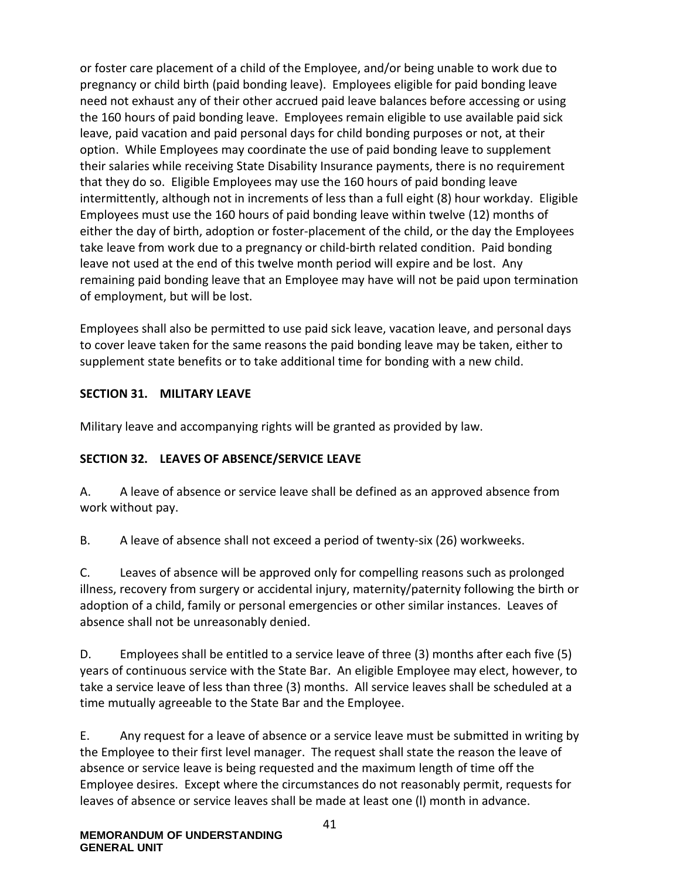or foster care placement of a child of the Employee, and/or being unable to work due to pregnancy or child birth (paid bonding leave). Employees eligible for paid bonding leave need not exhaust any of their other accrued paid leave balances before accessing or using the 160 hours of paid bonding leave. Employees remain eligible to use available paid sick leave, paid vacation and paid personal days for child bonding purposes or not, at their option. While Employees may coordinate the use of paid bonding leave to supplement their salaries while receiving State Disability Insurance payments, there is no requirement that they do so. Eligible Employees may use the 160 hours of paid bonding leave intermittently, although not in increments of less than a full eight (8) hour workday. Eligible Employees must use the 160 hours of paid bonding leave within twelve (12) months of either the day of birth, adoption or foster-placement of the child, or the day the Employees take leave from work due to a pregnancy or child-birth related condition. Paid bonding leave not used at the end of this twelve month period will expire and be lost. Any remaining paid bonding leave that an Employee may have will not be paid upon termination of employment, but will be lost.

Employees shall also be permitted to use paid sick leave, vacation leave, and personal days to cover leave taken for the same reasons the paid bonding leave may be taken, either to supplement state benefits or to take additional time for bonding with a new child.

## **SECTION 31. MILITARY LEAVE**

Military leave and accompanying rights will be granted as provided by law.

## **SECTION 32. LEAVES OF ABSENCE/SERVICE LEAVE**

A. A leave of absence or service leave shall be defined as an approved absence from work without pay.

B. A leave of absence shall not exceed a period of twenty-six (26) workweeks.

C. Leaves of absence will be approved only for compelling reasons such as prolonged illness, recovery from surgery or accidental injury, maternity/paternity following the birth or adoption of a child, family or personal emergencies or other similar instances. Leaves of absence shall not be unreasonably denied.

D. Employees shall be entitled to a service leave of three (3) months after each five (5) years of continuous service with the State Bar. An eligible Employee may elect, however, to take a service leave of less than three (3) months. All service leaves shall be scheduled at a time mutually agreeable to the State Bar and the Employee.

E. Any request for a leave of absence or a service leave must be submitted in writing by the Employee to their first level manager. The request shall state the reason the leave of absence or service leave is being requested and the maximum length of time off the Employee desires. Except where the circumstances do not reasonably permit, requests for leaves of absence or service leaves shall be made at least one (l) month in advance.

41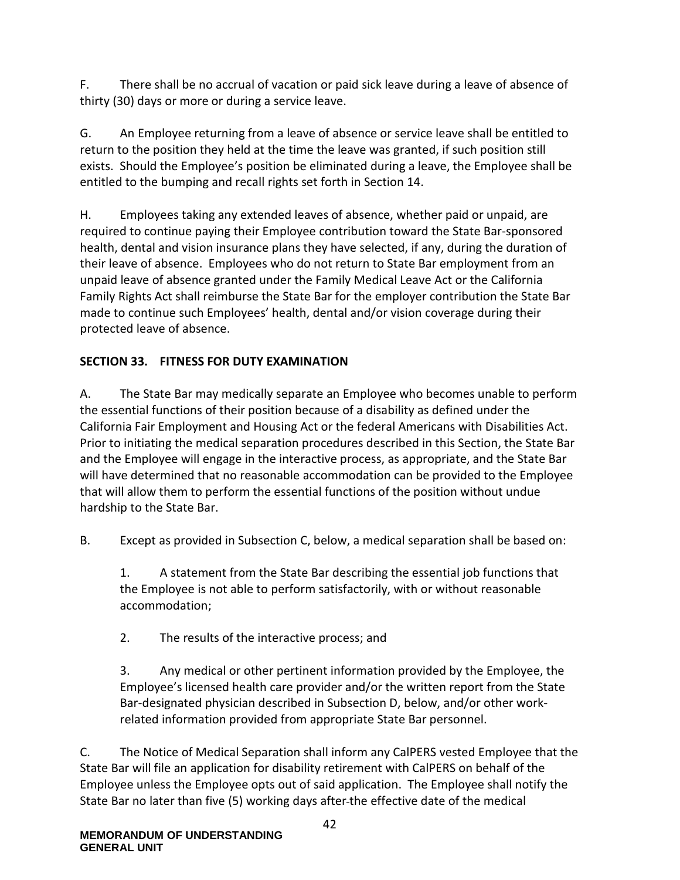F. There shall be no accrual of vacation or paid sick leave during a leave of absence of thirty (30) days or more or during a service leave.

G. An Employee returning from a leave of absence or service leave shall be entitled to return to the position they held at the time the leave was granted, if such position still exists. Should the Employee's position be eliminated during a leave, the Employee shall be entitled to the bumping and recall rights set forth in Section 14.

H. Employees taking any extended leaves of absence, whether paid or unpaid, are required to continue paying their Employee contribution toward the State Bar-sponsored health, dental and vision insurance plans they have selected, if any, during the duration of their leave of absence. Employees who do not return to State Bar employment from an unpaid leave of absence granted under the Family Medical Leave Act or the California Family Rights Act shall reimburse the State Bar for the employer contribution the State Bar made to continue such Employees' health, dental and/or vision coverage during their protected leave of absence.

# **SECTION 33. FITNESS FOR DUTY EXAMINATION**

A. The State Bar may medically separate an Employee who becomes unable to perform the essential functions of their position because of a disability as defined under the California Fair Employment and Housing Act or the federal Americans with Disabilities Act. Prior to initiating the medical separation procedures described in this Section, the State Bar and the Employee will engage in the interactive process, as appropriate, and the State Bar will have determined that no reasonable accommodation can be provided to the Employee that will allow them to perform the essential functions of the position without undue hardship to the State Bar.

B. Except as provided in Subsection C, below, a medical separation shall be based on:

1. A statement from the State Bar describing the essential job functions that the Employee is not able to perform satisfactorily, with or without reasonable accommodation;

2. The results of the interactive process; and

3. Any medical or other pertinent information provided by the Employee, the Employee's licensed health care provider and/or the written report from the State Bar-designated physician described in Subsection D, below, and/or other workrelated information provided from appropriate State Bar personnel.

C. The Notice of Medical Separation shall inform any CalPERS vested Employee that the State Bar will file an application for disability retirement with CalPERS on behalf of the Employee unless the Employee opts out of said application. The Employee shall notify the State Bar no later than five (5) working days after the effective date of the medical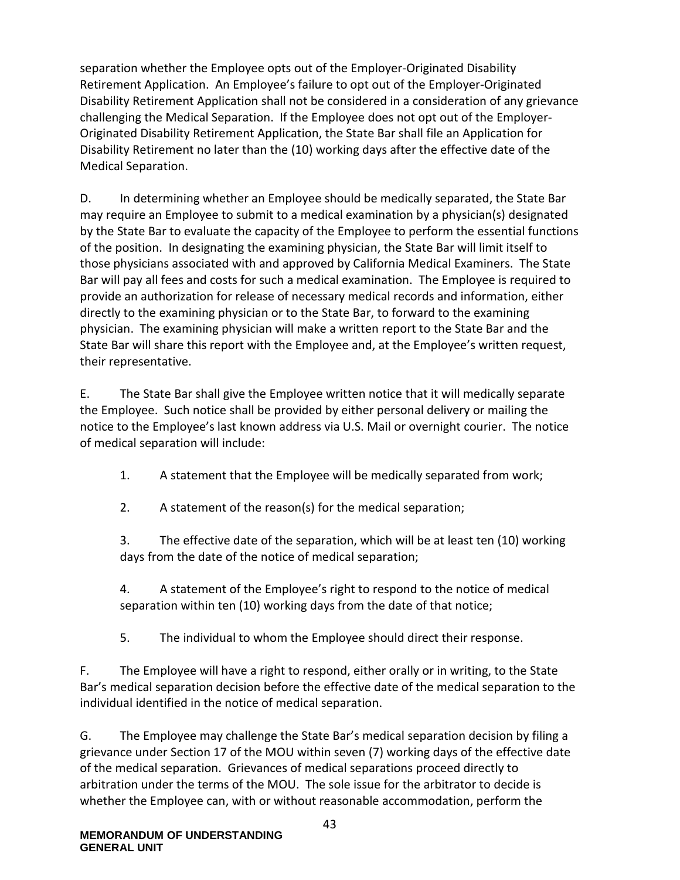separation whether the Employee opts out of the Employer-Originated Disability Retirement Application. An Employee's failure to opt out of the Employer-Originated Disability Retirement Application shall not be considered in a consideration of any grievance challenging the Medical Separation. If the Employee does not opt out of the Employer-Originated Disability Retirement Application, the State Bar shall file an Application for Disability Retirement no later than the (10) working days after the effective date of the Medical Separation.

D. In determining whether an Employee should be medically separated, the State Bar may require an Employee to submit to a medical examination by a physician(s) designated by the State Bar to evaluate the capacity of the Employee to perform the essential functions of the position. In designating the examining physician, the State Bar will limit itself to those physicians associated with and approved by California Medical Examiners. The State Bar will pay all fees and costs for such a medical examination. The Employee is required to provide an authorization for release of necessary medical records and information, either directly to the examining physician or to the State Bar, to forward to the examining physician. The examining physician will make a written report to the State Bar and the State Bar will share this report with the Employee and, at the Employee's written request, their representative.

E. The State Bar shall give the Employee written notice that it will medically separate the Employee. Such notice shall be provided by either personal delivery or mailing the notice to the Employee's last known address via U.S. Mail or overnight courier. The notice of medical separation will include:

1. A statement that the Employee will be medically separated from work;

2. A statement of the reason(s) for the medical separation;

3. The effective date of the separation, which will be at least ten (10) working days from the date of the notice of medical separation;

4. A statement of the Employee's right to respond to the notice of medical separation within ten (10) working days from the date of that notice;

5. The individual to whom the Employee should direct their response.

F. The Employee will have a right to respond, either orally or in writing, to the State Bar's medical separation decision before the effective date of the medical separation to the individual identified in the notice of medical separation.

G. The Employee may challenge the State Bar's medical separation decision by filing a grievance under Section 17 of the MOU within seven (7) working days of the effective date of the medical separation. Grievances of medical separations proceed directly to arbitration under the terms of the MOU. The sole issue for the arbitrator to decide is whether the Employee can, with or without reasonable accommodation, perform the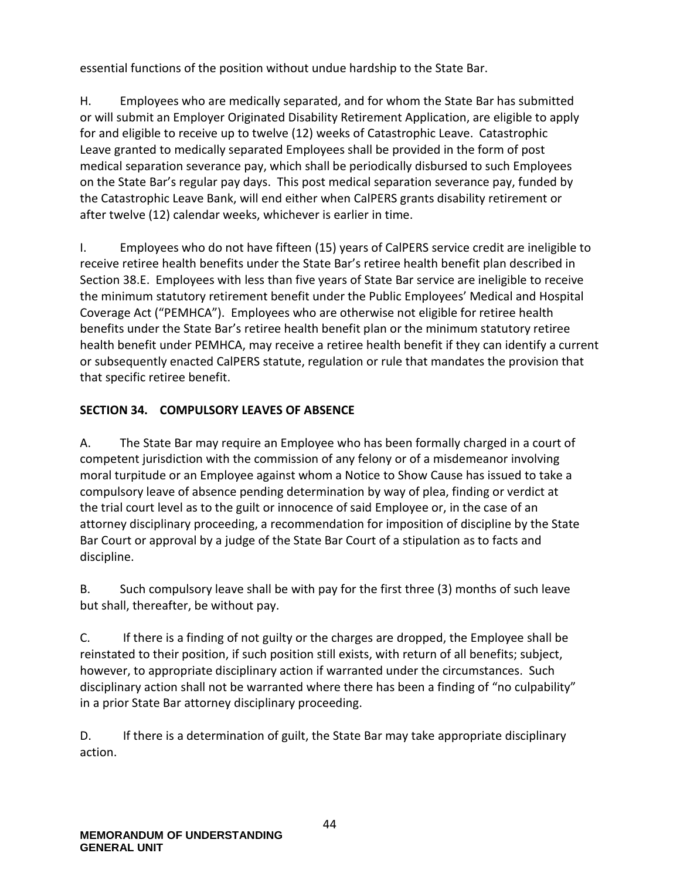essential functions of the position without undue hardship to the State Bar.

H. Employees who are medically separated, and for whom the State Bar has submitted or will submit an Employer Originated Disability Retirement Application, are eligible to apply for and eligible to receive up to twelve (12) weeks of Catastrophic Leave. Catastrophic Leave granted to medically separated Employees shall be provided in the form of post medical separation severance pay, which shall be periodically disbursed to such Employees on the State Bar's regular pay days. This post medical separation severance pay, funded by the Catastrophic Leave Bank, will end either when CalPERS grants disability retirement or after twelve (12) calendar weeks, whichever is earlier in time.

I. Employees who do not have fifteen (15) years of CalPERS service credit are ineligible to receive retiree health benefits under the State Bar's retiree health benefit plan described in Section 38.E. Employees with less than five years of State Bar service are ineligible to receive the minimum statutory retirement benefit under the Public Employees' Medical and Hospital Coverage Act ("PEMHCA"). Employees who are otherwise not eligible for retiree health benefits under the State Bar's retiree health benefit plan or the minimum statutory retiree health benefit under PEMHCA, may receive a retiree health benefit if they can identify a current or subsequently enacted CalPERS statute, regulation or rule that mandates the provision that that specific retiree benefit.

# **SECTION 34. COMPULSORY LEAVES OF ABSENCE**

A. The State Bar may require an Employee who has been formally charged in a court of competent jurisdiction with the commission of any felony or of a misdemeanor involving moral turpitude or an Employee against whom a Notice to Show Cause has issued to take a compulsory leave of absence pending determination by way of plea, finding or verdict at the trial court level as to the guilt or innocence of said Employee or, in the case of an attorney disciplinary proceeding, a recommendation for imposition of discipline by the State Bar Court or approval by a judge of the State Bar Court of a stipulation as to facts and discipline.

B. Such compulsory leave shall be with pay for the first three (3) months of such leave but shall, thereafter, be without pay.

C. If there is a finding of not guilty or the charges are dropped, the Employee shall be reinstated to their position, if such position still exists, with return of all benefits; subject, however, to appropriate disciplinary action if warranted under the circumstances. Such disciplinary action shall not be warranted where there has been a finding of "no culpability" in a prior State Bar attorney disciplinary proceeding.

D. If there is a determination of guilt, the State Bar may take appropriate disciplinary action.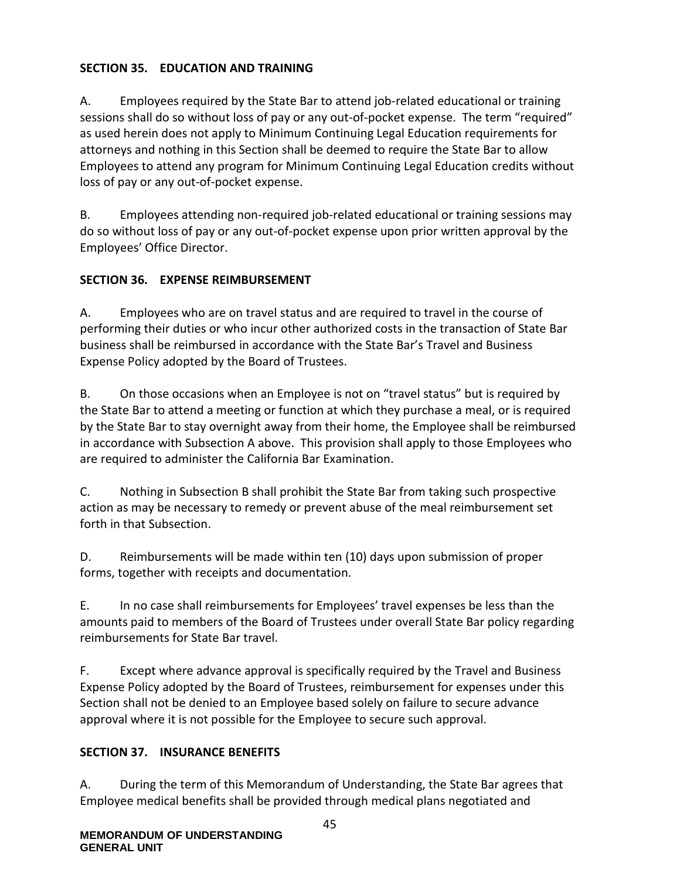## **SECTION 35. EDUCATION AND TRAINING**

A. Employees required by the State Bar to attend job-related educational or training sessions shall do so without loss of pay or any out-of-pocket expense. The term "required" as used herein does not apply to Minimum Continuing Legal Education requirements for attorneys and nothing in this Section shall be deemed to require the State Bar to allow Employees to attend any program for Minimum Continuing Legal Education credits without loss of pay or any out-of-pocket expense.

B. Employees attending non-required job-related educational or training sessions may do so without loss of pay or any out-of-pocket expense upon prior written approval by the Employees' Office Director.

## **SECTION 36. EXPENSE REIMBURSEMENT**

A. Employees who are on travel status and are required to travel in the course of performing their duties or who incur other authorized costs in the transaction of State Bar business shall be reimbursed in accordance with the State Bar's Travel and Business Expense Policy adopted by the Board of Trustees.

B. On those occasions when an Employee is not on "travel status" but is required by the State Bar to attend a meeting or function at which they purchase a meal, or is required by the State Bar to stay overnight away from their home, the Employee shall be reimbursed in accordance with Subsection A above. This provision shall apply to those Employees who are required to administer the California Bar Examination.

C. Nothing in Subsection B shall prohibit the State Bar from taking such prospective action as may be necessary to remedy or prevent abuse of the meal reimbursement set forth in that Subsection.

D. Reimbursements will be made within ten (10) days upon submission of proper forms, together with receipts and documentation.

E. In no case shall reimbursements for Employees' travel expenses be less than the amounts paid to members of the Board of Trustees under overall State Bar policy regarding reimbursements for State Bar travel.

F. Except where advance approval is specifically required by the Travel and Business Expense Policy adopted by the Board of Trustees, reimbursement for expenses under this Section shall not be denied to an Employee based solely on failure to secure advance approval where it is not possible for the Employee to secure such approval.

## **SECTION 37. INSURANCE BENEFITS**

A. During the term of this Memorandum of Understanding, the State Bar agrees that Employee medical benefits shall be provided through medical plans negotiated and

45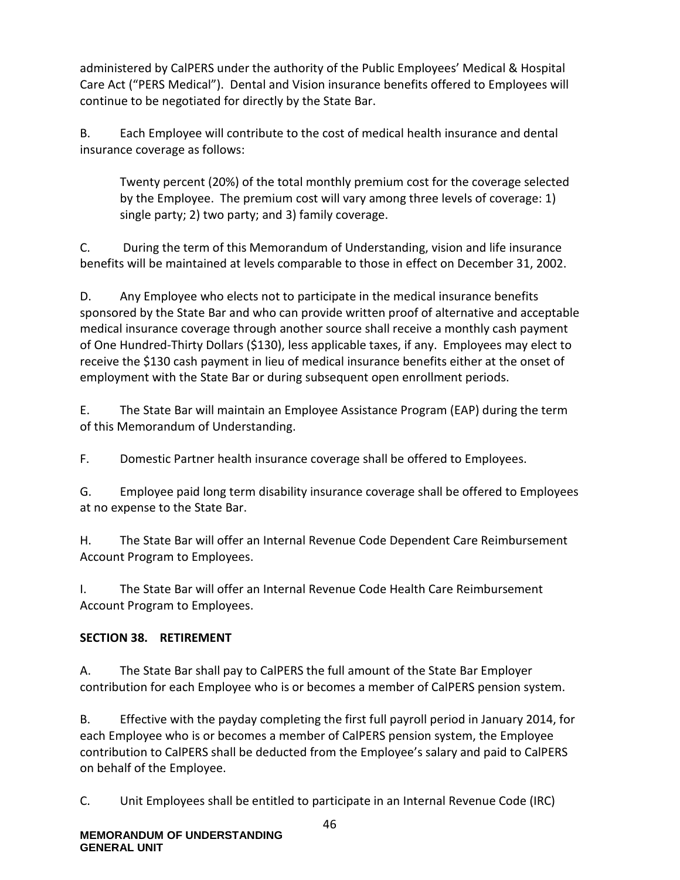administered by CalPERS under the authority of the Public Employees' Medical & Hospital Care Act ("PERS Medical"). Dental and Vision insurance benefits offered to Employees will continue to be negotiated for directly by the State Bar.

B. Each Employee will contribute to the cost of medical health insurance and dental insurance coverage as follows:

Twenty percent (20%) of the total monthly premium cost for the coverage selected by the Employee. The premium cost will vary among three levels of coverage: 1) single party; 2) two party; and 3) family coverage.

C. During the term of this Memorandum of Understanding, vision and life insurance benefits will be maintained at levels comparable to those in effect on December 31, 2002.

D. Any Employee who elects not to participate in the medical insurance benefits sponsored by the State Bar and who can provide written proof of alternative and acceptable medical insurance coverage through another source shall receive a monthly cash payment of One Hundred-Thirty Dollars (\$130), less applicable taxes, if any. Employees may elect to receive the \$130 cash payment in lieu of medical insurance benefits either at the onset of employment with the State Bar or during subsequent open enrollment periods.

E. The State Bar will maintain an Employee Assistance Program (EAP) during the term of this Memorandum of Understanding.

F. Domestic Partner health insurance coverage shall be offered to Employees.

G. Employee paid long term disability insurance coverage shall be offered to Employees at no expense to the State Bar.

H. The State Bar will offer an Internal Revenue Code Dependent Care Reimbursement Account Program to Employees.

I. The State Bar will offer an Internal Revenue Code Health Care Reimbursement Account Program to Employees.

## **SECTION 38. RETIREMENT**

A. The State Bar shall pay to CalPERS the full amount of the State Bar Employer contribution for each Employee who is or becomes a member of CalPERS pension system.

B. Effective with the payday completing the first full payroll period in January 2014, for each Employee who is or becomes a member of CalPERS pension system, the Employee contribution to CalPERS shall be deducted from the Employee's salary and paid to CalPERS on behalf of the Employee.

C. Unit Employees shall be entitled to participate in an Internal Revenue Code (IRC)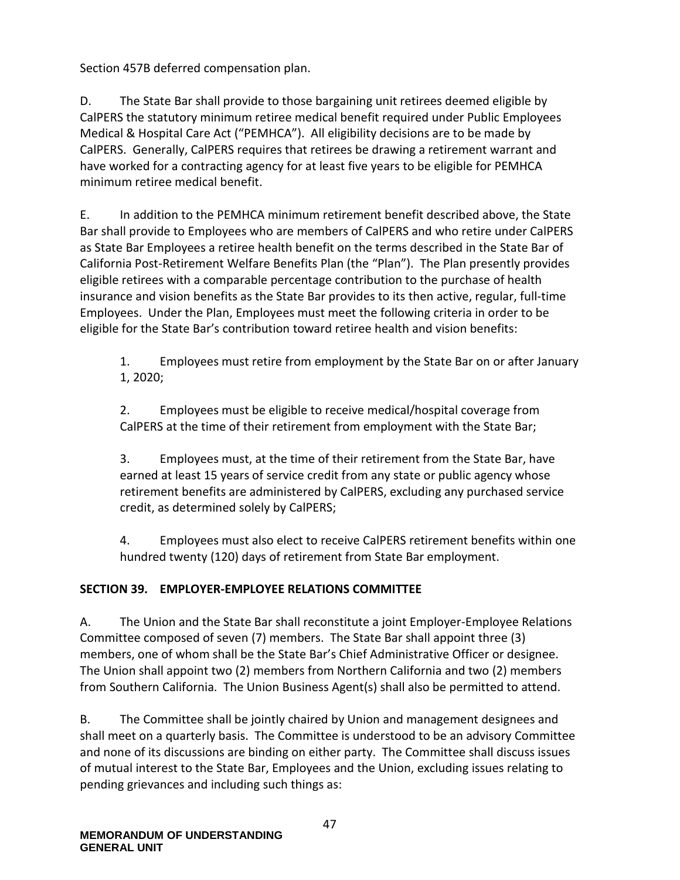Section 457B deferred compensation plan.

D. The State Bar shall provide to those bargaining unit retirees deemed eligible by CalPERS the statutory minimum retiree medical benefit required under Public Employees Medical & Hospital Care Act ("PEMHCA"). All eligibility decisions are to be made by CalPERS. Generally, CalPERS requires that retirees be drawing a retirement warrant and have worked for a contracting agency for at least five years to be eligible for PEMHCA minimum retiree medical benefit.

E. In addition to the PEMHCA minimum retirement benefit described above, the State Bar shall provide to Employees who are members of CalPERS and who retire under CalPERS as State Bar Employees a retiree health benefit on the terms described in the State Bar of California Post-Retirement Welfare Benefits Plan (the "Plan"). The Plan presently provides eligible retirees with a comparable percentage contribution to the purchase of health insurance and vision benefits as the State Bar provides to its then active, regular, full-time Employees. Under the Plan, Employees must meet the following criteria in order to be eligible for the State Bar's contribution toward retiree health and vision benefits:

1. Employees must retire from employment by the State Bar on or after January 1, 2020;

2. Employees must be eligible to receive medical/hospital coverage from CalPERS at the time of their retirement from employment with the State Bar;

3. Employees must, at the time of their retirement from the State Bar, have earned at least 15 years of service credit from any state or public agency whose retirement benefits are administered by CalPERS, excluding any purchased service credit, as determined solely by CalPERS;

4. Employees must also elect to receive CalPERS retirement benefits within one hundred twenty (120) days of retirement from State Bar employment.

## **SECTION 39. EMPLOYER-EMPLOYEE RELATIONS COMMITTEE**

A. The Union and the State Bar shall reconstitute a joint Employer-Employee Relations Committee composed of seven (7) members. The State Bar shall appoint three (3) members, one of whom shall be the State Bar's Chief Administrative Officer or designee. The Union shall appoint two (2) members from Northern California and two (2) members from Southern California. The Union Business Agent(s) shall also be permitted to attend.

B. The Committee shall be jointly chaired by Union and management designees and shall meet on a quarterly basis. The Committee is understood to be an advisory Committee and none of its discussions are binding on either party. The Committee shall discuss issues of mutual interest to the State Bar, Employees and the Union, excluding issues relating to pending grievances and including such things as: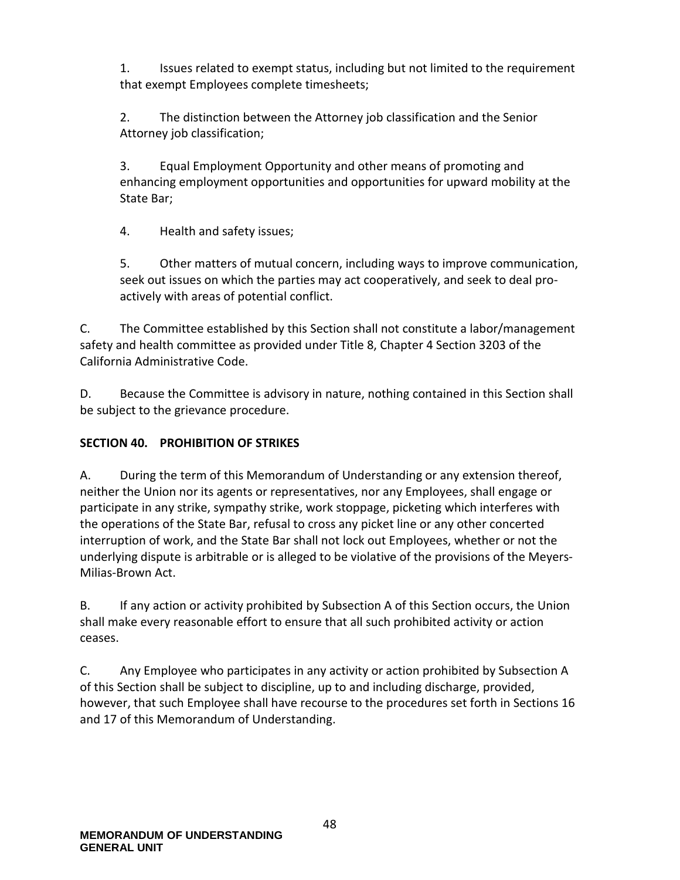1. Issues related to exempt status, including but not limited to the requirement that exempt Employees complete timesheets;

2. The distinction between the Attorney job classification and the Senior Attorney job classification;

3. Equal Employment Opportunity and other means of promoting and enhancing employment opportunities and opportunities for upward mobility at the State Bar;

4. Health and safety issues;

5. Other matters of mutual concern, including ways to improve communication, seek out issues on which the parties may act cooperatively, and seek to deal proactively with areas of potential conflict.

C. The Committee established by this Section shall not constitute a labor/management safety and health committee as provided under Title 8, Chapter 4 Section 3203 of the California Administrative Code.

D. Because the Committee is advisory in nature, nothing contained in this Section shall be subject to the grievance procedure.

## **SECTION 40. PROHIBITION OF STRIKES**

A. During the term of this Memorandum of Understanding or any extension thereof, neither the Union nor its agents or representatives, nor any Employees, shall engage or participate in any strike, sympathy strike, work stoppage, picketing which interferes with the operations of the State Bar, refusal to cross any picket line or any other concerted interruption of work, and the State Bar shall not lock out Employees, whether or not the underlying dispute is arbitrable or is alleged to be violative of the provisions of the Meyers-Milias-Brown Act.

B. If any action or activity prohibited by Subsection A of this Section occurs, the Union shall make every reasonable effort to ensure that all such prohibited activity or action ceases.

C. Any Employee who participates in any activity or action prohibited by Subsection A of this Section shall be subject to discipline, up to and including discharge, provided, however, that such Employee shall have recourse to the procedures set forth in Sections 16 and 17 of this Memorandum of Understanding.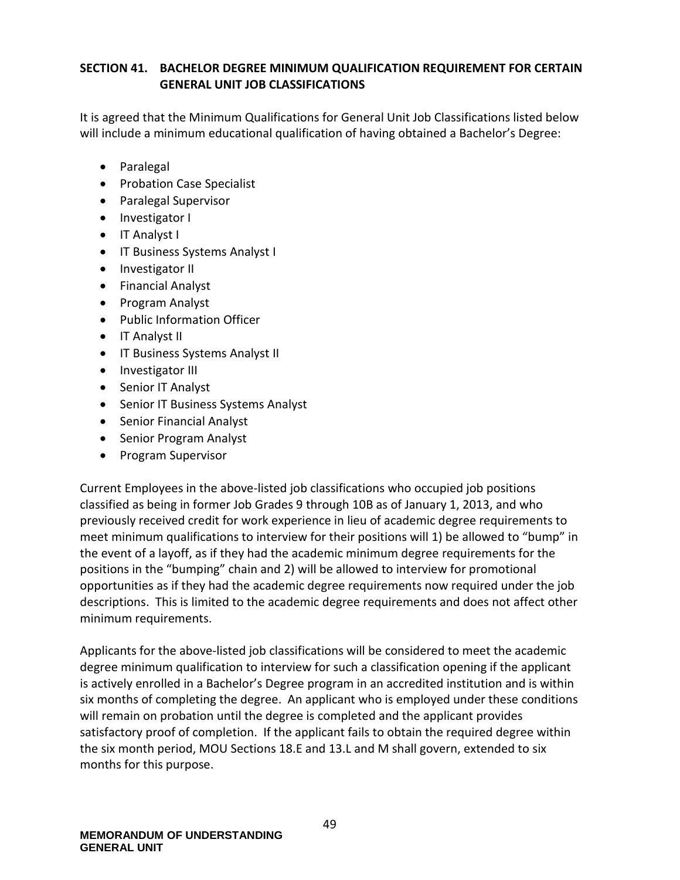## **SECTION 41. BACHELOR DEGREE MINIMUM QUALIFICATION REQUIREMENT FOR CERTAIN GENERAL UNIT JOB CLASSIFICATIONS**

It is agreed that the Minimum Qualifications for General Unit Job Classifications listed below will include a minimum educational qualification of having obtained a Bachelor's Degree:

- Paralegal
- Probation Case Specialist
- Paralegal Supervisor
- Investigator I
- IT Analyst I
- IT Business Systems Analyst I
- Investigator II
- Financial Analyst
- Program Analyst
- Public Information Officer
- IT Analyst II
- IT Business Systems Analyst II
- Investigator III
- Senior IT Analyst
- Senior IT Business Systems Analyst
- Senior Financial Analyst
- Senior Program Analyst
- Program Supervisor

Current Employees in the above-listed job classifications who occupied job positions classified as being in former Job Grades 9 through 10B as of January 1, 2013, and who previously received credit for work experience in lieu of academic degree requirements to meet minimum qualifications to interview for their positions will 1) be allowed to "bump" in the event of a layoff, as if they had the academic minimum degree requirements for the positions in the "bumping" chain and 2) will be allowed to interview for promotional opportunities as if they had the academic degree requirements now required under the job descriptions. This is limited to the academic degree requirements and does not affect other minimum requirements.

Applicants for the above-listed job classifications will be considered to meet the academic degree minimum qualification to interview for such a classification opening if the applicant is actively enrolled in a Bachelor's Degree program in an accredited institution and is within six months of completing the degree. An applicant who is employed under these conditions will remain on probation until the degree is completed and the applicant provides satisfactory proof of completion. If the applicant fails to obtain the required degree within the six month period, MOU Sections 18.E and 13.L and M shall govern, extended to six months for this purpose.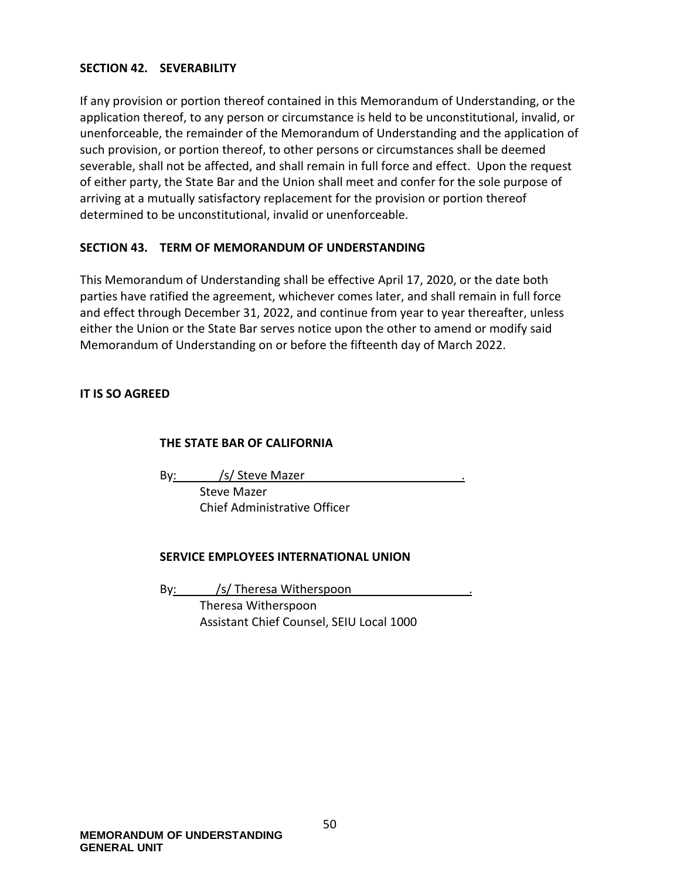#### **SECTION 42. SEVERABILITY**

If any provision or portion thereof contained in this Memorandum of Understanding, or the application thereof, to any person or circumstance is held to be unconstitutional, invalid, or unenforceable, the remainder of the Memorandum of Understanding and the application of such provision, or portion thereof, to other persons or circumstances shall be deemed severable, shall not be affected, and shall remain in full force and effect. Upon the request of either party, the State Bar and the Union shall meet and confer for the sole purpose of arriving at a mutually satisfactory replacement for the provision or portion thereof determined to be unconstitutional, invalid or unenforceable.

#### **SECTION 43. TERM OF MEMORANDUM OF UNDERSTANDING**

This Memorandum of Understanding shall be effective April 17, 2020, or the date both parties have ratified the agreement, whichever comes later, and shall remain in full force and effect through December 31, 2022, and continue from year to year thereafter, unless either the Union or the State Bar serves notice upon the other to amend or modify said Memorandum of Understanding on or before the fifteenth day of March 2022.

#### **IT IS SO AGREED**

#### **THE STATE BAR OF CALIFORNIA**

By: /s/ Steve Mazer

Steve Mazer Chief Administrative Officer

#### **SERVICE EMPLOYEES INTERNATIONAL UNION**

By: /s/ Theresa Witherspoon Theresa Witherspoon Assistant Chief Counsel, SEIU Local 1000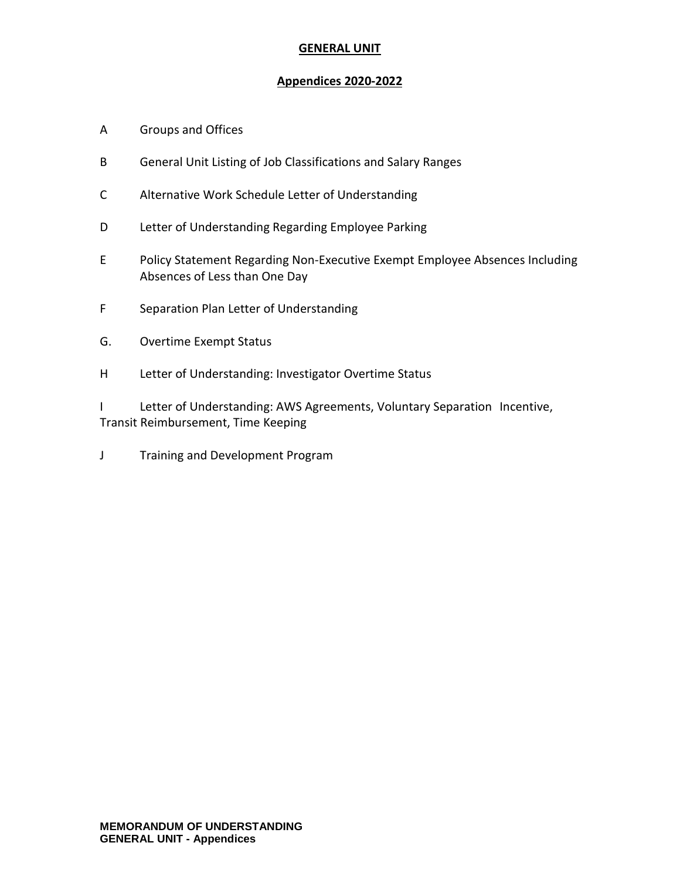#### **GENERAL UNIT**

#### **Appendices 2020-2022**

- A Groups and Offices
- B General Unit Listing of Job Classifications and Salary Ranges
- C Alternative Work Schedule Letter of Understanding
- D Letter of Understanding Regarding Employee Parking
- E Policy Statement Regarding Non-Executive Exempt Employee Absences Including Absences of Less than One Day
- F Separation Plan Letter of Understanding
- G. Overtime Exempt Status
- H Letter of Understanding: Investigator Overtime Status

I Letter of Understanding: AWS Agreements, Voluntary Separation Incentive, Transit Reimbursement, Time Keeping

J Training and Development Program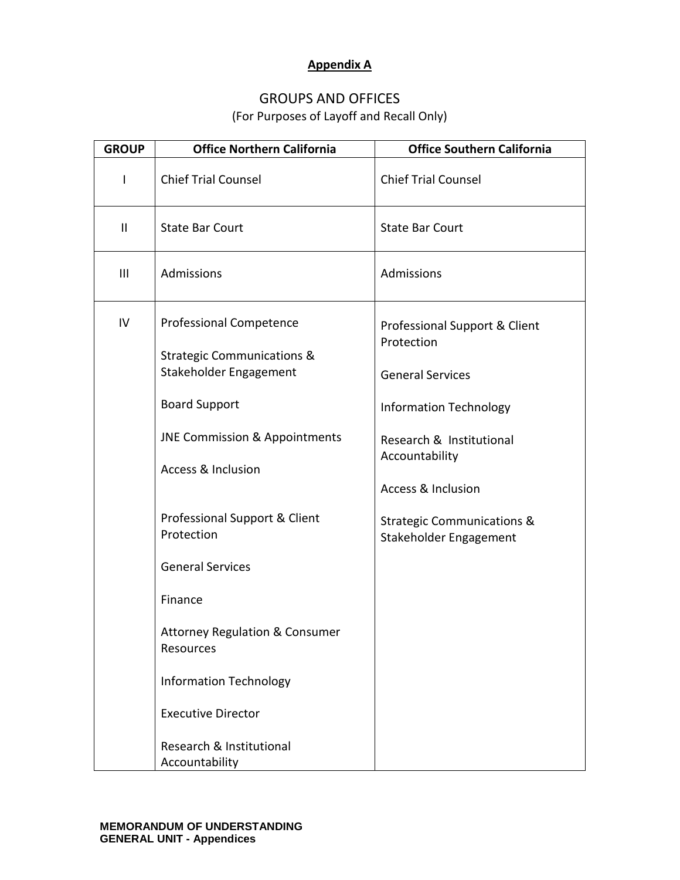## **Appendix A**

# GROUPS AND OFFICES

(For Purposes of Layoff and Recall Only)

| <b>GROUP</b>  | <b>Office Northern California</b>                                                                                                                                                                                                                       | <b>Office Southern California</b>                                                                                                                                                      |
|---------------|---------------------------------------------------------------------------------------------------------------------------------------------------------------------------------------------------------------------------------------------------------|----------------------------------------------------------------------------------------------------------------------------------------------------------------------------------------|
| I             | <b>Chief Trial Counsel</b>                                                                                                                                                                                                                              | <b>Chief Trial Counsel</b>                                                                                                                                                             |
| $\mathbf{II}$ | <b>State Bar Court</b>                                                                                                                                                                                                                                  | <b>State Bar Court</b>                                                                                                                                                                 |
| III           | Admissions                                                                                                                                                                                                                                              | Admissions                                                                                                                                                                             |
| IV            | <b>Professional Competence</b><br><b>Strategic Communications &amp;</b><br>Stakeholder Engagement<br><b>Board Support</b><br><b>JNE Commission &amp; Appointments</b><br><b>Access &amp; Inclusion</b>                                                  | Professional Support & Client<br>Protection<br><b>General Services</b><br><b>Information Technology</b><br>Research & Institutional<br>Accountability<br><b>Access &amp; Inclusion</b> |
|               | Professional Support & Client<br>Protection<br><b>General Services</b><br>Finance<br><b>Attorney Regulation &amp; Consumer</b><br>Resources<br><b>Information Technology</b><br><b>Executive Director</b><br>Research & Institutional<br>Accountability | <b>Strategic Communications &amp;</b><br>Stakeholder Engagement                                                                                                                        |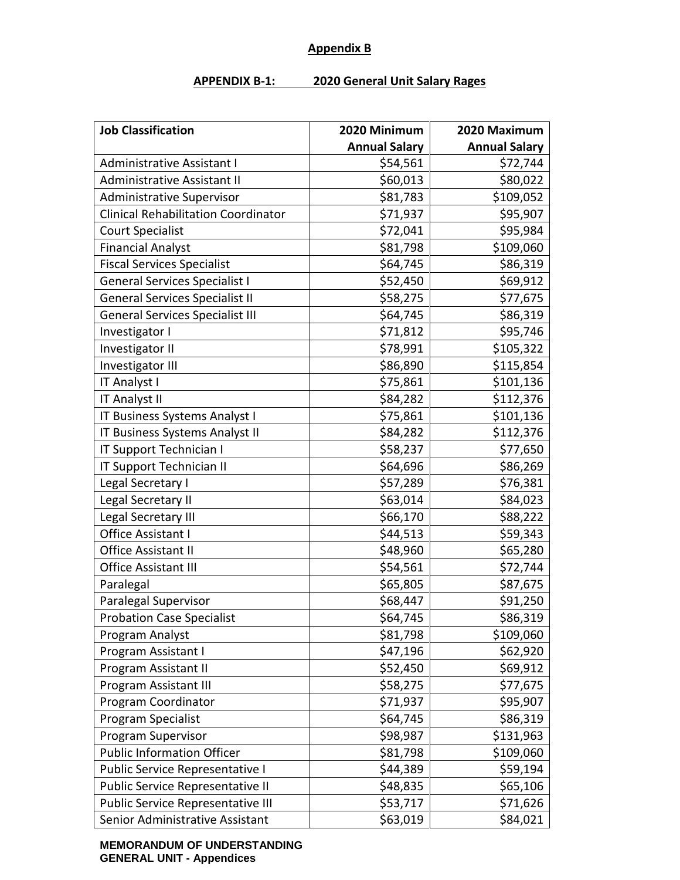#### **Appendix B**

#### **APPENDIX B-1: 2020 General Unit Salary Rages**

| <b>Job Classification</b>                  | 2020 Minimum         | 2020 Maximum         |
|--------------------------------------------|----------------------|----------------------|
|                                            | <b>Annual Salary</b> | <b>Annual Salary</b> |
| <b>Administrative Assistant I</b>          | \$54,561             | \$72,744             |
| Administrative Assistant II                | \$60,013             | \$80,022             |
| <b>Administrative Supervisor</b>           | \$81,783             | \$109,052            |
| <b>Clinical Rehabilitation Coordinator</b> | \$71,937             | \$95,907             |
| <b>Court Specialist</b>                    | \$72,041             | \$95,984             |
| <b>Financial Analyst</b>                   | \$81,798             | \$109,060            |
| <b>Fiscal Services Specialist</b>          | \$64,745             | \$86,319             |
| <b>General Services Specialist I</b>       | \$52,450             | \$69,912             |
| <b>General Services Specialist II</b>      | \$58,275             | \$77,675             |
| <b>General Services Specialist III</b>     | \$64,745             | \$86,319             |
| Investigator I                             | \$71,812             | \$95,746             |
| Investigator II                            | \$78,991             | \$105,322            |
| Investigator III                           | \$86,890             | \$115,854            |
| IT Analyst I                               | \$75,861             | \$101,136            |
| IT Analyst II                              | \$84,282             | \$112,376            |
| IT Business Systems Analyst I              | \$75,861             | \$101,136            |
| IT Business Systems Analyst II             | \$84,282             | \$112,376            |
| IT Support Technician I                    | \$58,237             | \$77,650             |
| IT Support Technician II                   | \$64,696             | \$86,269             |
| Legal Secretary I                          | \$57,289             | \$76,381             |
| Legal Secretary II                         | \$63,014             | \$84,023             |
| Legal Secretary III                        | \$66,170             | \$88,222             |
| Office Assistant I                         | \$44,513             | \$59,343             |
| <b>Office Assistant II</b>                 | \$48,960             | \$65,280             |
| Office Assistant III                       | \$54,561             | \$72,744             |
| Paralegal                                  | \$65,805             | \$87,675             |
| Paralegal Supervisor                       | \$68,447             | \$91,250             |
| <b>Probation Case Specialist</b>           | \$64,745             | \$86,319             |
| Program Analyst                            | \$81,798             | \$109,060            |
| Program Assistant I                        | \$47,196             | \$62,920             |
| Program Assistant II                       | \$52,450             | \$69,912             |
| Program Assistant III                      | \$58,275             | \$77,675             |
| Program Coordinator                        | \$71,937             | \$95,907             |
| Program Specialist                         | \$64,745             | \$86,319             |
| Program Supervisor                         | \$98,987             | \$131,963            |
| <b>Public Information Officer</b>          | \$81,798             | \$109,060            |
| Public Service Representative I            | \$44,389             | \$59,194             |
| Public Service Representative II           | \$48,835             | \$65,106             |
| Public Service Representative III          | \$53,717             | \$71,626             |
| Senior Administrative Assistant            | \$63,019             | \$84,021             |

**MEMORANDUM OF UNDERSTANDING GENERAL UNIT - Appendices**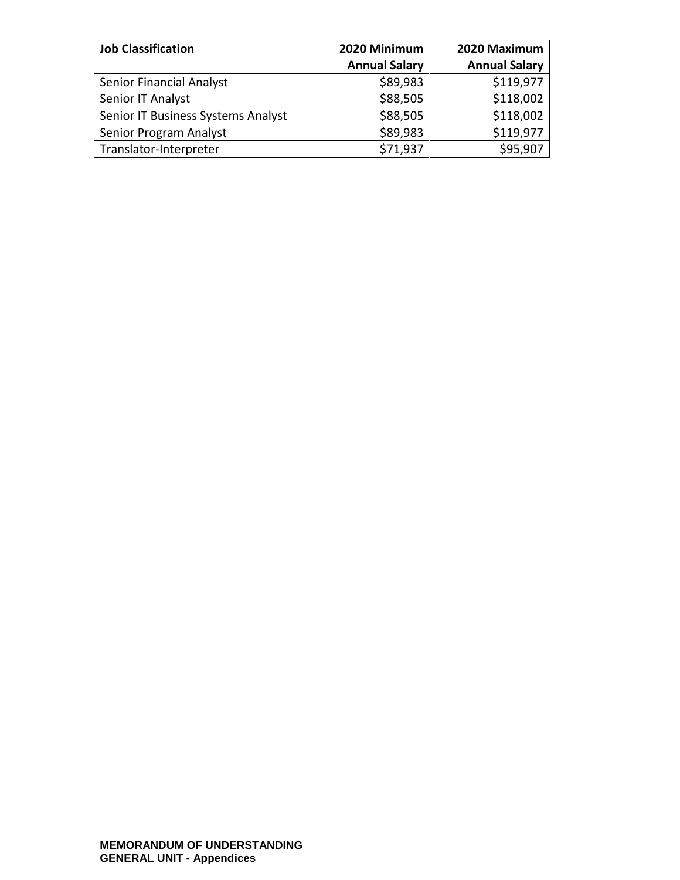| <b>Job Classification</b>          | 2020 Minimum         | 2020 Maximum         |
|------------------------------------|----------------------|----------------------|
|                                    | <b>Annual Salary</b> | <b>Annual Salary</b> |
| Senior Financial Analyst           | \$89,983             | \$119,977            |
| Senior IT Analyst                  | \$88,505             | \$118,002            |
| Senior IT Business Systems Analyst | \$88,505             | \$118,002            |
| Senior Program Analyst             | \$89,983             | \$119,977            |
| Translator-Interpreter             | \$71,937             | \$95,907             |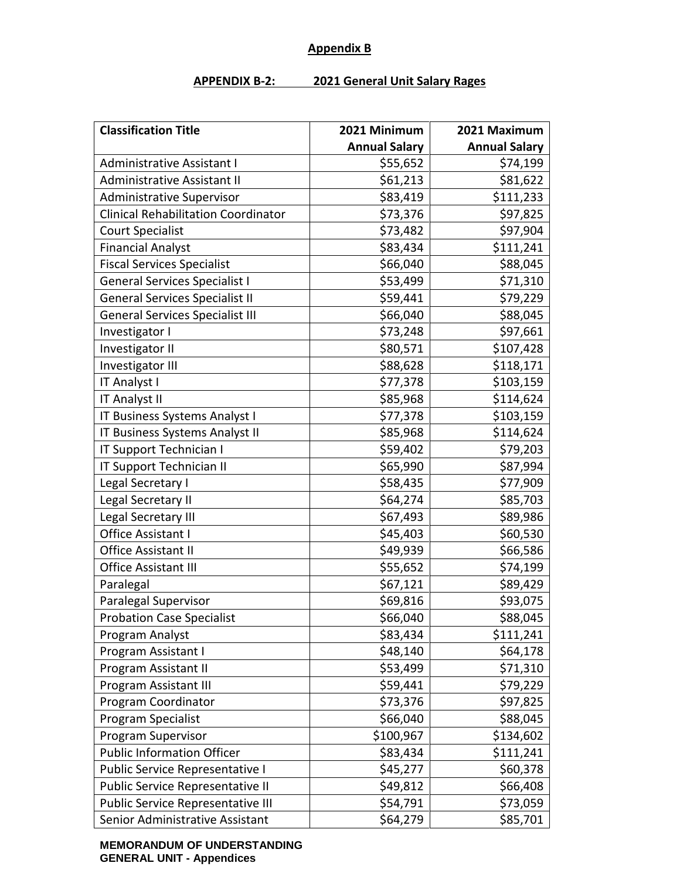#### **Appendix B**

#### **APPENDIX B-2: 2021 General Unit Salary Rages**

| <b>Classification Title</b>                | 2021 Minimum         | 2021 Maximum         |
|--------------------------------------------|----------------------|----------------------|
|                                            | <b>Annual Salary</b> | <b>Annual Salary</b> |
| <b>Administrative Assistant I</b>          | \$55,652             | \$74,199             |
| <b>Administrative Assistant II</b>         | \$61,213             | \$81,622             |
| <b>Administrative Supervisor</b>           | \$83,419             | \$111,233            |
| <b>Clinical Rehabilitation Coordinator</b> | \$73,376             | \$97,825             |
| <b>Court Specialist</b>                    | \$73,482             | \$97,904             |
| <b>Financial Analyst</b>                   | \$83,434             | \$111,241            |
| <b>Fiscal Services Specialist</b>          | \$66,040             | \$88,045             |
| <b>General Services Specialist I</b>       | \$53,499             | \$71,310             |
| <b>General Services Specialist II</b>      | \$59,441             | \$79,229             |
| <b>General Services Specialist III</b>     | \$66,040             | \$88,045             |
| Investigator I                             | \$73,248             | \$97,661             |
| Investigator II                            | \$80,571             | \$107,428            |
| Investigator III                           | \$88,628             | \$118,171            |
| IT Analyst I                               | \$77,378             | \$103,159            |
| IT Analyst II                              | \$85,968             | \$114,624            |
| IT Business Systems Analyst I              | \$77,378             | \$103,159            |
| IT Business Systems Analyst II             | \$85,968             | \$114,624            |
| IT Support Technician I                    | \$59,402             | \$79,203             |
| IT Support Technician II                   | \$65,990             | \$87,994             |
| Legal Secretary I                          | \$58,435             | \$77,909             |
| Legal Secretary II                         | \$64,274             | \$85,703             |
| Legal Secretary III                        | \$67,493             | \$89,986             |
| Office Assistant I                         | \$45,403             | \$60,530             |
| <b>Office Assistant II</b>                 | \$49,939             | \$66,586             |
| Office Assistant III                       | \$55,652             | \$74,199             |
| Paralegal                                  | \$67,121             | \$89,429             |
| Paralegal Supervisor                       | \$69,816             | \$93,075             |
| <b>Probation Case Specialist</b>           | \$66,040             | \$88,045             |
| Program Analyst                            | \$83,434             | \$111,241            |
| Program Assistant I                        | \$48,140             | \$64,178             |
| Program Assistant II                       | \$53,499             | \$71,310             |
| Program Assistant III                      | \$59,441             | \$79,229             |
| Program Coordinator                        | \$73,376             | \$97,825             |
| Program Specialist                         | \$66,040             | \$88,045             |
| Program Supervisor                         | \$100,967            | \$134,602            |
| <b>Public Information Officer</b>          | \$83,434             | \$111,241            |
| Public Service Representative I            | \$45,277             | \$60,378             |
| Public Service Representative II           | \$49,812             | \$66,408             |
| Public Service Representative III          | \$54,791             | \$73,059             |
| Senior Administrative Assistant            | \$64,279             | \$85,701             |

**MEMORANDUM OF UNDERSTANDING GENERAL UNIT - Appendices**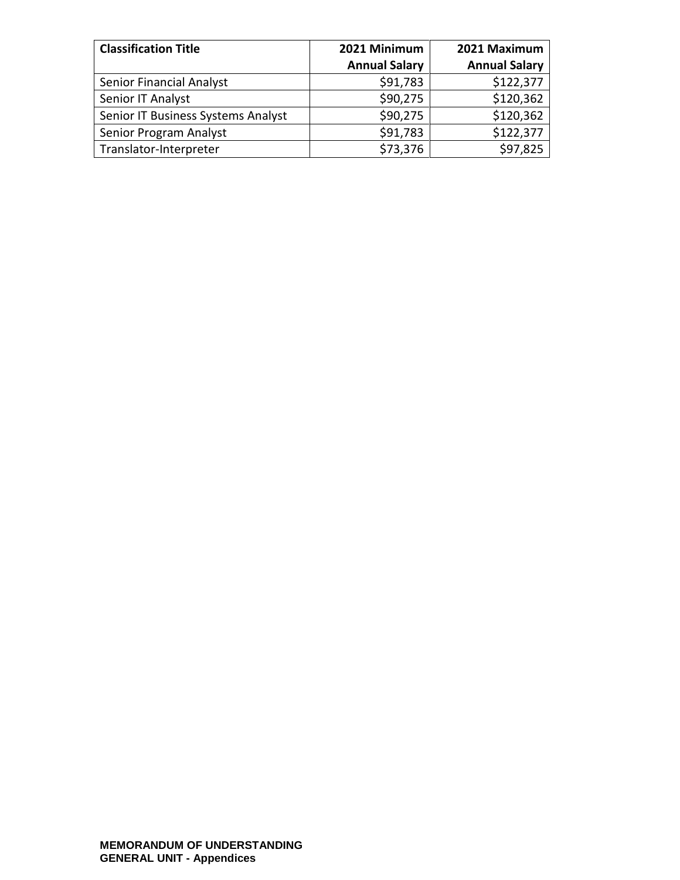| <b>Classification Title</b>        | 2021 Minimum         | 2021 Maximum         |
|------------------------------------|----------------------|----------------------|
|                                    | <b>Annual Salary</b> | <b>Annual Salary</b> |
| Senior Financial Analyst           | \$91,783             | \$122,377            |
| Senior IT Analyst                  | \$90,275             | \$120,362            |
| Senior IT Business Systems Analyst | \$90,275             | \$120,362            |
| Senior Program Analyst             | \$91,783             | \$122,377            |
| Translator-Interpreter             | \$73,376             | \$97,825             |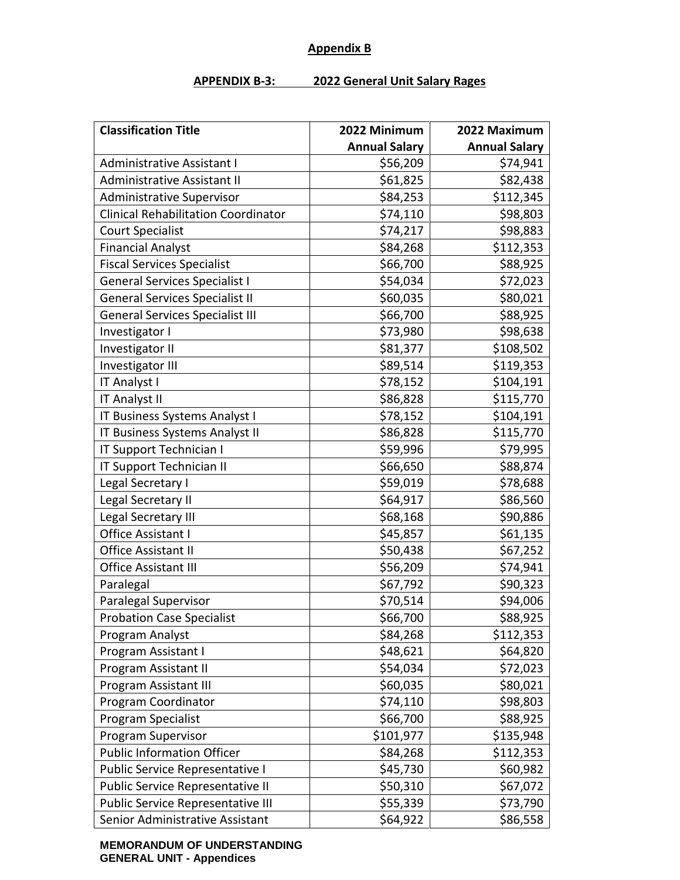#### **Appendix B**

#### **APPENDIX B-3: 2022 General Unit Salary Rages**

| <b>Classification Title</b>                | 2022 Minimum         | 2022 Maximum         |
|--------------------------------------------|----------------------|----------------------|
|                                            | <b>Annual Salary</b> | <b>Annual Salary</b> |
| <b>Administrative Assistant I</b>          | \$56,209             | \$74,941             |
| <b>Administrative Assistant II</b>         | \$61,825             | \$82,438             |
| <b>Administrative Supervisor</b>           | \$84,253             | \$112,345            |
| <b>Clinical Rehabilitation Coordinator</b> | \$74,110             | \$98,803             |
| <b>Court Specialist</b>                    | \$74,217             | \$98,883             |
| <b>Financial Analyst</b>                   | \$84,268             | \$112,353            |
| <b>Fiscal Services Specialist</b>          | \$66,700             | \$88,925             |
| <b>General Services Specialist I</b>       | \$54,034             | \$72,023             |
| <b>General Services Specialist II</b>      | \$60,035             | \$80,021             |
| <b>General Services Specialist III</b>     | \$66,700             | \$88,925             |
| Investigator I                             | \$73,980             | \$98,638             |
| Investigator II                            | \$81,377             | \$108,502            |
| Investigator III                           | \$89,514             | \$119,353            |
| IT Analyst I                               | \$78,152             | \$104,191            |
| IT Analyst II                              | \$86,828             | \$115,770            |
| IT Business Systems Analyst I              | \$78,152             | \$104,191            |
| IT Business Systems Analyst II             | \$86,828             | \$115,770            |
| IT Support Technician I                    | \$59,996             | \$79,995             |
| IT Support Technician II                   | \$66,650             | \$88,874             |
| Legal Secretary I                          | \$59,019             | \$78,688             |
| Legal Secretary II                         | \$64,917             | \$86,560             |
| Legal Secretary III                        | \$68,168             | \$90,886             |
| Office Assistant I                         | \$45,857             | \$61,135             |
| Office Assistant II                        | \$50,438             | \$67,252             |
| Office Assistant III                       | \$56,209             | \$74,941             |
| Paralegal                                  | \$67,792             | \$90,323             |
| Paralegal Supervisor                       | \$70,514             | \$94,006             |
| <b>Probation Case Specialist</b>           | \$66,700             | \$88,925             |
| Program Analyst                            | \$84,268             | \$112,353            |
| Program Assistant I                        | \$48,621             | \$64,820             |
| Program Assistant II                       | \$54,034             | \$72,023             |
| Program Assistant III                      | \$60,035             | \$80,021             |
| Program Coordinator                        | \$74,110             | \$98,803             |
| Program Specialist                         | \$66,700             | \$88,925             |
| Program Supervisor                         | \$101,977            | \$135,948            |
| <b>Public Information Officer</b>          | \$84,268             | \$112,353            |
| Public Service Representative I            | \$45,730             | \$60,982             |
| Public Service Representative II           | \$50,310             | \$67,072             |
| Public Service Representative III          | \$55,339             | \$73,790             |
| Senior Administrative Assistant            | \$64,922             | \$86,558             |

**MEMORANDUM OF UNDERSTANDING GENERAL UNIT - Appendices**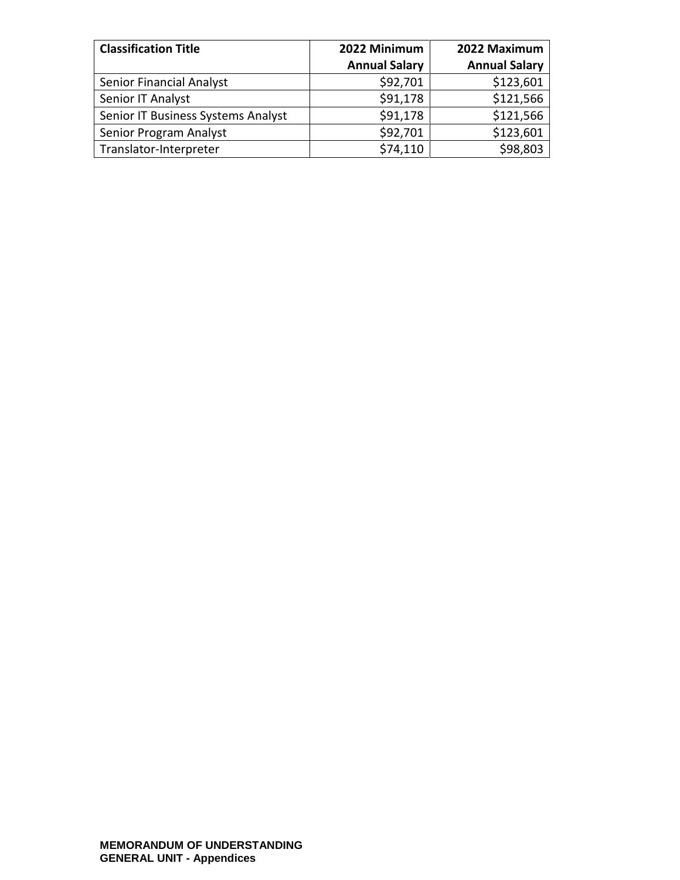| <b>Classification Title</b>        | 2022 Minimum         | 2022 Maximum         |
|------------------------------------|----------------------|----------------------|
|                                    | <b>Annual Salary</b> | <b>Annual Salary</b> |
| Senior Financial Analyst           | \$92,701             | \$123,601            |
| Senior IT Analyst                  | \$91,178             | \$121,566            |
| Senior IT Business Systems Analyst | \$91,178             | \$121,566            |
| Senior Program Analyst             | \$92,701             | \$123,601            |
| Translator-Interpreter             | \$74,110             | \$98,803             |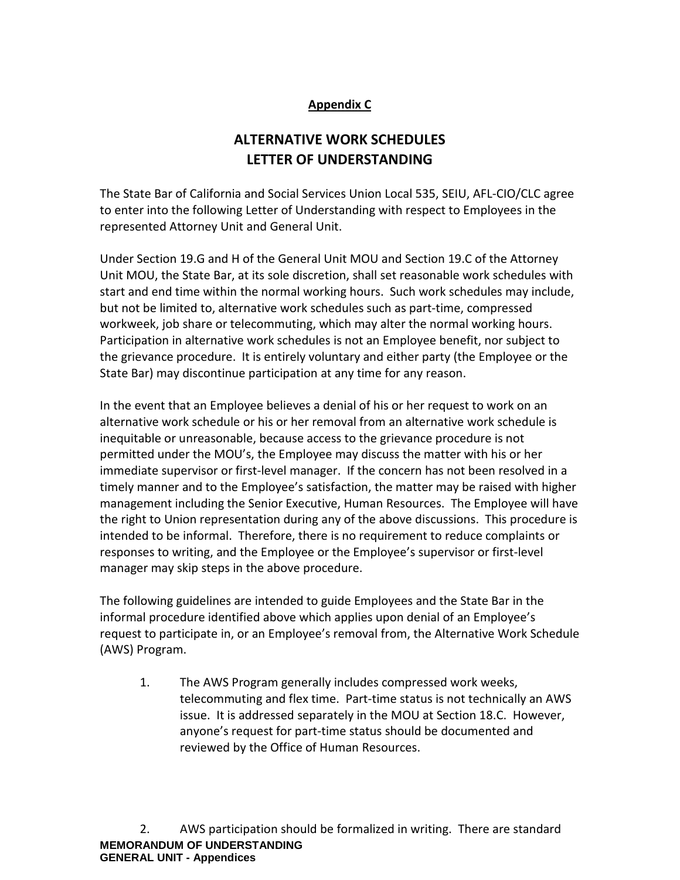## **Appendix C**

# **ALTERNATIVE WORK SCHEDULES LETTER OF UNDERSTANDING**

The State Bar of California and Social Services Union Local 535, SEIU, AFL-CIO/CLC agree to enter into the following Letter of Understanding with respect to Employees in the represented Attorney Unit and General Unit.

Under Section 19.G and H of the General Unit MOU and Section 19.C of the Attorney Unit MOU, the State Bar, at its sole discretion, shall set reasonable work schedules with start and end time within the normal working hours. Such work schedules may include, but not be limited to, alternative work schedules such as part-time, compressed workweek, job share or telecommuting, which may alter the normal working hours. Participation in alternative work schedules is not an Employee benefit, nor subject to the grievance procedure. It is entirely voluntary and either party (the Employee or the State Bar) may discontinue participation at any time for any reason.

In the event that an Employee believes a denial of his or her request to work on an alternative work schedule or his or her removal from an alternative work schedule is inequitable or unreasonable, because access to the grievance procedure is not permitted under the MOU's, the Employee may discuss the matter with his or her immediate supervisor or first-level manager. If the concern has not been resolved in a timely manner and to the Employee's satisfaction, the matter may be raised with higher management including the Senior Executive, Human Resources. The Employee will have the right to Union representation during any of the above discussions. This procedure is intended to be informal. Therefore, there is no requirement to reduce complaints or responses to writing, and the Employee or the Employee's supervisor or first-level manager may skip steps in the above procedure.

The following guidelines are intended to guide Employees and the State Bar in the informal procedure identified above which applies upon denial of an Employee's request to participate in, or an Employee's removal from, the Alternative Work Schedule (AWS) Program.

1. The AWS Program generally includes compressed work weeks, telecommuting and flex time. Part-time status is not technically an AWS issue. It is addressed separately in the MOU at Section 18.C. However, anyone's request for part-time status should be documented and reviewed by the Office of Human Resources.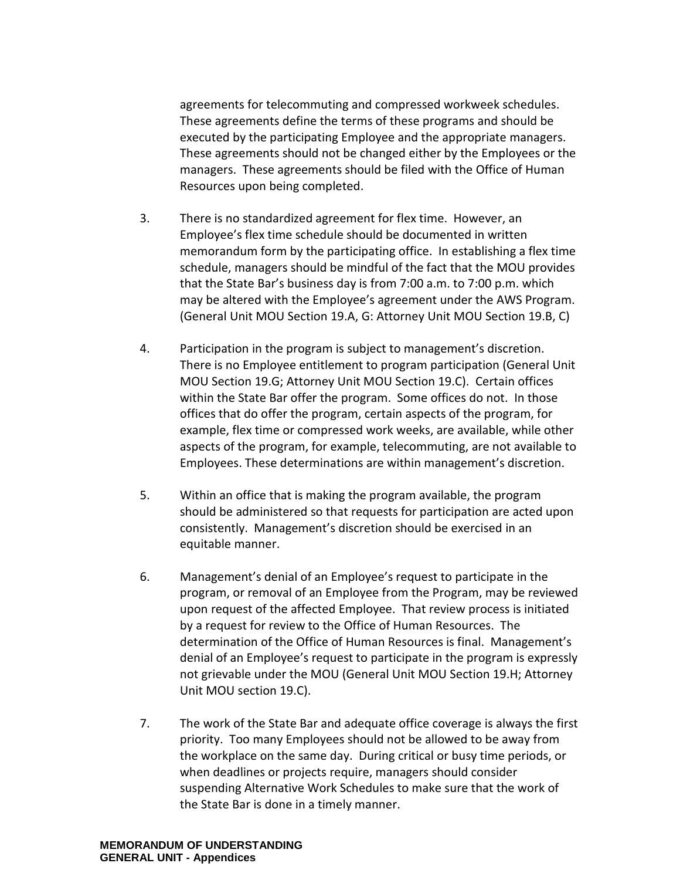agreements for telecommuting and compressed workweek schedules. These agreements define the terms of these programs and should be executed by the participating Employee and the appropriate managers. These agreements should not be changed either by the Employees or the managers. These agreements should be filed with the Office of Human Resources upon being completed.

- 3. There is no standardized agreement for flex time. However, an Employee's flex time schedule should be documented in written memorandum form by the participating office. In establishing a flex time schedule, managers should be mindful of the fact that the MOU provides that the State Bar's business day is from 7:00 a.m. to 7:00 p.m. which may be altered with the Employee's agreement under the AWS Program. (General Unit MOU Section 19.A, G: Attorney Unit MOU Section 19.B, C)
- 4. Participation in the program is subject to management's discretion. There is no Employee entitlement to program participation (General Unit MOU Section 19.G; Attorney Unit MOU Section 19.C). Certain offices within the State Bar offer the program. Some offices do not. In those offices that do offer the program, certain aspects of the program, for example, flex time or compressed work weeks, are available, while other aspects of the program, for example, telecommuting, are not available to Employees. These determinations are within management's discretion.
- 5. Within an office that is making the program available, the program should be administered so that requests for participation are acted upon consistently. Management's discretion should be exercised in an equitable manner.
- 6. Management's denial of an Employee's request to participate in the program, or removal of an Employee from the Program, may be reviewed upon request of the affected Employee. That review process is initiated by a request for review to the Office of Human Resources. The determination of the Office of Human Resources is final. Management's denial of an Employee's request to participate in the program is expressly not grievable under the MOU (General Unit MOU Section 19.H; Attorney Unit MOU section 19.C).
- 7. The work of the State Bar and adequate office coverage is always the first priority. Too many Employees should not be allowed to be away from the workplace on the same day. During critical or busy time periods, or when deadlines or projects require, managers should consider suspending Alternative Work Schedules to make sure that the work of the State Bar is done in a timely manner.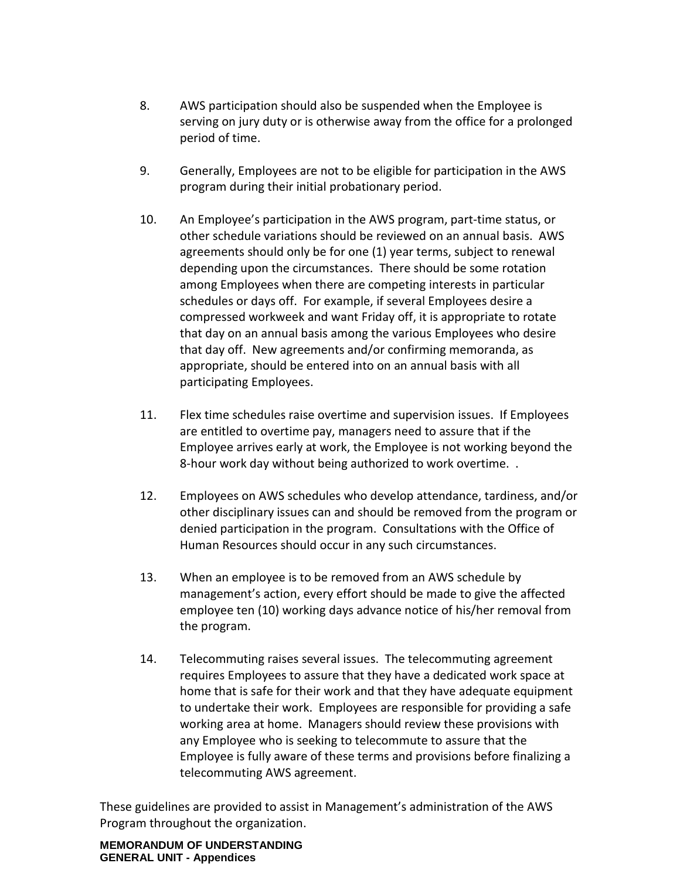- 8. AWS participation should also be suspended when the Employee is serving on jury duty or is otherwise away from the office for a prolonged period of time.
- 9. Generally, Employees are not to be eligible for participation in the AWS program during their initial probationary period.
- 10. An Employee's participation in the AWS program, part-time status, or other schedule variations should be reviewed on an annual basis. AWS agreements should only be for one (1) year terms, subject to renewal depending upon the circumstances. There should be some rotation among Employees when there are competing interests in particular schedules or days off. For example, if several Employees desire a compressed workweek and want Friday off, it is appropriate to rotate that day on an annual basis among the various Employees who desire that day off. New agreements and/or confirming memoranda, as appropriate, should be entered into on an annual basis with all participating Employees.
- 11. Flex time schedules raise overtime and supervision issues. If Employees are entitled to overtime pay, managers need to assure that if the Employee arrives early at work, the Employee is not working beyond the 8-hour work day without being authorized to work overtime. .
- 12. Employees on AWS schedules who develop attendance, tardiness, and/or other disciplinary issues can and should be removed from the program or denied participation in the program. Consultations with the Office of Human Resources should occur in any such circumstances.
- 13. When an employee is to be removed from an AWS schedule by management's action, every effort should be made to give the affected employee ten (10) working days advance notice of his/her removal from the program.
- 14. Telecommuting raises several issues. The telecommuting agreement requires Employees to assure that they have a dedicated work space at home that is safe for their work and that they have adequate equipment to undertake their work. Employees are responsible for providing a safe working area at home. Managers should review these provisions with any Employee who is seeking to telecommute to assure that the Employee is fully aware of these terms and provisions before finalizing a telecommuting AWS agreement.

These guidelines are provided to assist in Management's administration of the AWS Program throughout the organization.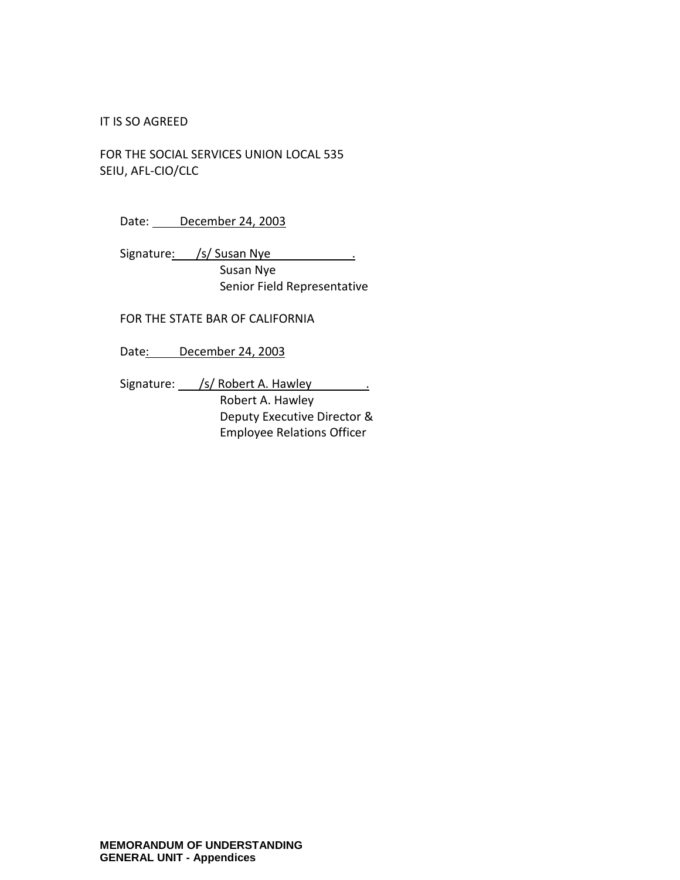#### IT IS SO AGREED

FOR THE SOCIAL SERVICES UNION LOCAL 535 SEIU, AFL-CIO/CLC

Date: December 24, 2003

Signature: /s/ Susan Nye . Susan Nye Senior Field Representative

FOR THE STATE BAR OF CALIFORNIA

Date: December 24, 2003

Signature: /s/ Robert A. Hawley . Robert A. Hawley Deputy Executive Director & Employee Relations Officer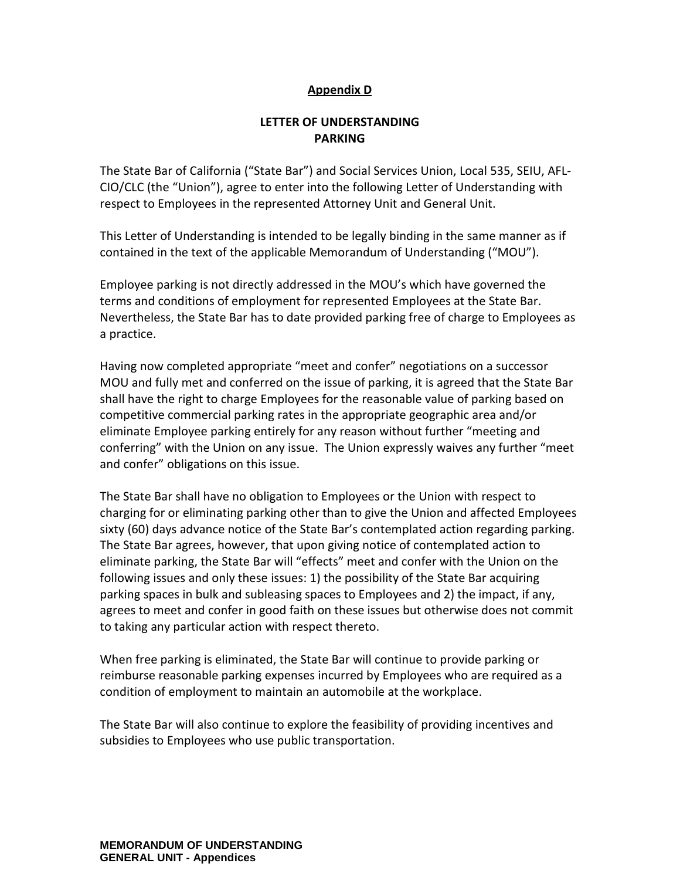#### **Appendix D**

#### **LETTER OF UNDERSTANDING PARKING**

The State Bar of California ("State Bar") and Social Services Union, Local 535, SEIU, AFL-CIO/CLC (the "Union"), agree to enter into the following Letter of Understanding with respect to Employees in the represented Attorney Unit and General Unit.

This Letter of Understanding is intended to be legally binding in the same manner as if contained in the text of the applicable Memorandum of Understanding ("MOU").

Employee parking is not directly addressed in the MOU's which have governed the terms and conditions of employment for represented Employees at the State Bar. Nevertheless, the State Bar has to date provided parking free of charge to Employees as a practice.

Having now completed appropriate "meet and confer" negotiations on a successor MOU and fully met and conferred on the issue of parking, it is agreed that the State Bar shall have the right to charge Employees for the reasonable value of parking based on competitive commercial parking rates in the appropriate geographic area and/or eliminate Employee parking entirely for any reason without further "meeting and conferring" with the Union on any issue. The Union expressly waives any further "meet and confer" obligations on this issue.

The State Bar shall have no obligation to Employees or the Union with respect to charging for or eliminating parking other than to give the Union and affected Employees sixty (60) days advance notice of the State Bar's contemplated action regarding parking. The State Bar agrees, however, that upon giving notice of contemplated action to eliminate parking, the State Bar will "effects" meet and confer with the Union on the following issues and only these issues: 1) the possibility of the State Bar acquiring parking spaces in bulk and subleasing spaces to Employees and 2) the impact, if any, agrees to meet and confer in good faith on these issues but otherwise does not commit to taking any particular action with respect thereto.

When free parking is eliminated, the State Bar will continue to provide parking or reimburse reasonable parking expenses incurred by Employees who are required as a condition of employment to maintain an automobile at the workplace.

The State Bar will also continue to explore the feasibility of providing incentives and subsidies to Employees who use public transportation.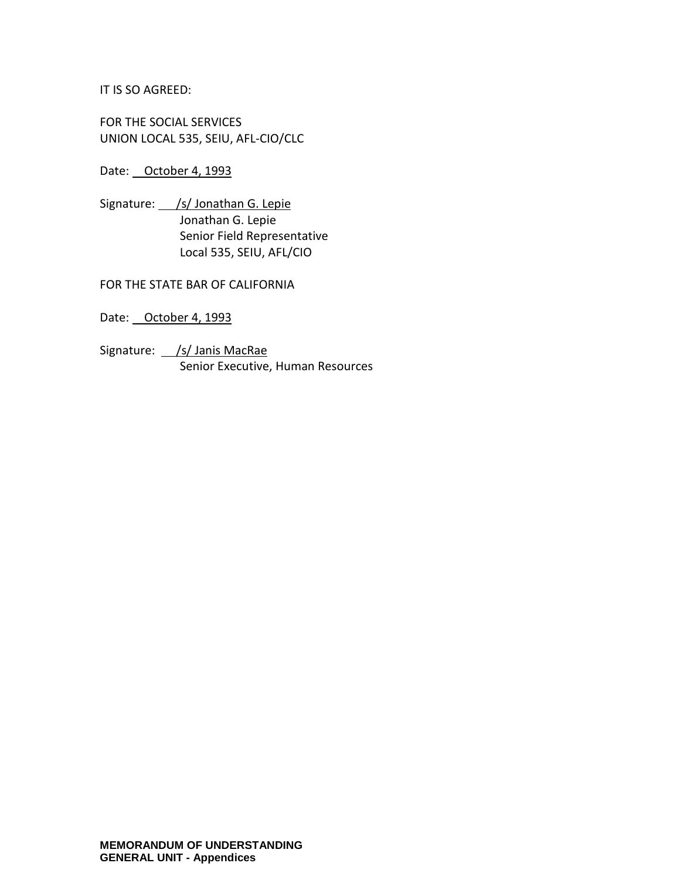IT IS SO AGREED:

FOR THE SOCIAL SERVICES UNION LOCAL 535, SEIU, AFL-CIO/CLC

Date: October 4, 1993

Signature: /s/ Jonathan G. Lepie Jonathan G. Lepie Senior Field Representative Local 535, SEIU, AFL/CIO

FOR THE STATE BAR OF CALIFORNIA

Date: October 4, 1993

Signature: /s/ Janis MacRae Senior Executive, Human Resources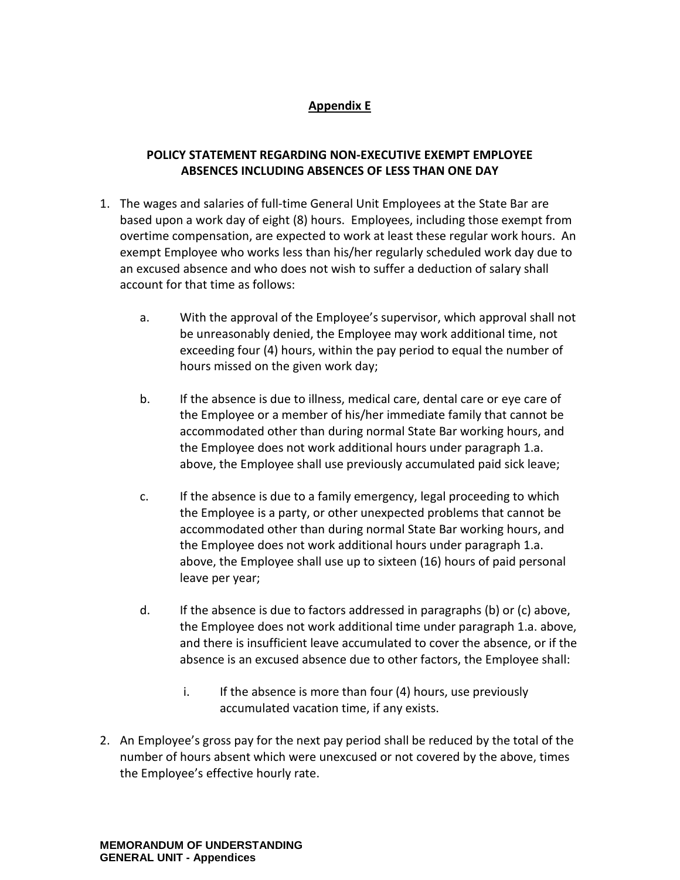## **Appendix E**

## **POLICY STATEMENT REGARDING NON-EXECUTIVE EXEMPT EMPLOYEE ABSENCES INCLUDING ABSENCES OF LESS THAN ONE DAY**

- 1. The wages and salaries of full-time General Unit Employees at the State Bar are based upon a work day of eight (8) hours. Employees, including those exempt from overtime compensation, are expected to work at least these regular work hours. An exempt Employee who works less than his/her regularly scheduled work day due to an excused absence and who does not wish to suffer a deduction of salary shall account for that time as follows:
	- a. With the approval of the Employee's supervisor, which approval shall not be unreasonably denied, the Employee may work additional time, not exceeding four (4) hours, within the pay period to equal the number of hours missed on the given work day;
	- b. If the absence is due to illness, medical care, dental care or eye care of the Employee or a member of his/her immediate family that cannot be accommodated other than during normal State Bar working hours, and the Employee does not work additional hours under paragraph 1.a. above, the Employee shall use previously accumulated paid sick leave;
	- c. If the absence is due to a family emergency, legal proceeding to which the Employee is a party, or other unexpected problems that cannot be accommodated other than during normal State Bar working hours, and the Employee does not work additional hours under paragraph 1.a. above, the Employee shall use up to sixteen (16) hours of paid personal leave per year;
	- d. If the absence is due to factors addressed in paragraphs (b) or (c) above, the Employee does not work additional time under paragraph 1.a. above, and there is insufficient leave accumulated to cover the absence, or if the absence is an excused absence due to other factors, the Employee shall:
		- i. If the absence is more than four (4) hours, use previously accumulated vacation time, if any exists.
- 2. An Employee's gross pay for the next pay period shall be reduced by the total of the number of hours absent which were unexcused or not covered by the above, times the Employee's effective hourly rate.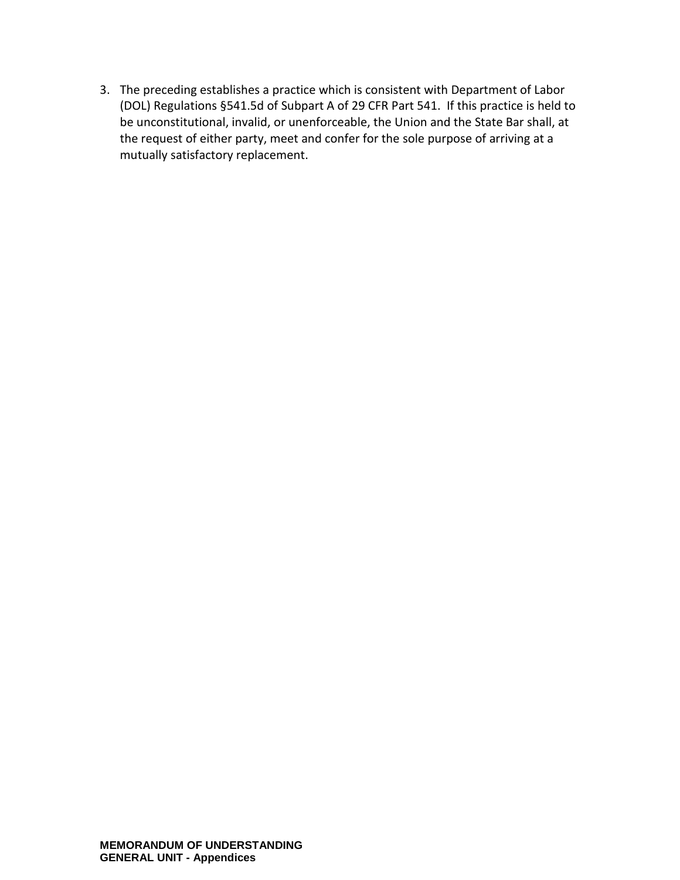3. The preceding establishes a practice which is consistent with Department of Labor (DOL) Regulations §541.5d of Subpart A of 29 CFR Part 541. If this practice is held to be unconstitutional, invalid, or unenforceable, the Union and the State Bar shall, at the request of either party, meet and confer for the sole purpose of arriving at a mutually satisfactory replacement.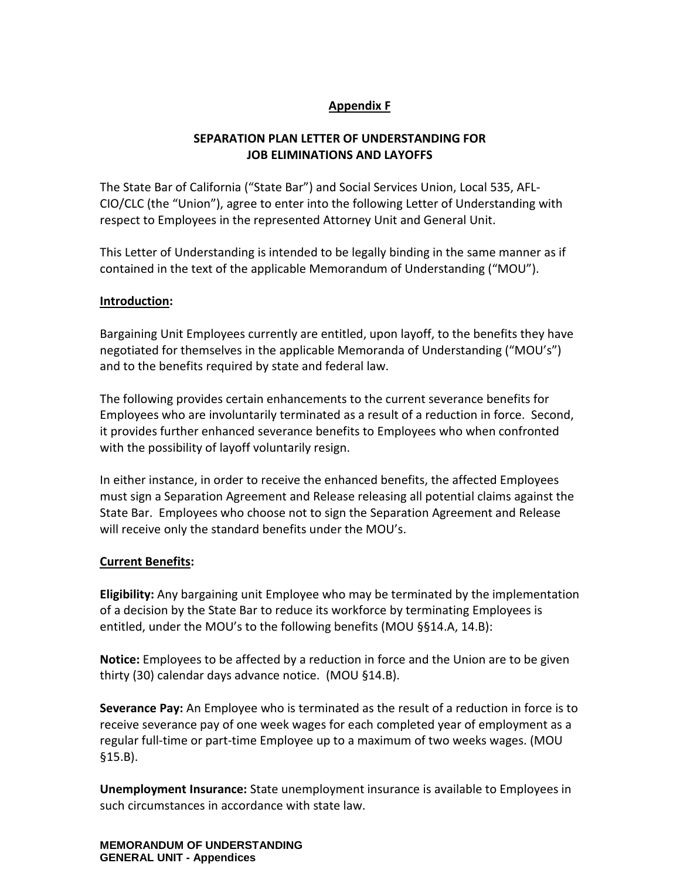## **Appendix F**

## **SEPARATION PLAN LETTER OF UNDERSTANDING FOR JOB ELIMINATIONS AND LAYOFFS**

The State Bar of California ("State Bar") and Social Services Union, Local 535, AFL-CIO/CLC (the "Union"), agree to enter into the following Letter of Understanding with respect to Employees in the represented Attorney Unit and General Unit.

This Letter of Understanding is intended to be legally binding in the same manner as if contained in the text of the applicable Memorandum of Understanding ("MOU").

#### **Introduction:**

Bargaining Unit Employees currently are entitled, upon layoff, to the benefits they have negotiated for themselves in the applicable Memoranda of Understanding ("MOU's") and to the benefits required by state and federal law.

The following provides certain enhancements to the current severance benefits for Employees who are involuntarily terminated as a result of a reduction in force. Second, it provides further enhanced severance benefits to Employees who when confronted with the possibility of layoff voluntarily resign.

In either instance, in order to receive the enhanced benefits, the affected Employees must sign a Separation Agreement and Release releasing all potential claims against the State Bar. Employees who choose not to sign the Separation Agreement and Release will receive only the standard benefits under the MOU's.

#### **Current Benefits:**

**Eligibility:** Any bargaining unit Employee who may be terminated by the implementation of a decision by the State Bar to reduce its workforce by terminating Employees is entitled, under the MOU's to the following benefits (MOU §§14.A, 14.B):

**Notice:** Employees to be affected by a reduction in force and the Union are to be given thirty (30) calendar days advance notice. (MOU §14.B).

**Severance Pay:** An Employee who is terminated as the result of a reduction in force is to receive severance pay of one week wages for each completed year of employment as a regular full-time or part-time Employee up to a maximum of two weeks wages. (MOU §15.B).

**Unemployment Insurance:** State unemployment insurance is available to Employees in such circumstances in accordance with state law.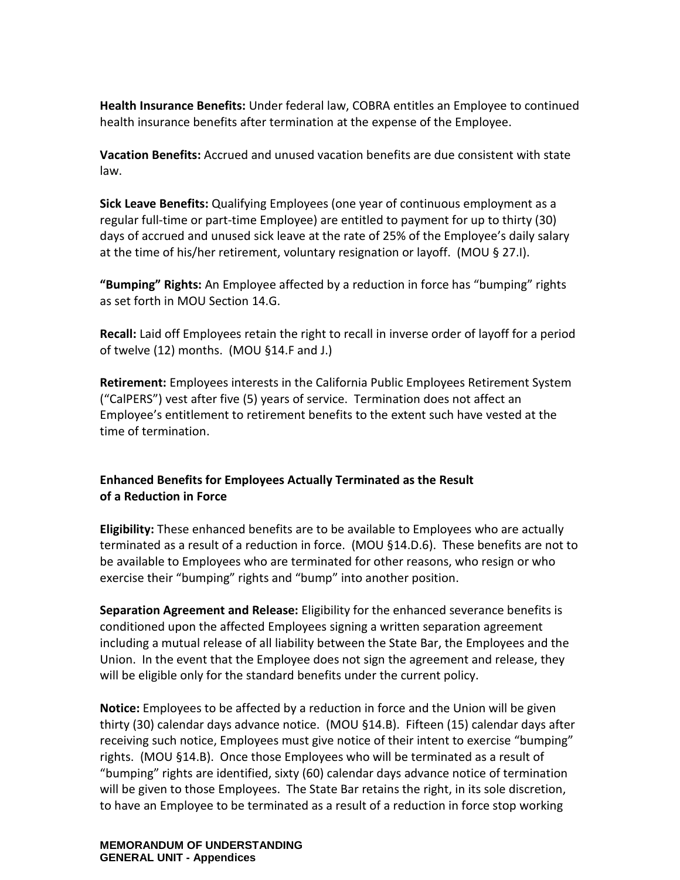**Health Insurance Benefits:** Under federal law, COBRA entitles an Employee to continued health insurance benefits after termination at the expense of the Employee.

**Vacation Benefits:** Accrued and unused vacation benefits are due consistent with state law.

**Sick Leave Benefits:** Qualifying Employees (one year of continuous employment as a regular full-time or part-time Employee) are entitled to payment for up to thirty (30) days of accrued and unused sick leave at the rate of 25% of the Employee's daily salary at the time of his/her retirement, voluntary resignation or layoff. (MOU § 27.I).

**"Bumping" Rights:** An Employee affected by a reduction in force has "bumping" rights as set forth in MOU Section 14.G.

**Recall:** Laid off Employees retain the right to recall in inverse order of layoff for a period of twelve (12) months. (MOU §14.F and J.)

**Retirement:** Employees interests in the California Public Employees Retirement System ("CalPERS") vest after five (5) years of service. Termination does not affect an Employee's entitlement to retirement benefits to the extent such have vested at the time of termination.

## **Enhanced Benefits for Employees Actually Terminated as the Result of a Reduction in Force**

**Eligibility:** These enhanced benefits are to be available to Employees who are actually terminated as a result of a reduction in force. (MOU §14.D.6). These benefits are not to be available to Employees who are terminated for other reasons, who resign or who exercise their "bumping" rights and "bump" into another position.

**Separation Agreement and Release:** Eligibility for the enhanced severance benefits is conditioned upon the affected Employees signing a written separation agreement including a mutual release of all liability between the State Bar, the Employees and the Union. In the event that the Employee does not sign the agreement and release, they will be eligible only for the standard benefits under the current policy.

**Notice:** Employees to be affected by a reduction in force and the Union will be given thirty (30) calendar days advance notice. (MOU §14.B). Fifteen (15) calendar days after receiving such notice, Employees must give notice of their intent to exercise "bumping" rights. (MOU §14.B). Once those Employees who will be terminated as a result of "bumping" rights are identified, sixty (60) calendar days advance notice of termination will be given to those Employees. The State Bar retains the right, in its sole discretion, to have an Employee to be terminated as a result of a reduction in force stop working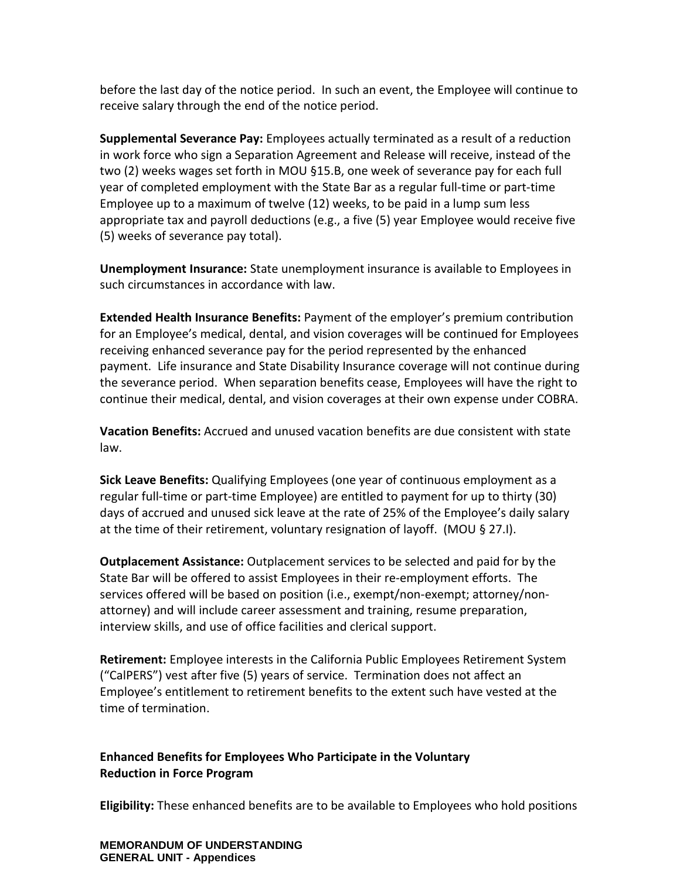before the last day of the notice period. In such an event, the Employee will continue to receive salary through the end of the notice period.

**Supplemental Severance Pay:** Employees actually terminated as a result of a reduction in work force who sign a Separation Agreement and Release will receive, instead of the two (2) weeks wages set forth in MOU §15.B, one week of severance pay for each full year of completed employment with the State Bar as a regular full-time or part-time Employee up to a maximum of twelve (12) weeks, to be paid in a lump sum less appropriate tax and payroll deductions (e.g., a five (5) year Employee would receive five (5) weeks of severance pay total).

**Unemployment Insurance:** State unemployment insurance is available to Employees in such circumstances in accordance with law.

**Extended Health Insurance Benefits:** Payment of the employer's premium contribution for an Employee's medical, dental, and vision coverages will be continued for Employees receiving enhanced severance pay for the period represented by the enhanced payment. Life insurance and State Disability Insurance coverage will not continue during the severance period. When separation benefits cease, Employees will have the right to continue their medical, dental, and vision coverages at their own expense under COBRA.

**Vacation Benefits:** Accrued and unused vacation benefits are due consistent with state law.

**Sick Leave Benefits:** Qualifying Employees (one year of continuous employment as a regular full-time or part-time Employee) are entitled to payment for up to thirty (30) days of accrued and unused sick leave at the rate of 25% of the Employee's daily salary at the time of their retirement, voluntary resignation of layoff. (MOU § 27.I).

**Outplacement Assistance:** Outplacement services to be selected and paid for by the State Bar will be offered to assist Employees in their re-employment efforts. The services offered will be based on position (i.e., exempt/non-exempt; attorney/nonattorney) and will include career assessment and training, resume preparation, interview skills, and use of office facilities and clerical support.

**Retirement:** Employee interests in the California Public Employees Retirement System ("CalPERS") vest after five (5) years of service. Termination does not affect an Employee's entitlement to retirement benefits to the extent such have vested at the time of termination.

# **Enhanced Benefits for Employees Who Participate in the Voluntary Reduction in Force Program**

**Eligibility:** These enhanced benefits are to be available to Employees who hold positions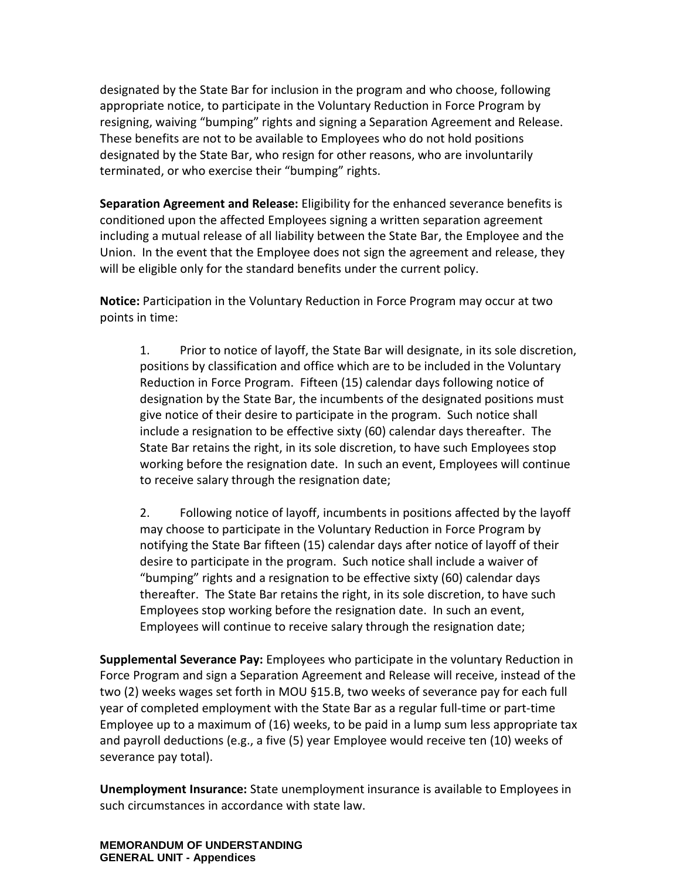designated by the State Bar for inclusion in the program and who choose, following appropriate notice, to participate in the Voluntary Reduction in Force Program by resigning, waiving "bumping" rights and signing a Separation Agreement and Release. These benefits are not to be available to Employees who do not hold positions designated by the State Bar, who resign for other reasons, who are involuntarily terminated, or who exercise their "bumping" rights.

**Separation Agreement and Release:** Eligibility for the enhanced severance benefits is conditioned upon the affected Employees signing a written separation agreement including a mutual release of all liability between the State Bar, the Employee and the Union. In the event that the Employee does not sign the agreement and release, they will be eligible only for the standard benefits under the current policy.

**Notice:** Participation in the Voluntary Reduction in Force Program may occur at two points in time:

1. Prior to notice of layoff, the State Bar will designate, in its sole discretion, positions by classification and office which are to be included in the Voluntary Reduction in Force Program. Fifteen (15) calendar days following notice of designation by the State Bar, the incumbents of the designated positions must give notice of their desire to participate in the program. Such notice shall include a resignation to be effective sixty (60) calendar days thereafter. The State Bar retains the right, in its sole discretion, to have such Employees stop working before the resignation date. In such an event, Employees will continue to receive salary through the resignation date;

2. Following notice of layoff, incumbents in positions affected by the layoff may choose to participate in the Voluntary Reduction in Force Program by notifying the State Bar fifteen (15) calendar days after notice of layoff of their desire to participate in the program. Such notice shall include a waiver of "bumping" rights and a resignation to be effective sixty (60) calendar days thereafter. The State Bar retains the right, in its sole discretion, to have such Employees stop working before the resignation date. In such an event, Employees will continue to receive salary through the resignation date;

**Supplemental Severance Pay:** Employees who participate in the voluntary Reduction in Force Program and sign a Separation Agreement and Release will receive, instead of the two (2) weeks wages set forth in MOU §15.B, two weeks of severance pay for each full year of completed employment with the State Bar as a regular full-time or part-time Employee up to a maximum of (16) weeks, to be paid in a lump sum less appropriate tax and payroll deductions (e.g., a five (5) year Employee would receive ten (10) weeks of severance pay total).

**Unemployment Insurance:** State unemployment insurance is available to Employees in such circumstances in accordance with state law.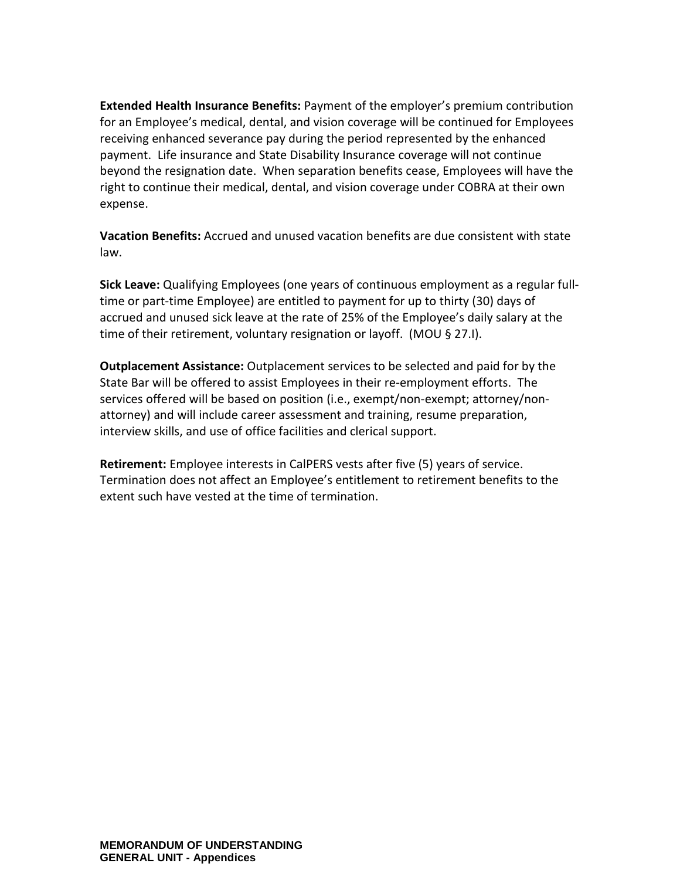**Extended Health Insurance Benefits:** Payment of the employer's premium contribution for an Employee's medical, dental, and vision coverage will be continued for Employees receiving enhanced severance pay during the period represented by the enhanced payment. Life insurance and State Disability Insurance coverage will not continue beyond the resignation date. When separation benefits cease, Employees will have the right to continue their medical, dental, and vision coverage under COBRA at their own expense.

**Vacation Benefits:** Accrued and unused vacation benefits are due consistent with state law.

**Sick Leave:** Qualifying Employees (one years of continuous employment as a regular fulltime or part-time Employee) are entitled to payment for up to thirty (30) days of accrued and unused sick leave at the rate of 25% of the Employee's daily salary at the time of their retirement, voluntary resignation or layoff. (MOU § 27.I).

**Outplacement Assistance:** Outplacement services to be selected and paid for by the State Bar will be offered to assist Employees in their re-employment efforts. The services offered will be based on position (i.e., exempt/non-exempt; attorney/nonattorney) and will include career assessment and training, resume preparation, interview skills, and use of office facilities and clerical support.

**Retirement:** Employee interests in CalPERS vests after five (5) years of service. Termination does not affect an Employee's entitlement to retirement benefits to the extent such have vested at the time of termination.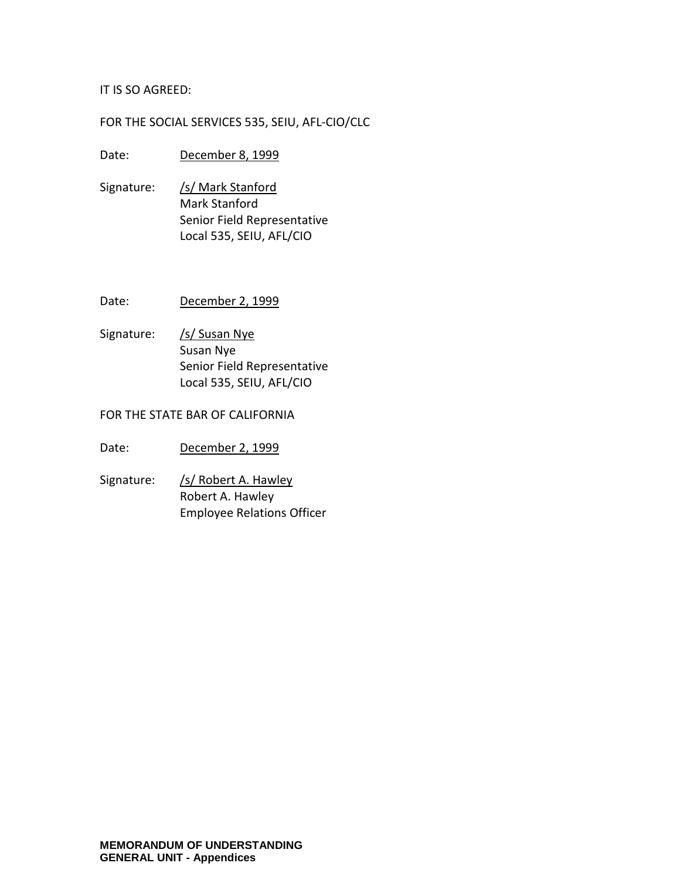#### IT IS SO AGREED:

### FOR THE SOCIAL SERVICES 535, SEIU, AFL-CIO/CLC

#### Date: December 8, 1999

- Signature: /s/ Mark Stanford Mark Stanford Senior Field Representative Local 535, SEIU, AFL/CIO
- Date: December 2, 1999
- Signature: /s/ Susan Nye Susan Nye Senior Field Representative Local 535, SEIU, AFL/CIO

#### FOR THE STATE BAR OF CALIFORNIA

- Date: December 2, 1999
- Signature: /s/ Robert A. Hawley Robert A. Hawley Employee Relations Officer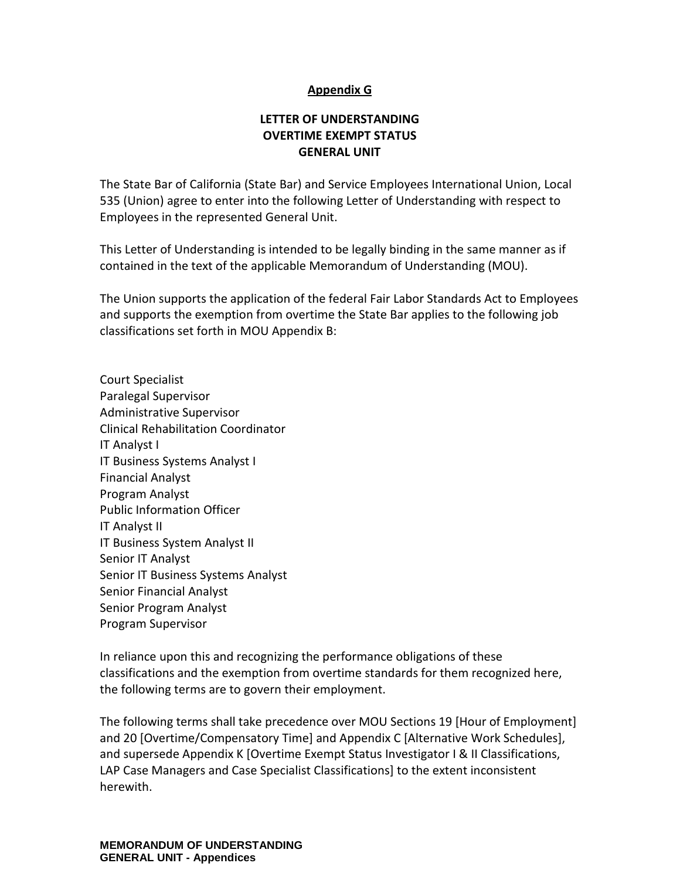## **Appendix G**

# **LETTER OF UNDERSTANDING OVERTIME EXEMPT STATUS GENERAL UNIT**

The State Bar of California (State Bar) and Service Employees International Union, Local 535 (Union) agree to enter into the following Letter of Understanding with respect to Employees in the represented General Unit.

This Letter of Understanding is intended to be legally binding in the same manner as if contained in the text of the applicable Memorandum of Understanding (MOU).

The Union supports the application of the federal Fair Labor Standards Act to Employees and supports the exemption from overtime the State Bar applies to the following job classifications set forth in MOU Appendix B:

Court Specialist Paralegal Supervisor Administrative Supervisor Clinical Rehabilitation Coordinator IT Analyst I IT Business Systems Analyst I Financial Analyst Program Analyst Public Information Officer IT Analyst II IT Business System Analyst II Senior IT Analyst Senior IT Business Systems Analyst Senior Financial Analyst Senior Program Analyst Program Supervisor

In reliance upon this and recognizing the performance obligations of these classifications and the exemption from overtime standards for them recognized here, the following terms are to govern their employment.

The following terms shall take precedence over MOU Sections 19 [Hour of Employment] and 20 [Overtime/Compensatory Time] and Appendix C [Alternative Work Schedules], and supersede Appendix K [Overtime Exempt Status Investigator I & II Classifications, LAP Case Managers and Case Specialist Classifications] to the extent inconsistent herewith.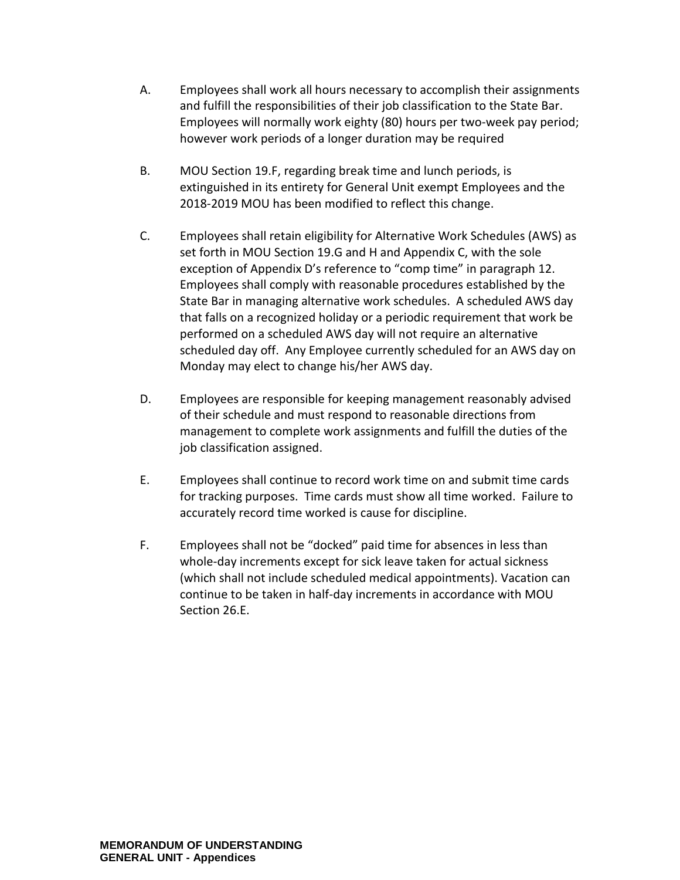- A. Employees shall work all hours necessary to accomplish their assignments and fulfill the responsibilities of their job classification to the State Bar. Employees will normally work eighty (80) hours per two-week pay period; however work periods of a longer duration may be required
- B. MOU Section 19.F, regarding break time and lunch periods, is extinguished in its entirety for General Unit exempt Employees and the 2018-2019 MOU has been modified to reflect this change.
- C. Employees shall retain eligibility for Alternative Work Schedules (AWS) as set forth in MOU Section 19.G and H and Appendix C, with the sole exception of Appendix D's reference to "comp time" in paragraph 12. Employees shall comply with reasonable procedures established by the State Bar in managing alternative work schedules. A scheduled AWS day that falls on a recognized holiday or a periodic requirement that work be performed on a scheduled AWS day will not require an alternative scheduled day off. Any Employee currently scheduled for an AWS day on Monday may elect to change his/her AWS day.
- D. Employees are responsible for keeping management reasonably advised of their schedule and must respond to reasonable directions from management to complete work assignments and fulfill the duties of the job classification assigned.
- E. Employees shall continue to record work time on and submit time cards for tracking purposes. Time cards must show all time worked. Failure to accurately record time worked is cause for discipline.
- F. Employees shall not be "docked" paid time for absences in less than whole-day increments except for sick leave taken for actual sickness (which shall not include scheduled medical appointments). Vacation can continue to be taken in half-day increments in accordance with MOU Section 26.E.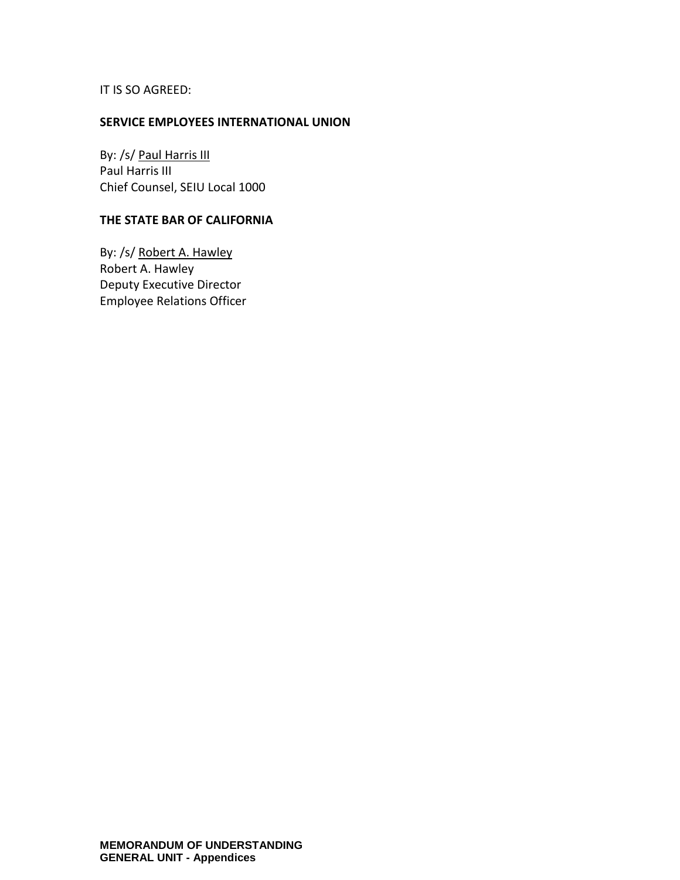IT IS SO AGREED:

#### **SERVICE EMPLOYEES INTERNATIONAL UNION**

By: /s/ Paul Harris III Paul Harris III Chief Counsel, SEIU Local 1000

### **THE STATE BAR OF CALIFORNIA**

By: /s/ Robert A. Hawley Robert A. Hawley Deputy Executive Director Employee Relations Officer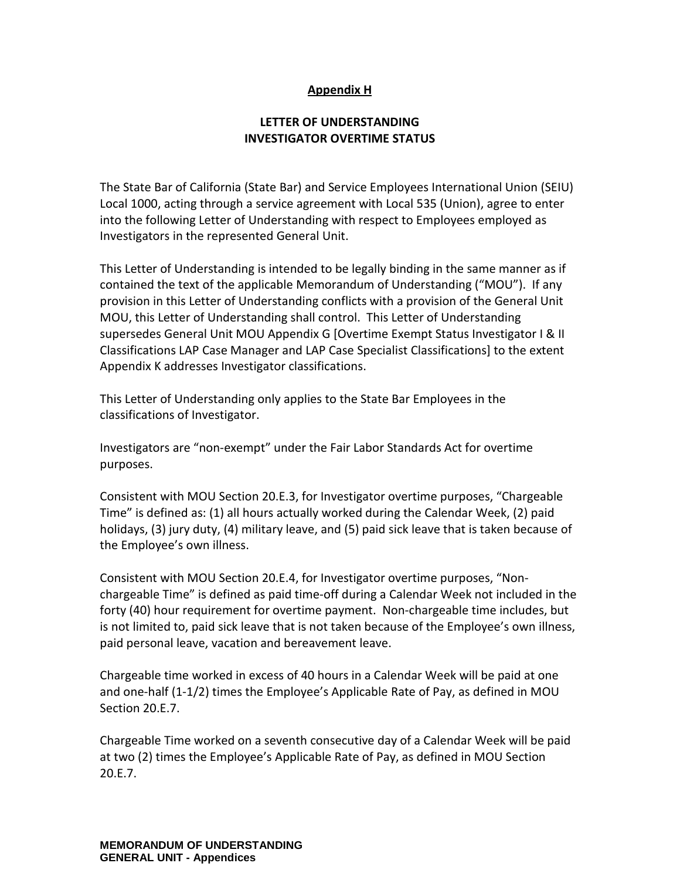# **Appendix H**

# **LETTER OF UNDERSTANDING INVESTIGATOR OVERTIME STATUS**

The State Bar of California (State Bar) and Service Employees International Union (SEIU) Local 1000, acting through a service agreement with Local 535 (Union), agree to enter into the following Letter of Understanding with respect to Employees employed as Investigators in the represented General Unit.

This Letter of Understanding is intended to be legally binding in the same manner as if contained the text of the applicable Memorandum of Understanding ("MOU"). If any provision in this Letter of Understanding conflicts with a provision of the General Unit MOU, this Letter of Understanding shall control. This Letter of Understanding supersedes General Unit MOU Appendix G [Overtime Exempt Status Investigator I & II Classifications LAP Case Manager and LAP Case Specialist Classifications] to the extent Appendix K addresses Investigator classifications.

This Letter of Understanding only applies to the State Bar Employees in the classifications of Investigator.

Investigators are "non-exempt" under the Fair Labor Standards Act for overtime purposes.

Consistent with MOU Section 20.E.3, for Investigator overtime purposes, "Chargeable Time" is defined as: (1) all hours actually worked during the Calendar Week, (2) paid holidays, (3) jury duty, (4) military leave, and (5) paid sick leave that is taken because of the Employee's own illness.

Consistent with MOU Section 20.E.4, for Investigator overtime purposes, "Nonchargeable Time" is defined as paid time-off during a Calendar Week not included in the forty (40) hour requirement for overtime payment. Non-chargeable time includes, but is not limited to, paid sick leave that is not taken because of the Employee's own illness, paid personal leave, vacation and bereavement leave.

Chargeable time worked in excess of 40 hours in a Calendar Week will be paid at one and one-half (1-1/2) times the Employee's Applicable Rate of Pay, as defined in MOU Section 20.E.7.

Chargeable Time worked on a seventh consecutive day of a Calendar Week will be paid at two (2) times the Employee's Applicable Rate of Pay, as defined in MOU Section 20.E.7.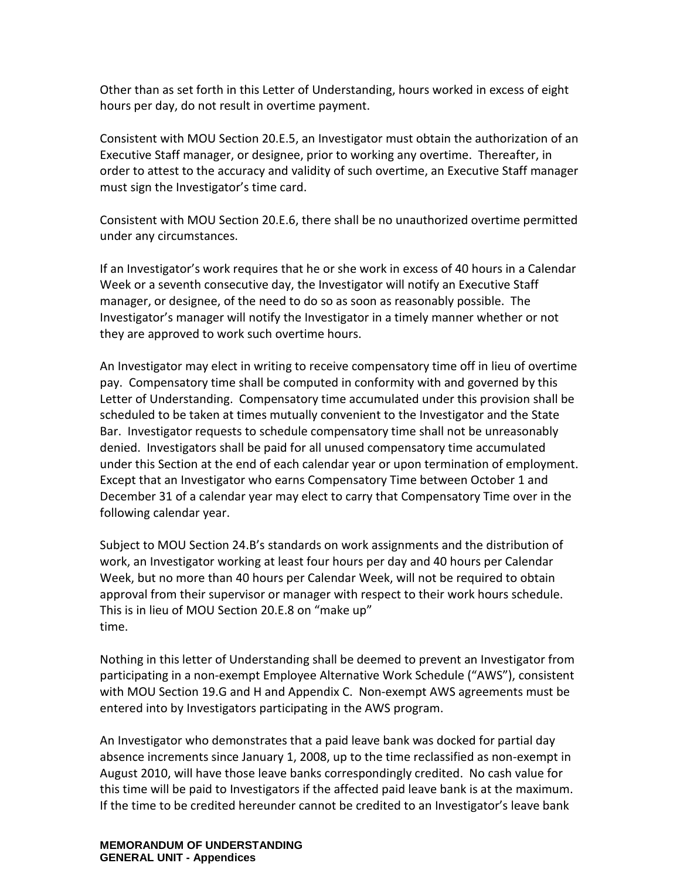Other than as set forth in this Letter of Understanding, hours worked in excess of eight hours per day, do not result in overtime payment.

Consistent with MOU Section 20.E.5, an Investigator must obtain the authorization of an Executive Staff manager, or designee, prior to working any overtime. Thereafter, in order to attest to the accuracy and validity of such overtime, an Executive Staff manager must sign the Investigator's time card.

Consistent with MOU Section 20.E.6, there shall be no unauthorized overtime permitted under any circumstances.

If an Investigator's work requires that he or she work in excess of 40 hours in a Calendar Week or a seventh consecutive day, the Investigator will notify an Executive Staff manager, or designee, of the need to do so as soon as reasonably possible. The Investigator's manager will notify the Investigator in a timely manner whether or not they are approved to work such overtime hours.

An Investigator may elect in writing to receive compensatory time off in lieu of overtime pay. Compensatory time shall be computed in conformity with and governed by this Letter of Understanding. Compensatory time accumulated under this provision shall be scheduled to be taken at times mutually convenient to the Investigator and the State Bar. Investigator requests to schedule compensatory time shall not be unreasonably denied. Investigators shall be paid for all unused compensatory time accumulated under this Section at the end of each calendar year or upon termination of employment. Except that an Investigator who earns Compensatory Time between October 1 and December 31 of a calendar year may elect to carry that Compensatory Time over in the following calendar year.

Subject to MOU Section 24.B's standards on work assignments and the distribution of work, an Investigator working at least four hours per day and 40 hours per Calendar Week, but no more than 40 hours per Calendar Week, will not be required to obtain approval from their supervisor or manager with respect to their work hours schedule. This is in lieu of MOU Section 20.E.8 on "make up" time.

Nothing in this letter of Understanding shall be deemed to prevent an Investigator from participating in a non-exempt Employee Alternative Work Schedule ("AWS"), consistent with MOU Section 19.G and H and Appendix C. Non-exempt AWS agreements must be entered into by Investigators participating in the AWS program.

An Investigator who demonstrates that a paid leave bank was docked for partial day absence increments since January 1, 2008, up to the time reclassified as non-exempt in August 2010, will have those leave banks correspondingly credited. No cash value for this time will be paid to Investigators if the affected paid leave bank is at the maximum. If the time to be credited hereunder cannot be credited to an Investigator's leave bank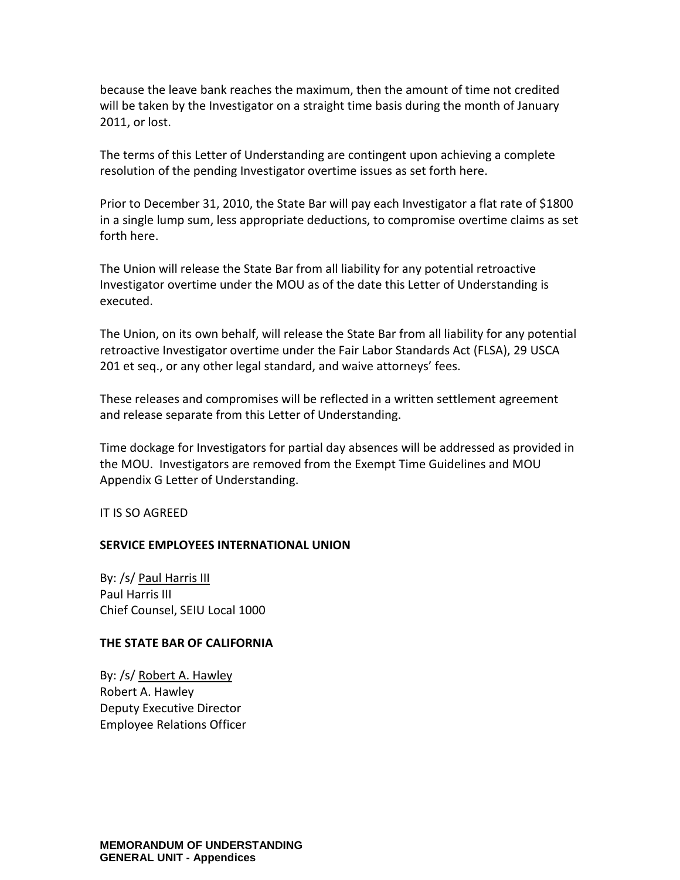because the leave bank reaches the maximum, then the amount of time not credited will be taken by the Investigator on a straight time basis during the month of January 2011, or lost.

The terms of this Letter of Understanding are contingent upon achieving a complete resolution of the pending Investigator overtime issues as set forth here.

Prior to December 31, 2010, the State Bar will pay each Investigator a flat rate of \$1800 in a single lump sum, less appropriate deductions, to compromise overtime claims as set forth here.

The Union will release the State Bar from all liability for any potential retroactive Investigator overtime under the MOU as of the date this Letter of Understanding is executed.

The Union, on its own behalf, will release the State Bar from all liability for any potential retroactive Investigator overtime under the Fair Labor Standards Act (FLSA), 29 USCA 201 et seq., or any other legal standard, and waive attorneys' fees.

These releases and compromises will be reflected in a written settlement agreement and release separate from this Letter of Understanding.

Time dockage for Investigators for partial day absences will be addressed as provided in the MOU. Investigators are removed from the Exempt Time Guidelines and MOU Appendix G Letter of Understanding.

IT IS SO AGREED

### **SERVICE EMPLOYEES INTERNATIONAL UNION**

By: /s/ Paul Harris III Paul Harris III Chief Counsel, SEIU Local 1000

#### **THE STATE BAR OF CALIFORNIA**

By: /s/ Robert A. Hawley Robert A. Hawley Deputy Executive Director Employee Relations Officer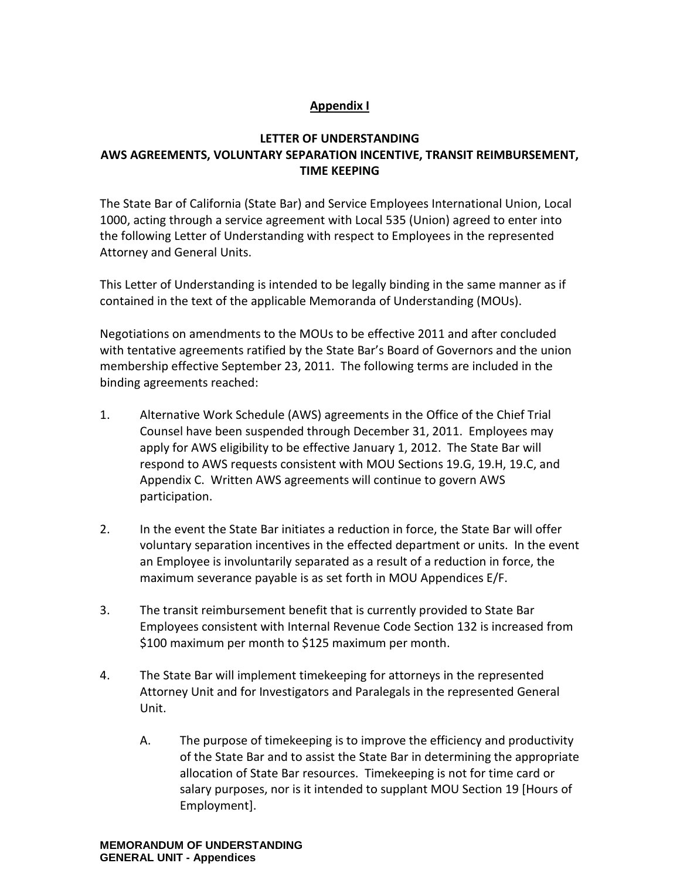# **Appendix I**

# **LETTER OF UNDERSTANDING AWS AGREEMENTS, VOLUNTARY SEPARATION INCENTIVE, TRANSIT REIMBURSEMENT, TIME KEEPING**

The State Bar of California (State Bar) and Service Employees International Union, Local 1000, acting through a service agreement with Local 535 (Union) agreed to enter into the following Letter of Understanding with respect to Employees in the represented Attorney and General Units.

This Letter of Understanding is intended to be legally binding in the same manner as if contained in the text of the applicable Memoranda of Understanding (MOUs).

Negotiations on amendments to the MOUs to be effective 2011 and after concluded with tentative agreements ratified by the State Bar's Board of Governors and the union membership effective September 23, 2011. The following terms are included in the binding agreements reached:

- 1. Alternative Work Schedule (AWS) agreements in the Office of the Chief Trial Counsel have been suspended through December 31, 2011. Employees may apply for AWS eligibility to be effective January 1, 2012. The State Bar will respond to AWS requests consistent with MOU Sections 19.G, 19.H, 19.C, and Appendix C. Written AWS agreements will continue to govern AWS participation.
- 2. In the event the State Bar initiates a reduction in force, the State Bar will offer voluntary separation incentives in the effected department or units. In the event an Employee is involuntarily separated as a result of a reduction in force, the maximum severance payable is as set forth in MOU Appendices E/F.
- 3. The transit reimbursement benefit that is currently provided to State Bar Employees consistent with Internal Revenue Code Section 132 is increased from \$100 maximum per month to \$125 maximum per month.
- 4. The State Bar will implement timekeeping for attorneys in the represented Attorney Unit and for Investigators and Paralegals in the represented General Unit.
	- A. The purpose of timekeeping is to improve the efficiency and productivity of the State Bar and to assist the State Bar in determining the appropriate allocation of State Bar resources. Timekeeping is not for time card or salary purposes, nor is it intended to supplant MOU Section 19 [Hours of Employment].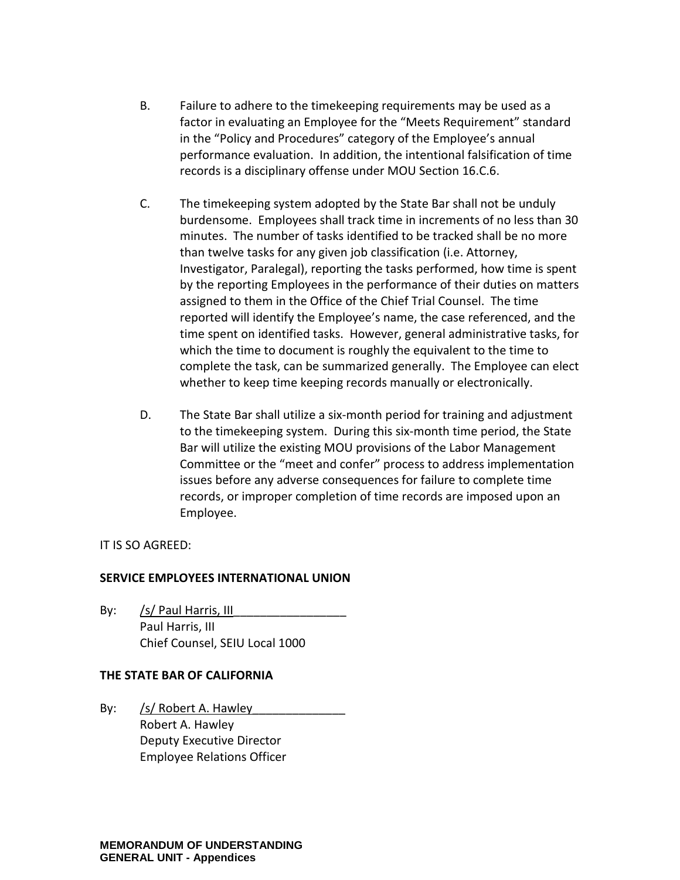- B. Failure to adhere to the timekeeping requirements may be used as a factor in evaluating an Employee for the "Meets Requirement" standard in the "Policy and Procedures" category of the Employee's annual performance evaluation. In addition, the intentional falsification of time records is a disciplinary offense under MOU Section 16.C.6.
- C. The timekeeping system adopted by the State Bar shall not be unduly burdensome. Employees shall track time in increments of no less than 30 minutes. The number of tasks identified to be tracked shall be no more than twelve tasks for any given job classification (i.e. Attorney, Investigator, Paralegal), reporting the tasks performed, how time is spent by the reporting Employees in the performance of their duties on matters assigned to them in the Office of the Chief Trial Counsel. The time reported will identify the Employee's name, the case referenced, and the time spent on identified tasks. However, general administrative tasks, for which the time to document is roughly the equivalent to the time to complete the task, can be summarized generally. The Employee can elect whether to keep time keeping records manually or electronically.
- D. The State Bar shall utilize a six-month period for training and adjustment to the timekeeping system. During this six-month time period, the State Bar will utilize the existing MOU provisions of the Labor Management Committee or the "meet and confer" process to address implementation issues before any adverse consequences for failure to complete time records, or improper completion of time records are imposed upon an Employee.

### IT IS SO AGREED:

### **SERVICE EMPLOYEES INTERNATIONAL UNION**

By:  $/s/$  Paul Harris, III Paul Harris, III Chief Counsel, SEIU Local 1000

### **THE STATE BAR OF CALIFORNIA**

By: /s/ Robert A. Hawley Robert A. Hawley Deputy Executive Director Employee Relations Officer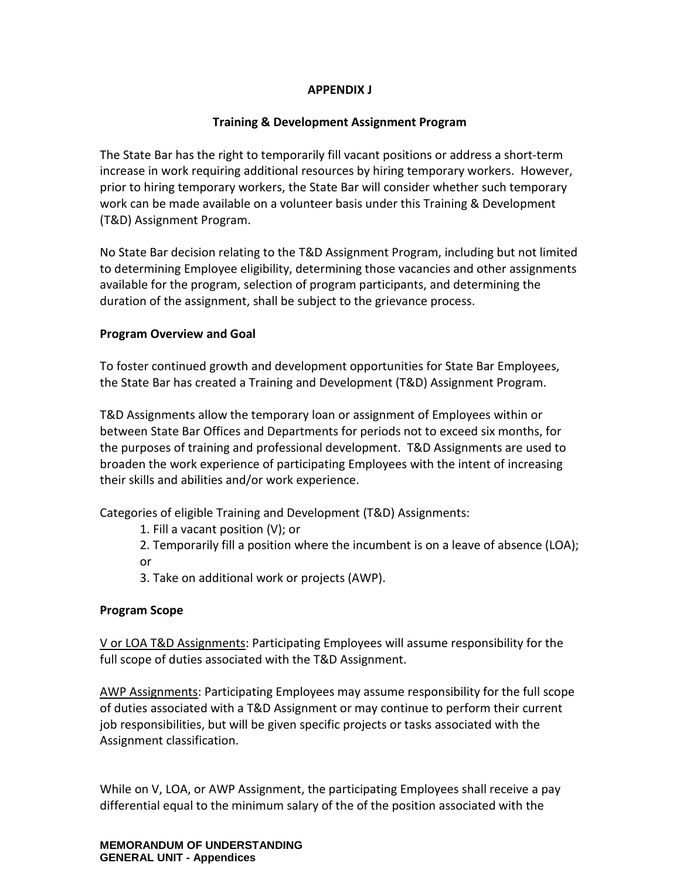## **APPENDIX J**

## **Training & Development Assignment Program**

The State Bar has the right to temporarily fill vacant positions or address a short-term increase in work requiring additional resources by hiring temporary workers. However, prior to hiring temporary workers, the State Bar will consider whether such temporary work can be made available on a volunteer basis under this Training & Development (T&D) Assignment Program.

No State Bar decision relating to the T&D Assignment Program, including but not limited to determining Employee eligibility, determining those vacancies and other assignments available for the program, selection of program participants, and determining the duration of the assignment, shall be subject to the grievance process.

#### **Program Overview and Goal**

To foster continued growth and development opportunities for State Bar Employees, the State Bar has created a Training and Development (T&D) Assignment Program.

T&D Assignments allow the temporary loan or assignment of Employees within or between State Bar Offices and Departments for periods not to exceed six months, for the purposes of training and professional development. T&D Assignments are used to broaden the work experience of participating Employees with the intent of increasing their skills and abilities and/or work experience.

Categories of eligible Training and Development (T&D) Assignments:

- 1. Fill a vacant position (V); or
- 2. Temporarily fill a position where the incumbent is on a leave of absence (LOA); or
- 3. Take on additional work or projects (AWP).

### **Program Scope**

V or LOA T&D Assignments: Participating Employees will assume responsibility for the full scope of duties associated with the T&D Assignment.

AWP Assignments: Participating Employees may assume responsibility for the full scope of duties associated with a T&D Assignment or may continue to perform their current job responsibilities, but will be given specific projects or tasks associated with the Assignment classification.

While on V, LOA, or AWP Assignment, the participating Employees shall receive a pay differential equal to the minimum salary of the of the position associated with the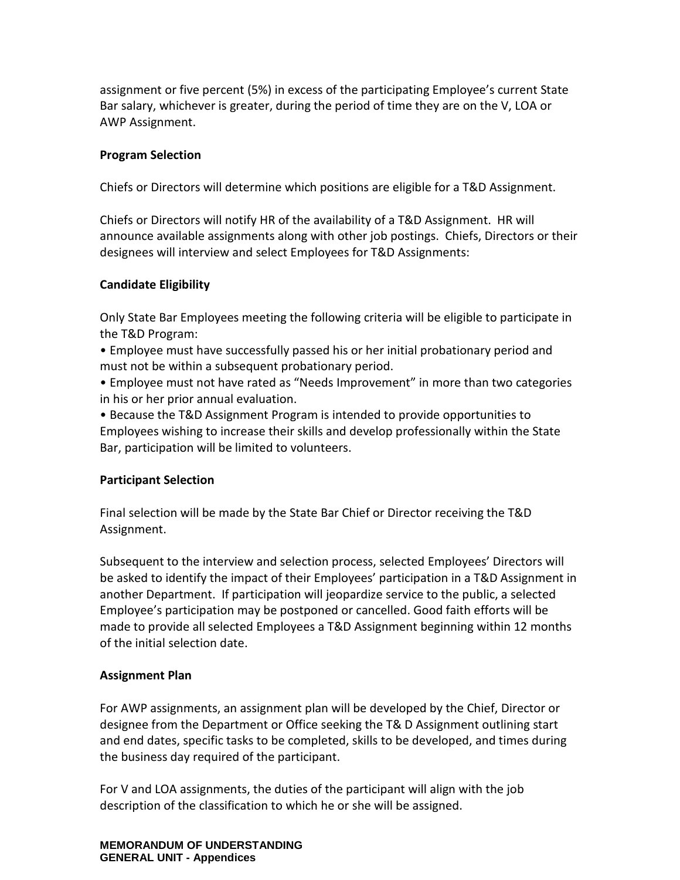assignment or five percent (5%) in excess of the participating Employee's current State Bar salary, whichever is greater, during the period of time they are on the V, LOA or AWP Assignment.

### **Program Selection**

Chiefs or Directors will determine which positions are eligible for a T&D Assignment.

Chiefs or Directors will notify HR of the availability of a T&D Assignment. HR will announce available assignments along with other job postings. Chiefs, Directors or their designees will interview and select Employees for T&D Assignments:

## **Candidate Eligibility**

Only State Bar Employees meeting the following criteria will be eligible to participate in the T&D Program:

• Employee must have successfully passed his or her initial probationary period and must not be within a subsequent probationary period.

• Employee must not have rated as "Needs Improvement" in more than two categories in his or her prior annual evaluation.

• Because the T&D Assignment Program is intended to provide opportunities to Employees wishing to increase their skills and develop professionally within the State Bar, participation will be limited to volunteers.

### **Participant Selection**

Final selection will be made by the State Bar Chief or Director receiving the T&D Assignment.

Subsequent to the interview and selection process, selected Employees' Directors will be asked to identify the impact of their Employees' participation in a T&D Assignment in another Department. If participation will jeopardize service to the public, a selected Employee's participation may be postponed or cancelled. Good faith efforts will be made to provide all selected Employees a T&D Assignment beginning within 12 months of the initial selection date.

# **Assignment Plan**

For AWP assignments, an assignment plan will be developed by the Chief, Director or designee from the Department or Office seeking the T& D Assignment outlining start and end dates, specific tasks to be completed, skills to be developed, and times during the business day required of the participant.

For V and LOA assignments, the duties of the participant will align with the job description of the classification to which he or she will be assigned.